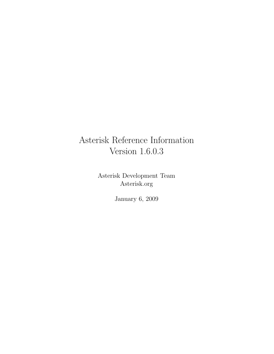# Asterisk Reference Information Version 1.6.0.3

Asterisk Development Team Asterisk.org

January 6, 2009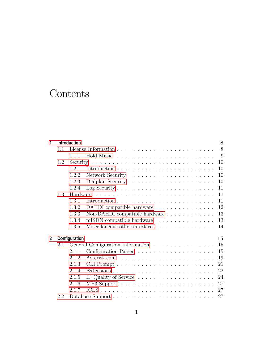# **Contents**

| 1              | Introduction |                                                                                       |  |  |  |
|----------------|--------------|---------------------------------------------------------------------------------------|--|--|--|
|                | 1.1          | 8                                                                                     |  |  |  |
|                |              | 9<br>1.1.1                                                                            |  |  |  |
|                | 1.2          | 10                                                                                    |  |  |  |
|                |              | 10<br>1.2.1                                                                           |  |  |  |
|                |              | 1.2.2<br>10                                                                           |  |  |  |
|                |              | 1.2.3<br>10                                                                           |  |  |  |
|                |              | Log Security $\ldots \ldots \ldots \ldots \ldots \ldots \ldots \ldots$<br>11<br>1.2.4 |  |  |  |
|                | 1.3          | 11                                                                                    |  |  |  |
|                |              | 1.3.1<br>11                                                                           |  |  |  |
|                |              | 1.3.2<br>DAHDI compatible hardware<br>12                                              |  |  |  |
|                |              | 1.3.3<br>Non-DAHDI compatible hardware<br>13                                          |  |  |  |
|                |              | mISDN compatible hardware<br>1.3.4<br>13                                              |  |  |  |
|                |              | Miscellaneous other interfaces<br>1.3.5<br>14                                         |  |  |  |
| $\overline{2}$ |              | Configuration<br>15                                                                   |  |  |  |
|                | 2.1          | General Configuration Information<br>15                                               |  |  |  |
|                |              | 2.1.1<br>15                                                                           |  |  |  |
|                |              | 2.1.2<br>19                                                                           |  |  |  |
|                |              | 2.1.3<br>21                                                                           |  |  |  |
|                |              | 2.1.4<br>22                                                                           |  |  |  |
|                |              | 2.1.5<br>24                                                                           |  |  |  |
|                |              | 2.1.6<br>27                                                                           |  |  |  |
|                |              | 27<br>2.1.7                                                                           |  |  |  |
|                | 2.2          | 27                                                                                    |  |  |  |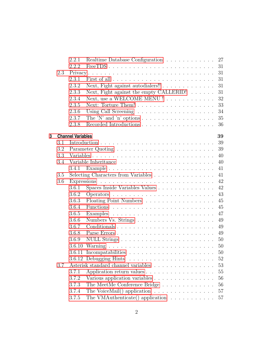|   |     | 2.2.1                    | Realtime Database Configuration 27                                        |
|---|-----|--------------------------|---------------------------------------------------------------------------|
|   |     | 2.2.2                    | 31<br>$FreeTDS$                                                           |
|   | 2.3 |                          | Privacy<br>31                                                             |
|   |     | 2.3.1                    | 31                                                                        |
|   |     | 2.3.2                    | Next, Fight against autodialers!!<br>31                                   |
|   |     | 2.3.3                    | Next, Fight against the empty CALLERID!<br>31                             |
|   |     | 2.3.4                    | Next, use a WELCOME MENU !<br>32                                          |
|   |     | 2.3.5                    | 33                                                                        |
|   |     | 2.3.6                    | 34                                                                        |
|   |     | 2.3.7                    | The 'N' and 'n' options $\dots \dots \dots \dots \dots \dots \dots$<br>35 |
|   |     | 2.3.8                    | 36                                                                        |
| 3 |     | <b>Channel Variables</b> | 39                                                                        |
|   | 3.1 |                          | 39                                                                        |
|   | 3.2 |                          | $39\,$                                                                    |
|   | 3.3 |                          | 40                                                                        |
|   | 3.4 |                          | 40                                                                        |
|   |     |                          | 41                                                                        |
|   | 3.5 |                          | Selecting Characters from Variables<br>41                                 |
|   | 3.6 |                          | $42\,$                                                                    |
|   |     | 3.6.1                    | 42<br>Spaces Inside Variables Values                                      |
|   |     | 3.6.2                    | 43                                                                        |
|   |     | 3.6.3                    | Floating Point Numbers<br>45                                              |
|   |     | 3.6.4                    | 45                                                                        |
|   |     | 3.6.5                    | 47                                                                        |
|   |     | 3.6.6                    | 49                                                                        |
|   |     | 3.6.7                    | $49\,$                                                                    |
|   |     | 3.6.8                    | 49<br>Parse Errors                                                        |
|   |     | 3.6.9                    | 50                                                                        |
|   |     |                          | 50                                                                        |
|   |     |                          | 50                                                                        |
|   |     |                          | $52\,$                                                                    |
|   | 3.7 |                          | Asterisk standard channel variables<br>53                                 |
|   |     | 3.7.1                    | 55<br>Application return values                                           |
|   |     | 3.7.2                    | 56<br>Various application variables                                       |
|   |     | 3.7.3                    | The MeetMe Conference Bridge<br>56                                        |
|   |     | 3.7.4                    | The VoiceMail() application $\ldots \ldots \ldots \ldots \ldots$<br>57    |
|   |     | $3.7.5\,$                | $57\,$<br>The VMAuthenticate() application $\ldots \ldots \ldots \ldots$  |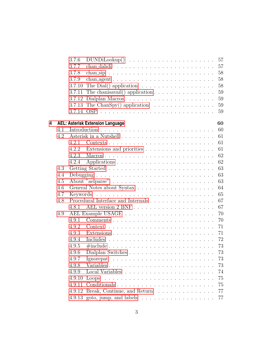|   |     | 3.7.6  | 57                                                                              |
|---|-----|--------|---------------------------------------------------------------------------------|
|   |     | 3.7.7  | 57                                                                              |
|   |     | 3.7.8  | 58                                                                              |
|   |     | 3.7.9  | 58<br>chan_agent $\ldots \ldots \ldots \ldots \ldots \ldots \ldots \ldots$      |
|   |     | 3.7.10 | The Dial() application $\ldots \ldots \ldots \ldots \ldots \ldots$<br>58        |
|   |     | 3.7.11 | 59<br>The chanisavail() application $\ldots \ldots \ldots \ldots \ldots$        |
|   |     |        | 3.7.12 Dialplan Macros<br>59                                                    |
|   |     |        | 3.7.13 The ChanSpy() application $\ldots \ldots \ldots \ldots \ldots$<br>59     |
|   |     |        | 59                                                                              |
|   |     |        |                                                                                 |
| 4 |     |        | 60<br><b>AEL: Asterisk Extension Language</b>                                   |
|   | 4.1 |        | 60                                                                              |
|   | 4.2 |        | 61                                                                              |
|   |     | 4.2.1  | 61                                                                              |
|   |     | 4.2.2  | Extensions and priorities<br>61                                                 |
|   |     | 4.2.3  | 62                                                                              |
|   |     | 4.2.4  | 62                                                                              |
|   | 4.3 |        | 63                                                                              |
|   | 4.4 |        | 63                                                                              |
|   | 4.5 |        | 63                                                                              |
|   | 4.6 |        | 64                                                                              |
|   | 4.7 |        | 65                                                                              |
|   | 4.8 |        | Procedural Interface and Internals<br>67                                        |
|   |     | 4.8.1  | 67                                                                              |
|   | 4.9 |        | 70                                                                              |
|   |     | 4.9.1  | 70                                                                              |
|   |     | 4.9.2  | 71                                                                              |
|   |     | 4.9.3  | 71                                                                              |
|   |     | 4.9.4  | 72                                                                              |
|   |     | 4.9.5  | 73<br>$\# \text{include} \dots \dots \dots \dots \dots \dots \dots \dots \dots$ |
|   |     | 4.9.6  | 73                                                                              |
|   |     | 4.9.7  | $73\,$                                                                          |
|   |     | 4.9.8  | Variables<br>73                                                                 |
|   |     | 4.9.9  | 74                                                                              |
|   |     | 4.9.10 | 75                                                                              |
|   |     |        | 75                                                                              |
|   |     | 4.9.12 | Break, Continue, and Return<br>77                                               |
|   |     |        | 77<br>4.9.13 goto, jump, and labels $\dots \dots \dots \dots \dots \dots \dots$ |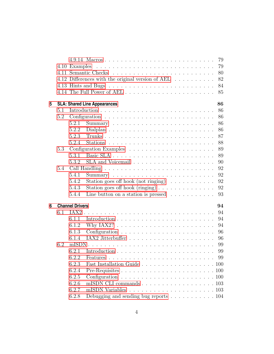|   |     |                        |                                                                     | 79     |
|---|-----|------------------------|---------------------------------------------------------------------|--------|
|   |     | 4.10 Examples          |                                                                     | 79     |
|   |     |                        |                                                                     | 80     |
|   |     |                        | 4.12 Differences with the original version of AEL                   | 82     |
|   |     |                        |                                                                     | 84     |
|   |     |                        |                                                                     | 85     |
| 5 |     |                        | <b>SLA: Shared Line Appearances</b>                                 | 86     |
|   | 5.1 |                        |                                                                     | 86     |
|   | 5.2 |                        |                                                                     | 86     |
|   |     | 5.2.1                  |                                                                     | 86     |
|   |     | 5.2.2                  |                                                                     | 86     |
|   |     | 5.2.3                  |                                                                     | 87     |
|   |     | 5.2.4                  |                                                                     | 88     |
|   | 5.3 |                        |                                                                     | 89     |
|   |     | 5.3.1                  | Basic SLA                                                           | 89     |
|   |     | 5.3.2                  |                                                                     | 90     |
|   | 5.4 |                        |                                                                     | 92     |
|   |     | 5.4.1                  |                                                                     | 92     |
|   |     | 5.4.2                  | Station goes off hook (not ringing) $\ldots \ldots \ldots$          | 92     |
|   |     | 5.4.3                  | Station goes off hook (ringing)                                     | 92     |
|   |     | 5.4.4                  | Line button on a station is pressed $\ldots \ldots \ldots$          | 93     |
| 6 |     | <b>Channel Drivers</b> |                                                                     | 94     |
|   | 6.1 |                        |                                                                     | 94     |
|   |     | 6.1.1                  |                                                                     | 94     |
|   |     | 6.1.2                  | Why IAX2? $\ldots \ldots \ldots \ldots \ldots \ldots \ldots \ldots$ | 94     |
|   |     | 6.1.3                  |                                                                     | 96     |
|   |     | 6.1.4                  |                                                                     | 96     |
|   | 6.2 |                        |                                                                     | 99     |
|   |     | 6.2.1                  |                                                                     | $99\,$ |
|   |     | 6.2.2                  |                                                                     | 99     |
|   |     | 6.2.3                  |                                                                     |        |
|   |     | 6.2.4                  |                                                                     |        |
|   |     | 6.2.5                  |                                                                     |        |
|   |     | 6.2.6                  | mISDN CLI commands 103                                              |        |
|   |     | 6.2.7                  |                                                                     |        |
|   |     | 6.2.8                  | Debugging and sending bug reports $\ldots \ldots \ldots \ldots 104$ |        |
|   |     |                        |                                                                     |        |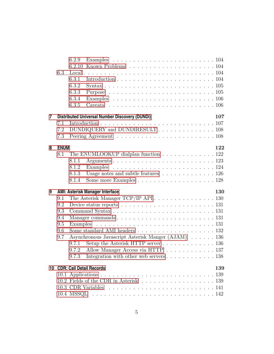|   |             | 6.2.9                                                                                         |
|---|-------------|-----------------------------------------------------------------------------------------------|
|   |             | 6.2.10                                                                                        |
|   | 6.3         |                                                                                               |
|   |             | 6.3.1                                                                                         |
|   |             | 6.3.2                                                                                         |
|   |             | 6.3.3                                                                                         |
|   |             | 6.3.4                                                                                         |
|   |             | 6.3.5                                                                                         |
| 7 |             | 107<br><b>Distributed Universal Number Discovery (DUNDi)</b>                                  |
|   | 7.1         |                                                                                               |
|   | 7.2         | DUNDIQUERY and DUNDIRESULT 108                                                                |
|   | 7.3         |                                                                                               |
| 8 | <b>ENUM</b> | 122                                                                                           |
|   | 8.1         | The ENUMLOOKUP dialplan function $\ldots \ldots \ldots \ldots \ldots 122$                     |
|   |             | 8.1.1                                                                                         |
|   |             | 8.1.2                                                                                         |
|   |             | Usage notes and subtle features $\ldots \ldots \ldots \ldots 126$<br>8.1.3                    |
|   |             | Some more Examples 128<br>8.1.4                                                               |
| 9 |             | <b>AMI: Asterisk Manager Interface</b><br>130                                                 |
|   | 9.1         | The Asterisk Manager TCP/IP API $\ldots \ldots \ldots \ldots \ldots \ldots 130$               |
|   | 9.2         | Device status reports $\dots \dots \dots \dots \dots \dots \dots \dots \dots \dots \dots 131$ |
|   | 9.3         |                                                                                               |
|   | 9.4         |                                                                                               |
|   | 9.5         |                                                                                               |
|   | 9.6         | Some standard AMI headers $\ldots \ldots \ldots \ldots \ldots \ldots \ldots 132$              |
|   | 9.7         | Asynchronous Javascript Asterisk Manger (AJAM) 136                                            |
|   |             | Setup the Asterisk HTTP server 136<br>9.7.1                                                   |
|   |             | Allow Manager Access via HTTP 137<br>9.7.2                                                    |
|   |             | 9.7.3 Integration with other web servers $\dots \dots \dots \dots \dots \dots$                |
|   |             | 10 CDR: Call Detail Records<br>139                                                            |
|   |             |                                                                                               |
|   |             |                                                                                               |
|   |             |                                                                                               |
|   |             |                                                                                               |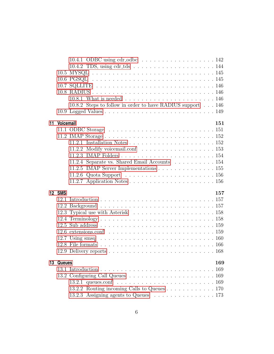|    |                  | 10.4.1 ODBC using $cdr\_odbc$ 142                                                                  |
|----|------------------|----------------------------------------------------------------------------------------------------|
|    |                  | 10.4.2 TDS, using cdr_tds $\ldots \ldots \ldots \ldots \ldots \ldots \ldots 144$                   |
|    |                  |                                                                                                    |
|    |                  |                                                                                                    |
|    |                  |                                                                                                    |
|    |                  |                                                                                                    |
|    |                  |                                                                                                    |
|    |                  | 10.8.2 Steps to follow in order to have RADIUS support 146                                         |
|    |                  |                                                                                                    |
| 11 | <b>Voicemail</b> | 151                                                                                                |
|    |                  |                                                                                                    |
|    |                  | 11.2 IMAP Storage $\ldots \ldots \ldots \ldots \ldots \ldots \ldots \ldots \ldots 152$             |
|    |                  |                                                                                                    |
|    |                  |                                                                                                    |
|    |                  |                                                                                                    |
|    |                  | 11.2.4 Separate vs. Shared Email Accounts 154                                                      |
|    |                  | 11.2.5 IMAP Server Implementations 155                                                             |
|    |                  | 11.2.6 Quota Support $\dots \dots \dots \dots \dots \dots \dots \dots \dots \dots \dots 156$       |
|    |                  |                                                                                                    |
|    | 12 SMS           | 157                                                                                                |
|    |                  |                                                                                                    |
|    |                  |                                                                                                    |
|    |                  |                                                                                                    |
|    |                  |                                                                                                    |
|    |                  |                                                                                                    |
|    |                  |                                                                                                    |
|    |                  | 12.7 Using smsq $\ldots \ldots \ldots \ldots \ldots \ldots \ldots \ldots \ldots \ldots \ldots 160$ |
|    |                  |                                                                                                    |
|    |                  |                                                                                                    |
|    | 13 Queues        | 169                                                                                                |
|    |                  |                                                                                                    |
|    |                  |                                                                                                    |
|    |                  |                                                                                                    |
|    |                  |                                                                                                    |
|    |                  | 13.2.3 Assigning agents to Queues 173                                                              |
|    |                  |                                                                                                    |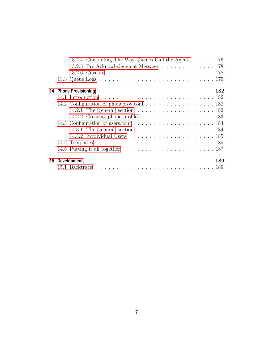| 13.2.4 Controlling The Way Queues Call the Agents 176                                          |  |
|------------------------------------------------------------------------------------------------|--|
| 13.2.5 Pre Acknowledgement Message 178                                                         |  |
|                                                                                                |  |
|                                                                                                |  |
| 182<br>14 Phone Provisioning                                                                   |  |
|                                                                                                |  |
|                                                                                                |  |
| 14.2.1 The [general] section $\ldots \ldots \ldots \ldots \ldots \ldots \ldots 182$            |  |
| 14.2.2 Creating phone profiles $\ldots \ldots \ldots \ldots \ldots \ldots \ldots 183$          |  |
|                                                                                                |  |
| 14.3.1 The [general] section $\dots \dots \dots \dots \dots \dots \dots \dots \dots \dots 184$ |  |
|                                                                                                |  |
|                                                                                                |  |
|                                                                                                |  |
| 15 Development<br>189                                                                          |  |
|                                                                                                |  |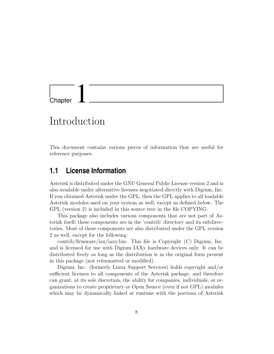<span id="page-8-0"></span>

# Introduction

This document contains various pieces of information that are useful for reference purposes.

# <span id="page-8-1"></span>**1.1 License Information**

Asterisk is distributed under the GNU General Public License version 2 and is also available under alternative licenses negotiated directly with Digium, Inc. If you obtained Asterisk under the GPL, then the GPL applies to all loadable Asterisk modules used on your system as well, except as defined below. The GPL (version 2) is included in this source tree in the file COPYING.

This package also includes various components that are not part of Asterisk itself; these components are in the 'contrib' directory and its subdirectories. Most of these components are also distributed under the GPL version 2 as well, except for the following:

contrib/firmware/iax/iaxy.bin: This file is Copyright (C) Digium, Inc. and is licensed for use with Digium IAXy hardware devices only. It can be distributed freely as long as the distribution is in the original form present in this package (not reformatted or modified).

Digium, Inc. (formerly Linux Support Services) holds copyright and/or sufficient licenses to all components of the Asterisk package, and therefore can grant, at its sole discretion, the ability for companies, individuals, or organizations to create proprietary or Open Source (even if not GPL) modules which may be dynamically linked at runtime with the portions of Asterisk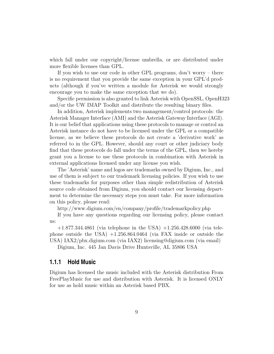which fall under our copyright/license umbrella, or are distributed under more flexible licenses than GPL.

If you wish to use our code in other GPL programs, don't worry – there is no requirement that you provide the same exception in your GPL'd products (although if you've written a module for Asterisk we would strongly encourage you to make the same exception that we do).

Specific permission is also granted to link Asterisk with OpenSSL, OpenH323 and/or the UW IMAP Toolkit and distribute the resulting binary files.

In addition, Asterisk implements two management/control protocols: the Asterisk Manager Interface (AMI) and the Asterisk Gateway Interface (AGI). It is our belief that applications using these protocols to manage or control an Asterisk instance do not have to be licensed under the GPL or a compatible license, as we believe these protocols do not create a 'derivative work' as referred to in the GPL. However, should any court or other judiciary body find that these protocols do fall under the terms of the GPL, then we hereby grant you a license to use these protocols in combination with Asterisk in external applications licensed under any license you wish.

The 'Asterisk' name and logos are trademarks owned by Digium, Inc., and use of them is subject to our trademark licensing policies. If you wish to use these trademarks for purposes other than simple redistribution of Asterisk source code obtained from Digium, you should contact our licensing department to determine the necessary steps you must take. For more information on this policy, please read:

http://www.digium.com/en/company/profile/trademarkpolicy.php

If you have any questions regarding our licensing policy, please contact us:

 $+1.877.344.4861$  (via telephone in the USA)  $+1.256.428.6000$  (via telephone outside the USA)  $+1.256.864.0464$  (via FAX inside or outside the USA) IAX2/pbx.digium.com (via IAX2) licensing@digium.com (via email)

Digium, Inc. 445 Jan Davis Drive Huntsville, AL 35806 USA

#### <span id="page-9-0"></span>**1.1.1 Hold Music**

Digium has licensed the music included with the Asterisk distribution From FreePlayMusic for use and distribution with Asterisk. It is licensed ONLY for use as hold music within an Asterisk based PBX.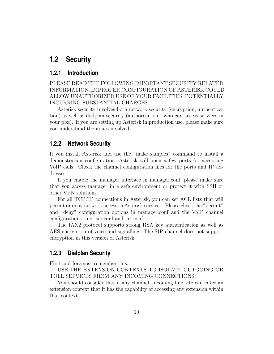# <span id="page-10-0"></span>**1.2 Security**

# <span id="page-10-1"></span>**1.2.1 Introduction**

PLEASE READ THE FOLLOWING IMPORTANT SECURITY RELATED INFORMATION. IMPROPER CONFIGURATION OF ASTERISK COULD ALLOW UNAUTHORIZED USE OF YOUR FACILITIES, POTENTIALLY INCURRING SUBSTANTIAL CHARGES.

Asterisk security involves both network security (encryption, authentication) as well as dialplan security (authorization - who can access services in your pbx). If you are setting up Asterisk in production use, please make sure you understand the issues involved.

# <span id="page-10-2"></span>**1.2.2 Network Security**

If you install Asterisk and use the "make samples" command to install a demonstration configuration, Asterisk will open a few ports for accepting VoIP calls. Check the channel configuration files for the ports and IP addresses.

If you enable the manager interface in manager.conf, please make sure that you access manager in a safe environment or protect it with SSH or other VPN solutions.

For all TCP/IP connections in Asterisk, you can set ACL lists that will permit or deny network access to Asterisk services. Please check the "permit" and "deny" configuration options in manager.conf and the VoIP channel configurations - i.e. sip.conf and iax.conf.

The IAX2 protocol supports strong RSA key authentication as well as AES encryption of voice and signalling. The SIP channel does not support encryption in this version of Asterisk.

# <span id="page-10-3"></span>**1.2.3 Dialplan Security**

First and foremost remember this:

USE THE EXTENSION CONTEXTS TO ISOLATE OUTGOING OR TOLL SERVICES FROM ANY INCOMING CONNECTIONS.

You should consider that if any channel, incoming line, etc can enter an extension context that it has the capability of accessing any extension within that context.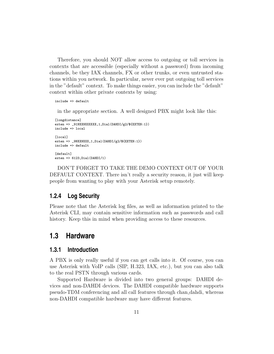Therefore, you should NOT allow access to outgoing or toll services in contexts that are accessible (especially without a password) from incoming channels, be they IAX channels, FX or other trunks, or even untrusted stations within you network. In particular, never ever put outgoing toll services in the "default" context. To make things easier, you can include the "default" context within other private contexts by using:

```
include => default
```
in the appropriate section. A well designed PBX might look like this:

```
[longdistance]
exten => _91NXXNXXXXXX,1,Dial(DAHDI/g2/${EXTEN:1})
include => local
[local]
exten => _9NXXNXXX,1,Dial(DAHDI/g2/${EXTEN:1})
include => default
[default]
exten => 6123, Dial(DAHDI/1)
```
DON'T FORGET TO TAKE THE DEMO CONTEXT OUT OF YOUR DEFAULT CONTEXT. There isn't really a security reason, it just will keep people from wanting to play with your Asterisk setup remotely.

# <span id="page-11-0"></span>**1.2.4 Log Security**

Please note that the Asterisk log files, as well as information printed to the Asterisk CLI, may contain sensitive information such as passwords and call history. Keep this in mind when providing access to these resources.

# <span id="page-11-1"></span>**1.3 Hardware**

# <span id="page-11-2"></span>**1.3.1 Introduction**

A PBX is only really useful if you can get calls into it. Of course, you can use Asterisk with VoIP calls (SIP, H.323, IAX, etc.), but you can also talk to the real PSTN through various cards.

Supported Hardware is divided into two general groups: DAHDI devices and non-DAHDI devices. The DAHDI compatible hardware supports pseudo-TDM conferencing and all call features through chan dahdi, whereas non-DAHDI compatible hardware may have different features.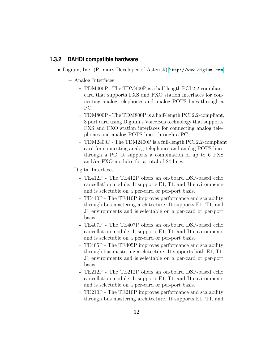# <span id="page-12-0"></span>**1.3.2 DAHDI compatible hardware**

- Digium, Inc. (Primary Developer of Asterisk) <http://www.digium.com>
	- Analog Interfaces
		- ∗ TDM400P The TDM400P is a half-length PCI 2.2-compliant card that supports FXS and FXO station interfaces for connecting analog telephones and analog POTS lines through a PC.
		- ∗ TDM800P The TDM800P is a half-length PCI 2.2-compliant, 8 port card using Digium's VoiceBus technology that supports FXS and FXO station interfaces for connecting analog telephones and analog POTS lines through a PC.
		- ∗ TDM2400P The TDM2400P is a full-length PCI 2.2-compliant card for connecting analog telephones and analog POTS lines through a PC. It supports a combination of up to 6 FXS and/or FXO modules for a total of 24 lines.
	- Digital Interfaces
		- ∗ TE412P The TE412P offers an on-board DSP-based echo cancellation module. It supports E1, T1, and J1 environments and is selectable on a per-card or per-port basis.
		- ∗ TE410P The TE410P improves performance and scalability through bus mastering architecture. It supports E1, T1, and J1 environments and is selectable on a per-card or per-port basis.
		- ∗ TE407P The TE407P offers an on-board DSP-based echo cancellation module. It supports E1, T1, and J1 environments and is selectable on a per-card or per-port basis.
		- ∗ TE405P The TE405P improves performance and scalability through bus mastering architecture. It supports both E1, T1, J1 environments and is selectable on a per-card or per-port basis.
		- ∗ TE212P The TE212P offers an on-board DSP-based echo cancellation module. It supports E1, T1, and J1 environments and is selectable on a per-card or per-port basis.
		- ∗ TE210P The TE210P improves performance and scalability through bus mastering architecture. It supports E1, T1, and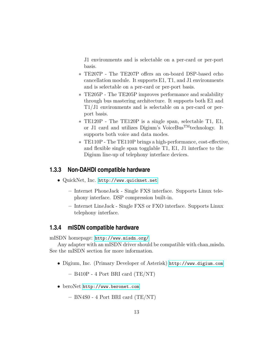J1 environments and is selectable on a per-card or per-port basis.

- ∗ TE207P The TE207P offers an on-board DSP-based echo cancellation module. It supports E1, T1, and J1 environments and is selectable on a per-card or per-port basis.
- ∗ TE205P The TE205P improves performance and scalability through bus mastering architecture. It supports both E1 and T1/J1 environments and is selectable on a per-card or perport basis.
- ∗ TE120P The TE120P is a single span, selectable T1, E1, or J1 card and utilizes Digium's VoiceBusTMtechnology. It supports both voice and data modes.
- ∗ TE110P The TE110P brings a high-performance, cost-effective, and flexible single span togglable T1, E1, J1 interface to the Digium line-up of telephony interface devices.

# <span id="page-13-0"></span>**1.3.3 Non-DAHDI compatible hardware**

- QuickNet, Inc. <http://www.quicknet.net>
	- Internet PhoneJack Single FXS interface. Supports Linux telephony interface. DSP compression built-in.
	- Internet LineJack Single FXS or FXO interface. Supports Linux telephony interface.

## <span id="page-13-1"></span>**1.3.4 mISDN compatible hardware**

mISDN homepage: <http://www.misdn.org/>

Any adapter with an mISDN driver should be compatible with chan misdn. See the mISDN section for more information.

• Digium, Inc. (Primary Developer of Asterisk) <http://www.digium.com>

– B410P - 4 Port BRI card (TE/NT)

• beroNet <http://www.beronet.com>

– BN4S0 - 4 Port BRI card (TE/NT)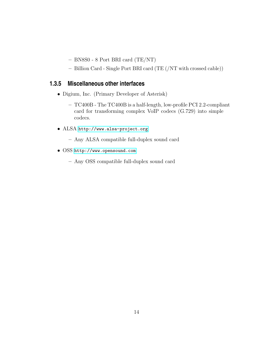- BN8S0 8 Port BRI card (TE/NT)
- Billion Card Single Port BRI card (TE (/NT with crossed cable))

# <span id="page-14-0"></span>**1.3.5 Miscellaneous other interfaces**

- Digium, Inc. (Primary Developer of Asterisk)
	- TC400B The TC400B is a half-length, low-profile PCI 2.2-compliant card for transforming complex VoIP codecs (G.729) into simple codecs.
- ALSA <http://www.alsa-project.org>
	- Any ALSA compatible full-duplex sound card
- OSS <http://www.opensound.com>
	- Any OSS compatible full-duplex sound card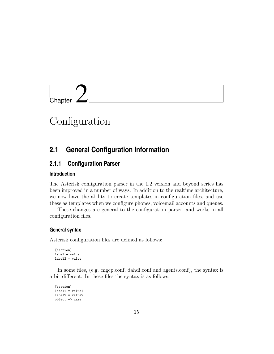<span id="page-15-0"></span>

# **Configuration**

# <span id="page-15-1"></span>**2.1 General Configuration Information**

# <span id="page-15-2"></span>**2.1.1 Configuration Parser**

### **Introduction**

The Asterisk configuration parser in the 1.2 version and beyond series has been improved in a number of ways. In addition to the realtime architecture, we now have the ability to create templates in configuration files, and use these as templates when we configure phones, voicemail accounts and queues.

These changes are general to the configuration parser, and works in all configuration files.

#### **General syntax**

Asterisk configuration files are defined as follows:

```
[section]
label = value
label2 = value
```
In some files, (e.g. mgcp.conf, dahdi.conf and agents.conf), the syntax is a bit different. In these files the syntax is as follows:

```
[section]
label1 = value1label2 = value2
object => name
```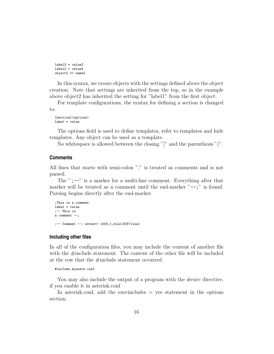```
label3 = value3
label2 = value4object2 \Rightarrow name2
```
In this syntax, we create objects with the settings defined above the object creation. Note that settings are inherited from the top, so in the example above object2 has inherited the setting for "label1" from the first object.

For template configurations, the syntax for defining a section is changed to:

[section](options) label = value

The options field is used to define templates, refer to templates and hide templates. Any object can be used as a template.

No whitespace is allowed between the closing "]" and the parenthesis "(".

#### **Comments**

All lines that starts with semi-colon ";" is treated as comments and is not parsed.

The ";--" is a marker for a multi-line comment. Everything after that marker will be treated as a comment until the end-marker  $"--$ ;" is found. Parsing begins directly after the end-marker.

```
;This is a comment
label = value
;-- This is
a comment --;
;-- Comment --; exten=> 1000,1,dial(SIP/lisa)
```
#### **Including other files**

In all of the configuration files, you may include the content of another file with the #include statement. The content of the other file will be included at the row that the  $\#$ include statement occurred.

```
#include myusers.conf
```
You may also include the output of a program with the  $\#$ exec directive, if you enable it in asterisk.conf

In asterisk.conf, add the execincludes  $=$  yes statement in the options section: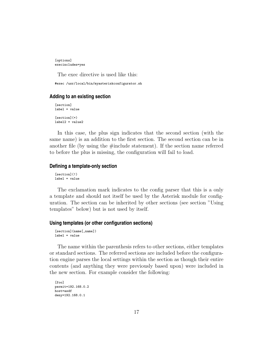[options] execincludes=yes

The exec directive is used like this:

#exec /usr/local/bin/myasteriskconfigurator.sh

#### **Adding to an existing section**

[section] label = value  $[section](+)$ label2 = value2

In this case, the plus sign indicates that the second section (with the same name) is an addition to the first section. The second section can be in another file (by using the #include statement). If the section name referred to before the plus is missing, the configuration will fail to load.

#### **Defining a template-only section**

[section](!) label = value

The exclamation mark indicates to the config parser that this is a only a template and should not itself be used by the Asterisk module for configuration. The section can be inherited by other sections (see section "Using templates" below) but is not used by itself.

#### **Using templates (or other configuration sections)**

[section](name[,name]) label = value

The name within the parenthesis refers to other sections, either templates or standard sections. The referred sections are included before the configuration engine parses the local settings within the section as though their entire contents (and anything they were previously based upon) were included in the new section. For example consider the following:

```
[foo]permit=192.168.0.2
host=asdf
deny=192.168.0.1
```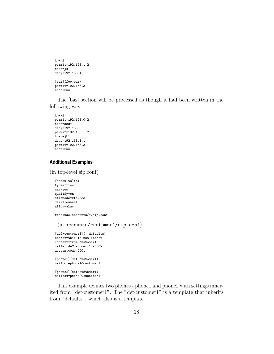```
[bar]
permit=192.168.1.2
host=jkl
deny=192.168.1.1
[baz](foo,bar)
permit=192.168.3.1
host=bnm
```
The [baz] section will be processed as though it had been written in the following way:

```
[baz]
permit=192.168.0.2
host=asdf
deny=192.168.0.1
permit=192.168.1.2
host=jkl
deny=192.168.1.1
permit=192.168.3.1
host=bnm
```
# **Additional Examples**

(in top-level sip.conf)

```
[defaults](!)
type=friend
nat=yes
qualify=on
dtmfmode=rfc2833
disallow=all
allow=alaw
#include accounts/*/sip.conf
 (in accounts/customer1/sip.conf)
[def-customer1](!,defaults)
secret=this_is_not_secret
context=from-customer1
callerid=Customer 1 <300>
accountcode=0001
[phone1](def-customer1)
mailbox=phone1@customer1
[phone2](def-customer1)
mailbox=phone2@customer1
```
This example defines two phones - phone1 and phone2 with settings inherited from "def-customer1". The "def-customer1" is a template that inherits from "defaults", which also is a template.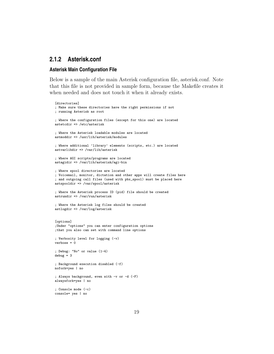# <span id="page-19-0"></span>**2.1.2 Asterisk.conf**

#### **Asterisk Main Configuration File**

Below is a sample of the main Asterisk configuration file, asterisk.conf. Note that this file is not provided in sample form, because the Makefile creates it when needed and does not touch it when it already exists.

```
[directories]
; Make sure these directories have the right permissions if not
; running Asterisk as root
; Where the configuration files (except for this one) are located
astetcdir => /etc/asterisk
; Where the Asterisk loadable modules are located
astmoddir => /usr/lib/asterisk/modules
; Where additional 'library' elements (scripts, etc.) are located
astvarlibdir => /var/lib/asterisk
; Where AGI scripts/programs are located
astagidir => /var/lib/asterisk/agi-bin
; Where spool directories are located
; Voicemail, monitor, dictation and other apps will create files here
; and outgoing call files (used with pbx_spool) must be placed here
astspooldir => /var/spool/asterisk
; Where the Asterisk process ID (pid) file should be created
astrundir => /var/run/asterisk
; Where the Asterisk log files should be created
astlogdir => /var/log/asterisk
[options]
;Under "options" you can enter configuration options
;that you also can set with command line options
; Verbosity level for logging (-v)
verbose = 0
; Debug: "No" or value (1-4)
debug = 3; Background execution disabled (-f)
nofork=yes | no
; Always background, even with -v or -d (-F)
alwaysfork=yes | no
; Console mode (-c)
console= yes | no
```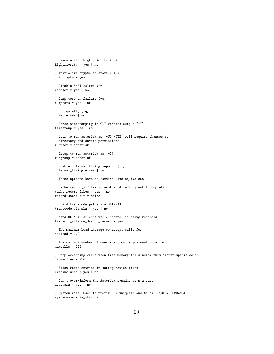```
; Execute with high priority (-p)
highpriority = yes \mid no; Initialize crypto at startup (-i)
initcrypto = yes | no
; Disable ANSI colors (-n)
nocolor = yes | no
; Dump core on failure (-g)
dumpcore = yes | no
; Run quietly (-q)
quiet = yes | no
; Force timestamping in CLI verbose output (-T)
timestamp = yes | no
; User to run asterisk as (-U) NOTE: will require changes to
; directory and device permissions
runuser = asterisk
; Group to run asterisk as (-G)
rungroup = asterisk
; Enable internal timing support (-I)
internal_timing = yes | no
; These options have no command line equivalent
; Cache record() files in another directory until completion
cache_record_files = yes | no
record_cache_dir = <dir>
; Build transcode paths via SLINEAR
transcode_via_sln = yes | no
; send SLINEAR silence while channel is being recorded
transmit_silence_during_record = yes | no
; The maximum load average we accept calls for
maxload = 1.0; The maximum number of concurrent calls you want to allow
maxcalls = 255
; Stop accepting calls when free memory falls below this amount specified in MB
minmemfree = 256
; Allow #exec entries in configuration files
execincludes = yes | no
; Don't over-inform the Asterisk sysadm, he's a guru
dontwarn = yes | no
; System name. Used to prefix CDR uniqueid and to fill \${SYSTEMNAME}
```

```
systemname = <a_string>
```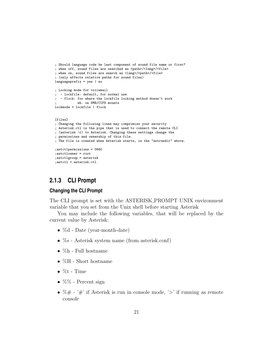```
; Should language code be last component of sound file name or first?
; when off, sound files are searched as <path>/<lang>/<file>
; when on, sound files are search as <lang>/<path>/<file>
; (only affects relative paths for sound files)
languageprefix = yes | no
; Locking mode for voicemail
; - lockfile: default, for normal use
; - flock: for where the lockfile locking method doesn't work
           eh. on SMB/CIFS mounts
lockmode = lockfile | flock
[files]
; Changing the following lines may compromise your security
; Asterisk.ctl is the pipe that is used to connect the remote CLI
; (asterisk -r) to Asterisk. Changing these settings change the
; permissions and ownership of this file.
; The file is created when Asterisk starts, in the "astrundir" above.
;astctlpermissions = 0660
;astctlowner = root
;astctlgroup = asterisk
;astctl = asterisk.ctl
```
# <span id="page-21-0"></span>**2.1.3 CLI Prompt**

#### **Changing the CLI Prompt**

The CLI prompt is set with the ASTERISK PROMPT UNIX environment variable that you set from the Unix shell before starting Asterisk

You may include the following variables, that will be replaced by the current value by Asterisk:

- %d Date (year-month-date)
- $\%$ s Asterisk system name (from asterisk.conf)
- $\bullet\,$  %h Full hostname
- %H Short hostname
- $\bullet$  %t Time
- $\%$ % Percent sign
- $\% \#$  '#' if Asterisk is run in console mode, '>' if running as remote console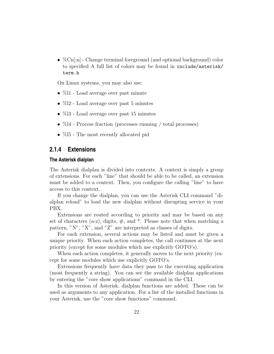•  $\%$ Cn[;n] - Change terminal foreground (and optional background) color to specified A full list of colors may be found in include/asterisk/ term.h

On Linux systems, you may also use:

- %11 Load average over past minute
- $\%$ 12 Load average over past 5 minutes
- $\%$ 13 Load average over past 15 minutes
- %14 Process fraction (processes running / total processes)
- %15 The most recently allocated pid

## <span id="page-22-0"></span>**2.1.4 Extensions**

#### **The Asterisk dialplan**

The Asterisk dialplan is divided into contexts. A context is simply a group of extensions. For each "line" that should be able to be called, an extension must be added to a context. Then, you configure the calling "line" to have access to this context.

If you change the dialplan, you can use the Asterisk CLI command "dialplan reload" to load the new dialplan without disrupting service in your PBX.

Extensions are routed according to priority and may be based on any set of characters (a-z), digits,  $\#$ , and  $*$ . Please note that when matching a pattern, "N", "X", and "Z" are interpreted as classes of digits.

For each extension, several actions may be listed and must be given a unique priority. When each action completes, the call continues at the next priority (except for some modules which use explicitly GOTO's).

When each action completes, it generally moves to the next priority (except for some modules which use explicitly GOTO's.

Extensions frequently have data they pass to the executing application (most frequently a string). You can see the available dialplan applications by entering the "core show applications" command in the CLI.

In this version of Asterisk, dialplan functions are added. These can be used as arguments to any application. For a list of the installed functions in your Asterisk, use the "core show functions" command.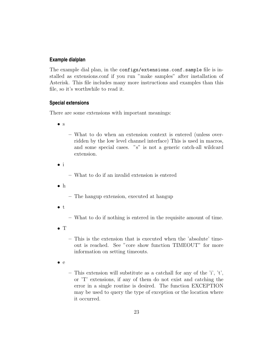## **Example dialplan**

The example dial plan, in the configs/extensions.conf.sample file is installed as extensions.conf if you run "make samples" after installation of Asterisk. This file includes many more instructions and examples than this file, so it's worthwhile to read it.

### **Special extensions**

There are some extensions with important meanings:

• s

- What to do when an extension context is entered (unless overridden by the low level channel interface) This is used in macros, and some special cases. "s" is not a generic catch-all wildcard extension.
- i

– What to do if an invalid extension is entered

- h
- The hangup extension, executed at hangup
- $t$
- What to do if nothing is entered in the requisite amount of time.
- T
- This is the extension that is executed when the 'absolute' timeout is reached. See "core show function TIMEOUT" for more information on setting timeouts.
- $\bullet$  e
- This extension will substitute as a catchall for any of the 'i', 't', or 'T' extensions, if any of them do not exist and catching the error in a single routine is desired. The function EXCEPTION may be used to query the type of exception or the location where it occurred.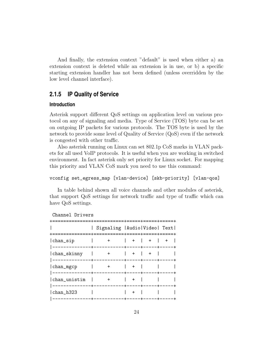And finally, the extension context "default" is used when either a) an extension context is deleted while an extension is in use, or b) a specific starting extension handler has not been defined (unless overridden by the low level channel interface).

# <span id="page-24-0"></span>**2.1.5 IP Quality of Service**

## **Introduction**

Asterisk support different QoS settings on application level on various protocol on any of signaling and media. Type of Service (TOS) byte can be set on outgoing IP packets for various protocols. The TOS byte is used by the network to provide some level of Quality of Service (QoS) even if the network is congested with other traffic.

Also asterisk running on Linux can set 802.1p CoS marks in VLAN packets for all used VoIP protocols. It is useful when you are working in switched environment. In fact asterisk only set priority for Linux socket. For mapping this priority and VLAN CoS mark you need to use this command:

#### vconfig set\_egress\_map [vlan-device] [skb-priority] [vlan-qos]

In table behind shown all voice channels and other modules of asterisk, that support QoS settings for network traffic and type of traffic which can have QoS settings.

#### Channel Drivers

|  | Signaling   Audio   Video   Text  <br>======+==========+====+=====+====+=== |
|--|-----------------------------------------------------------------------------|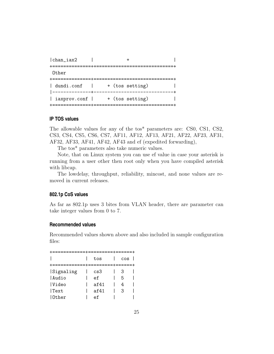| chan_iax2                   |  |                        |  |
|-----------------------------|--|------------------------|--|
| Other<br>+===============+: |  | ====================== |  |
| dundi.conf                  |  | + (tos setting)        |  |
| iaxprov.conf                |  | + (tos setting)        |  |
|                             |  |                        |  |

#### **IP TOS values**

The allowable values for any of the tos\* parameters are: CS0, CS1, CS2, CS3, CS4, CS5, CS6, CS7, AF11, AF12, AF13, AF21, AF22, AF23, AF31, AF32, AF33, AF41, AF42, AF43 and ef (expedited forwarding),

The tos\* parameters also take numeric values.

Note, that on Linux system you can use ef value in case your asterisk is running from a user other then root only when you have compiled asterisk with libcap.

The lowdelay, throughput, reliability, mincost, and none values are removed in current releases.

#### **802.1p CoS values**

As far as 802.1p uses 3 bites from VLAN header, there are parameter can take integer values from 0 to 7.

#### **Recommended values**

Recommended values shown above and also included in sample configuration files:

| ============+=========+=====+  |      |     |  |
|--------------------------------|------|-----|--|
| +============+=========+=====+ | tos  | cos |  |
|                                |      |     |  |
| Signaling                      | cs3  | З   |  |
| Audio                          | ef   | 5   |  |
| <i>Video</i>                   | af41 | 4   |  |
| Text                           | af41 | З   |  |
| 10ther                         | ef   |     |  |
|                                |      |     |  |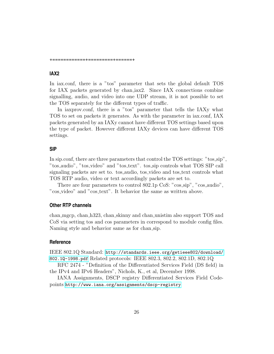+============+=========+======+

# **IAX2**

In iax.conf, there is a "tos" parameter that sets the global default TOS for IAX packets generated by chan iax2. Since IAX connections combine signalling, audio, and video into one UDP stream, it is not possible to set the TOS separately for the different types of traffic.

In iaxprov.conf, there is a "tos" parameter that tells the IAXy what TOS to set on packets it generates. As with the parameter in iax.conf, IAX packets generated by an IAXy cannot have different TOS settings based upon the type of packet. However different IAXy devices can have different TOS settings.

#### **SIP**

In sip.conf, there are three parameters that control the TOS settings: "tos sip", "tos\_audio", "tos\_video" and "tos\_text". tos\_sip controls what TOS SIP call signaling packets are set to. tos audio, tos video and tos text controls what TOS RTP audio, video or text accordingly packets are set to.

There are four parameters to control 802.1p CoS: "cos\_sip", "cos\_audio", "cos video" and "cos text". It behavior the same as written above.

#### **Other RTP channels**

chan mgcp, chan h323, chan skinny and chan unistim also support TOS and CoS via setting tos and cos parameters in correspond to module config files. Naming style and behavior same as for chan sip.

#### **Reference**

IEEE 802.1Q Standard: [http://standards.ieee.org/getieee802/download/](http://standards.ieee.org/getieee802/download/802.1Q-1998.pdf) [802.1Q-1998.pdf](http://standards.ieee.org/getieee802/download/802.1Q-1998.pdf) Related protocols: IEEE 802.3, 802.2, 802.1D, 802.1Q

RFC 2474 - "Definition of the Differentiated Services Field (DS field) in the IPv4 and IPv6 Headers", Nichols, K., et al, December 1998.

IANA Assignments, DSCP registry Differentiated Services Field Codepoints <http://www.iana.org/assignments/dscp-registry>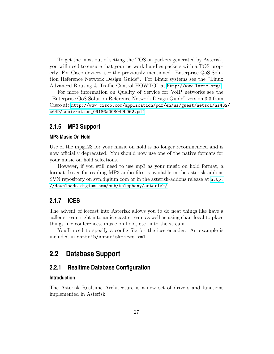To get the most out of setting the TOS on packets generated by Asterisk, you will need to ensure that your network handles packets with a TOS properly. For Cisco devices, see the previously mentioned "Enterprise QoS Solution Reference Network Design Guide". For Linux systems see the "Linux Advanced Routing & Traffic Control HOWTO" at <http://www.lartc.org/>.

For more information on Quality of Service for VoIP networks see the "Enterprise QoS Solution Reference Network Design Guide" version 3.3 from Cisco at: [http://www.cisco.com/application/pdf/en/us/guest/netsol/ns43](http://www.cisco.com/application/pdf/en/us/guest/netsol/ns432/c649/ccmigration_09186a008049b062.pdf)2/ [c649/ccmigration\\_09186a008049b062.pdf](http://www.cisco.com/application/pdf/en/us/guest/netsol/ns432/c649/ccmigration_09186a008049b062.pdf)

## <span id="page-27-0"></span>**2.1.6 MP3 Support**

#### **MP3 Music On Hold**

Use of the mpg123 for your music on hold is no longer recommended and is now officially deprecated. You should now use one of the native formats for your music on hold selections.

However, if you still need to use mp3 as your music on hold format, a format driver for reading MP3 audio files is available in the asterisk-addons SVN repository on svn.digium.com or in the asterisk-addons release at [http:](http://downloads.digium.com/pub/telephony/asterisk/) [//downloads.digium.com/pub/telephony/asterisk/](http://downloads.digium.com/pub/telephony/asterisk/).

# <span id="page-27-1"></span>**2.1.7 ICES**

The advent of icecast into Asterisk allows you to do neat things like have a caller stream right into an ice-cast stream as well as using chan local to place things like conferences, music on hold, etc. into the stream.

You'll need to specify a config file for the ices encoder. An example is included in contrib/asterisk-ices.xml.

# <span id="page-27-2"></span>**2.2 Database Support**

## <span id="page-27-3"></span>**2.2.1 Realtime Database Configuration**

## **Introduction**

The Asterisk Realtime Architecture is a new set of drivers and functions implemented in Asterisk.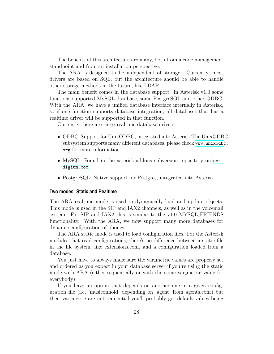The benefits of this architecture are many, both from a code management standpoint and from an installation perspective.

The ARA is designed to be independent of storage. Currently, most drivers are based on SQL, but the architecture should be able to handle other storage methods in the future, like LDAP.

The main benefit comes in the database support. In Asterisk v1.0 some functions supported MySQL database, some PostgreSQL and other ODBC. With the ARA, we have a unified database interface internally in Asterisk, so if one function supports database integration, all databases that has a realtime driver will be supported in that function.

Currently there are three realtime database drivers:

- ODBC: Support for UnixODBC, integrated into Asterisk The UnixODBC subsystem supports many different databases, please check [www.unixodbc](www.unixodbc.org). [org](www.unixodbc.org) for more information.
- MySQL: Found in the asterisk-addons subversion repository on [svn.](svn.digium.com) [digium.com](svn.digium.com)
- PostgreSQL: Native support for Postgres, integrated into Asterisk

#### **Two modes: Static and Realtime**

The ARA realtime mode is used to dynamically load and update objects. This mode is used in the SIP and IAX2 channels, as well as in the voicemail system. For SIP and IAX2 this is similar to the v1.0 MYSQL FRIENDS functionality. With the ARA, we now support many more databases for dynamic configuration of phones.

The ARA static mode is used to load configuration files. For the Asterisk modules that read configurations, there's no difference between a static file in the file system, like extensions.conf, and a configuration loaded from a database.

You just have to always make sure the var metric values are properly set and ordered as you expect in your database server if you're using the static mode with ARA (either sequentially or with the same var metric value for everybody).

If you have an option that depends on another one in a given configuration file (i.e, 'musiconhold' depending on 'agent' from agents.conf) but their var metric are not sequential you'll probably get default values being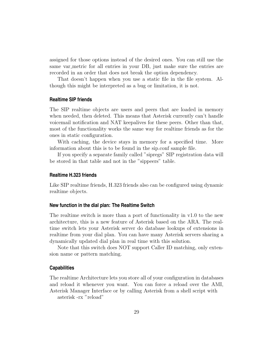assigned for those options instead of the desired ones. You can still use the same var metric for all entries in your DB, just make sure the entries are recorded in an order that does not break the option dependency.

That doesn't happen when you use a static file in the file system. Although this might be interpreted as a bug or limitation, it is not.

#### **Realtime SIP friends**

The SIP realtime objects are users and peers that are loaded in memory when needed, then deleted. This means that Asterisk currently can't handle voicemail notification and NAT keepalives for these peers. Other than that, most of the functionality works the same way for realtime friends as for the ones in static configuration.

With caching, the device stays in memory for a specified time. More information about this is to be found in the sip.conf sample file.

If you specify a separate family called "sipregs" SIP registration data will be stored in that table and not in the "sippeers" table.

#### **Realtime H.323 friends**

Like SIP realtime friends, H.323 friends also can be configured using dynamic realtime objects.

#### **New function in the dial plan: The Realtime Switch**

The realtime switch is more than a port of functionality in v1.0 to the new architecture, this is a new feature of Asterisk based on the ARA. The realtime switch lets your Asterisk server do database lookups of extensions in realtime from your dial plan. You can have many Asterisk servers sharing a dynamically updated dial plan in real time with this solution.

Note that this switch does NOT support Caller ID matching, only extension name or pattern matching.

#### **Capabilities**

The realtime Architecture lets you store all of your configuration in databases and reload it whenever you want. You can force a reload over the AMI, Asterisk Manager Interface or by calling Asterisk from a shell script with asterisk -rx "reload"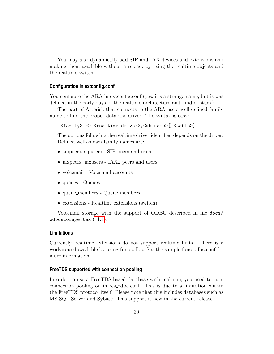You may also dynamically add SIP and IAX devices and extensions and making them available without a reload, by using the realtime objects and the realtime switch.

#### **Configuration in extconfig.conf**

You configure the ARA in extconfig.conf (yes, it's a strange name, but is was defined in the early days of the realtime architecture and kind of stuck).

The part of Asterisk that connects to the ARA use a well defined family name to find the proper database driver. The syntax is easy:

<family> => <realtime driver>,<db name>[,<table>]

The options following the realtime driver identified depends on the driver. Defined well-known family names are:

- sippeers, sipusers SIP peers and users
- iaxpeers, iaxusers IAX2 peers and users
- voicemail Voicemail accounts
- queues Queues
- queue members Queue members
- extensions Realtime extensions (switch)

Voicemail storage with the support of ODBC described in file docs/ odbcstorage.tex [\(11.1\)](#page-151-1).

#### **Limitations**

Currently, realtime extensions do not support realtime hints. There is a workaround available by using func odbc. See the sample func odbc.conf for more information.

### **FreeTDS supported with connection pooling**

In order to use a FreeTDS-based database with realtime, you need to turn connection pooling on in res odbc.conf. This is due to a limitation within the FreeTDS protocol itself. Please note that this includes databases such as MS SQL Server and Sybase. This support is new in the current release.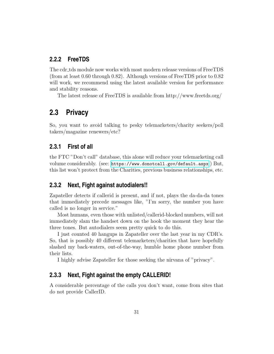# <span id="page-31-0"></span>**2.2.2 FreeTDS**

The cdr tds module now works with most modern release versions of FreeTDS (from at least 0.60 through 0.82). Although versions of FreeTDS prior to 0.82 will work, we recommend using the latest available version for performance and stability reasons.

The latest release of FreeTDS is available from http://www.freetds.org/

# <span id="page-31-1"></span>**2.3 Privacy**

So, you want to avoid talking to pesky telemarketers/charity seekers/poll takers/magazine renewers/etc?

# <span id="page-31-2"></span>**2.3.1 First of all**

the FTC "Don't call" database, this alone will reduce your telemarketing call volume considerably. (see: <https://www.donotcall.gov/default.aspx> ) But, this list won't protect from the Charities, previous business relationships, etc.

# <span id="page-31-3"></span>**2.3.2 Next, Fight against autodialers!!**

Zapateller detects if callerid is present, and if not, plays the da-da-da tones that immediately precede messages like, "I'm sorry, the number you have called is no longer in service."

Most humans, even those with unlisted/callerid-blocked numbers, will not immediately slam the handset down on the hook the moment they hear the three tones. But autodialers seem pretty quick to do this.

I just counted 40 hangups in Zapateller over the last year in my CDR's. So, that is possibly 40 different telemarketers/charities that have hopefully slashed my back-waters, out-of-the-way, humble home phone number from their lists.

I highly advise Zapateller for those seeking the nirvana of "privacy".

# <span id="page-31-4"></span>**2.3.3 Next, Fight against the empty CALLERID!**

A considerable percentage of the calls you don't want, come from sites that do not provide CallerID.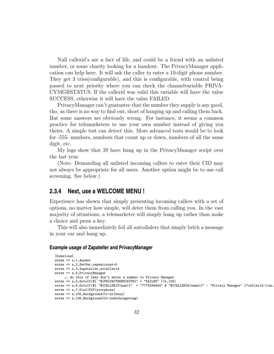Null callerid's are a fact of life, and could be a friend with an unlisted number, or some charity looking for a handout. The PrivacyManager application can help here. It will ask the caller to enter a 10-digit phone number. They get 3 tries(configurable), and this is configurable, with control being passed to next priority where you can check the channelvariable PRIVA-CYMGRSTATUS. If the callerid was valid this variable will have the value SUCCESS, otherwise it will have the value FAILED.

PrivacyManager can't guarantee that the number they supply is any good, tho, as there is no way to find out, short of hanging up and calling them back. But some answers are obviously wrong. For instance, it seems a common practice for telemarketers to use your own number instead of giving you theirs. A simple test can detect this. More advanced tests would be to look for -555- numbers, numbers that count up or down, numbers of all the same digit, etc.

My logs show that 39 have hung up in the PrivacyManager script over the last year.

(Note: Demanding all unlisted incoming callers to enter their CID may not always be appropriate for all users. Another option might be to use call screening. See below.)

# <span id="page-32-0"></span>**2.3.4 Next, use a WELCOME MENU !**

Experience has shown that simply presenting incoming callers with a set of options, no matter how simple, will deter them from calling you. In the vast majority of situations, a telemarketer will simply hang up rather than make a choice and press a key.

This will also immediately foil all autodialers that simply belch a message in your ear and hang up.

#### **Example usage of Zapateller and PrivacyManager**

```
[homeline]
ext{en} => s, 1, Answer
exten => s,2, SetVar, repeatcount=0
exten => s,3,Zapateller,nocallerid
exten => s,4, PrivacyManager
    ;; do this if they don't enter a number to Privacy Manager
exten => s,5,GotoIf($[ "${PRIVACYMGRSTATUS}" = "FAILED" ]?s,105)
exten => s,6,GotoIf($[ "${CALLERID(num)}" = "7773334444" & "${CALLERID(name)}" : "Privacy Manager" ]?callerid-liar,
exten => s,7,Dial(SIP/yourphone)
exten => s,105,Background(tt-allbusy)
exten => s,106,Background(tt-somethingwrong)
```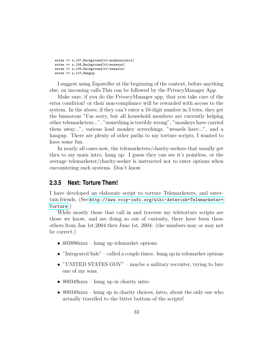```
exten => s,107,Background(tt-monkeysintro)
exten => s,108,Background(tt-monkeys)
exten => s,109,Background(tt-weasels)
exten => s, 110, Hangup
```
I suggest using Zapateller at the beginning of the context, before anything else, on incoming calls.This can be followed by the PrivacyManager App.

Make sure, if you do the PrivacyManager app, that you take care of the error condition! or their non-compliance will be rewarded with access to the system. In the above, if they can't enter a 10-digit number in 3 tries, they get the humorous "I'm sorry, but all household members are currently helping other telemarketers...", "something is terribly wrong", "monkeys have carried them away...", various loud monkey screechings, "weasels have...", and a hangup. There are plenty of other paths to my torture scripts, I wanted to have some fun.

In nearly all cases now, the telemarketers/charity-seekers that usually get thru to my main intro, hang up. I guess they can see it's pointless, or the average telemarketer/charity-seeker is instructed not to enter options when encountering such systems. Don't know.

# <span id="page-33-0"></span>**2.3.5 Next: Torture Them!**

I have developed an elaborate script to torture Telemarketers, and entertain friends. (See [http://www.voip-info.org/wiki-Asterisk+Telemarketer+](http://www.voip-info.org/wiki-Asterisk+Telemarketer+Torture) [Torture](http://www.voip-info.org/wiki-Asterisk+Telemarketer+Torture) )

While mostly those that call in and traverse my teletorture scripts are those we know, and are doing so out of curiosity, there have been these others from Jan 1st,2004 thru June 1st, 2004: (the numbers may or may not be correct.)

- 603890zzzz hung up telemarket options.
- "Integrated Sale" called a couple times. hung up in telemarket options
- "UNITED STATES GOV" maybe a military recruiter, trying to lure one of my sons.
- 800349zzzz hung up in charity intro
- 800349zzzz hung up in charity choices, intro, about the only one who actually travelled to the bitter bottom of the scripts!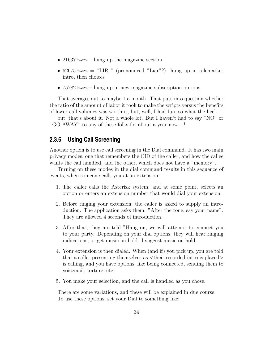- 216377zzzz hung up the magazine section
- 626757zzzz = "LIR" (pronounced "Liar"?) hung up in telemarket intro, then choices
- 757821zzzz hung up in new magazine subscription options.

That averages out to maybe 1 a month. That puts into question whether the ratio of the amount of labor it took to make the scripts versus the benefits of lower call volumes was worth it, but, well, I had fun, so what the heck.

but, that's about it. Not a whole lot. But I haven't had to say "NO" or "GO AWAY" to any of these folks for about a year now ...!

# <span id="page-34-0"></span>**2.3.6 Using Call Screening**

Another option is to use call screening in the Dial command. It has two main privacy modes, one that remembers the CID of the caller, and how the callee wants the call handled, and the other, which does not have a "memory".

Turning on these modes in the dial command results in this sequence of events, when someone calls you at an extension:

- 1. The caller calls the Asterisk system, and at some point, selects an option or enters an extension number that would dial your extension.
- 2. Before ringing your extension, the caller is asked to supply an introduction. The application asks them: "After the tone, say your name". They are allowed 4 seconds of introduction.
- 3. After that, they are told "Hang on, we will attempt to connect you to your party. Depending on your dial options, they will hear ringing indications, or get music on hold. I suggest music on hold.
- 4. Your extension is then dialed. When (and if) you pick up, you are told that a caller presenting themselves as  $\lt$ their recorded intro is played $>$ is calling, and you have options, like being connected, sending them to voicemail, torture, etc.
- 5. You make your selection, and the call is handled as you chose.

There are some variations, and these will be explained in due course. To use these options, set your Dial to something like: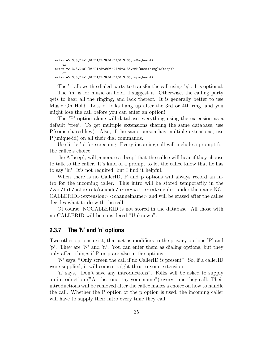```
exten => 3,3,Dial(DAHDI/5r3&DAHDI/6r3,35,tmPA(beep))
    or
exten => 3,3,Dial(DAHDI/5r3&DAHDI/6r3,35,tmP(something)A(beep))
   or
exten => 3,3,Dial(DAHDI/5r3&DAHDI/6r3,35,tmpA(beep))
```
The 't' allows the dialed party to transfer the call using  $\ddot{f}$ ". It's optional.

The 'm' is for music on hold. I suggest it. Otherwise, the calling party gets to hear all the ringing, and lack thereof. It is generally better to use Music On Hold. Lots of folks hang up after the 3rd or 4th ring, and you might lose the call before you can enter an option!

The 'P' option alone will database everything using the extension as a default 'tree'. To get multiple extensions sharing the same database, use P(some-shared-key). Also, if the same person has multiple extensions, use P(unique-id) on all their dial commands.

Use little 'p' for screening. Every incoming call will include a prompt for the callee's choice.

the A(beep), will generate a 'beep' that the callee will hear if they choose to talk to the caller. It's kind of a prompt to let the callee know that he has to say 'hi'. It's not required, but I find it helpful.

When there is no CallerID, P and p options will always record an intro for the incoming caller. This intro will be stored temporarily in the /var/lib/asterisk/sounds/priv-callerintros dir, under the name NO-CALLERID\_<extension> <channelname> and will be erased after the callee decides what to do with the call.

Of course, NOCALLERID is not stored in the database. All those with no CALLERID will be considered "Unknown".

## <span id="page-35-0"></span>**2.3.7 The 'N' and 'n' options**

Two other options exist, that act as modifiers to the privacy options 'P' and 'p'. They are 'N' and 'n'. You can enter them as dialing options, but they only affect things if P or p are also in the options.

'N' says, "Only screen the call if no CallerID is present". So, if a callerID were supplied, it will come straight thru to your extension.

'n' says, "Don't save any introductions". Folks will be asked to supply an introduction ("At the tone, say your name") every time they call. Their introductions will be removed after the callee makes a choice on how to handle the call. Whether the P option or the p option is used, the incoming caller will have to supply their intro every time they call.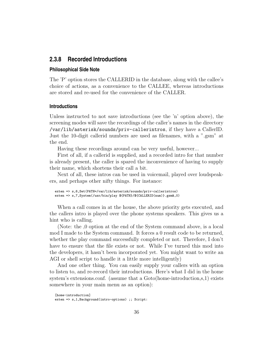### **2.3.8 Recorded Introductions**

#### **Philosophical Side Note**

The 'P' option stores the CALLERID in the database, along with the callee's choice of actions, as a convenience to the CALLEE, whereas introductions are stored and re-used for the convenience of the CALLER.

#### **Introductions**

Unless instructed to not save introductions (see the 'n' option above), the screening modes will save the recordings of the caller's names in the directory /var/lib/asterisk/sounds/priv-callerintros, if they have a CallerID. Just the 10-digit callerid numbers are used as filenames, with a ".gsm" at the end.

Having these recordings around can be very useful, however...

First of all, if a callerid is supplied, and a recorded intro for that number is already present, the caller is spared the inconvenience of having to supply their name, which shortens their call a bit.

Next of all, these intros can be used in voicemail, played over loudspeakers, and perhaps other nifty things. For instance:

```
exten => s,6,Set(PATH=/var/lib/asterisk/sounds/priv-callerintros)
exten => s,7,System(/usr/bin/play ${PATH}/${CALLERID(num)}.gsm&,0)
```
When a call comes in at the house, the above priority gets executed, and the callers intro is played over the phone systems speakers. This gives us a hint who is calling.

(Note: the ,0 option at the end of the System command above, is a local mod I made to the System command. It forces a 0 result code to be returned, whether the play command successfully completed or not. Therefore, I don't have to ensure that the file exists or not. While I've turned this mod into the developers, it hasn't been incorporated yet. You might want to write an AGI or shell script to handle it a little more intelligently)

And one other thing. You can easily supply your callers with an option to listen to, and re-record their introductions. Here's what I did in the home system's extensions.conf. (assume that a Goto(home-introduction,s,1) exists somewhere in your main menu as an option):

```
[home-introduction]
exten => s,1,Background(intro-options) ;; Script:
```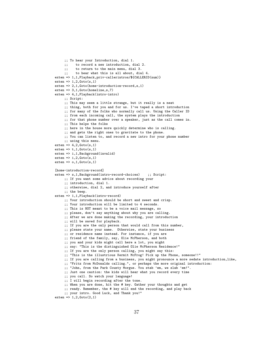```
;; To hear your Introduction, dial 1.
     ;; to record a new introduction, dial 2.
     ;; to return to the main menu, dial 3.
     ;; to hear what this is all about, dial 4.
exten => 1,1,Playback,priv-callerintros/${CALLERID(num)}
exten \Rightarrow 1,2,\text{Goto}(s,1)exten => 2,1,Goto(home-introduction-record,s,1)
exten \approx 3,1,Goto(homeline,s,7)exten => 4,1,Playback(intro-intro)
    ;; Script:
     ;; This may seem a little strange, but it really is a neat
     ;; thing, both for you and for us. I've taped a short introduction
     ;; for many of the folks who normally call us. Using the Caller ID
     ;; from each incoming call, the system plays the introduction
     ;; for that phone number over a speaker, just as the call comes in.
     ;; This helps the folks
     ;; here in the house more quickly determine who is calling.
     ;; and gets the right ones to gravitate to the phone.
     ;; You can listen to, and record a new intro for your phone number
     ;; using this menu.
exten => 4,2,Goto(s,1)exten \Rightarrow t, 1, Goto(s,1)exten => i,1,Background(invalid)
exten \Rightarrow i,2,Goto(s,1)exten \Rightarrow o, 1, Goto(s, 1)[home-introduction-record]
exten => s,1,Background(intro-record-choices) ;; Script:
     ;; If you want some advice about recording your
     ;; introduction, dial 1.
     ;; otherwise, dial 2, and introduce yourself after
     ;; the beep.
exten => 1,1,Playback(intro-record)
     ;; Your introduction should be short and sweet and crisp.
     ;; Your introduction will be limited to 4 seconds.
     ;; This is NOT meant to be a voice mail message, so
     ;; please, don't say anything about why you are calling.
     ;; After we are done making the recording, your introduction
     ;; will be saved for playback.
     ;; If you are the only person that would call from this number,
     ;; please state your name. Otherwise, state your business
     ;; or residence name instead. For instance, if you are
     ;; friend of the family, say, Olie McPherson, and both
     ;; you and your kids might call here a lot, you might
     ;; say: "This is the distinguished Olie McPherson Residence!"
     ;; If you are the only person calling, you might say this:
     ;; "This is the illustrious Kermit McFrog! Pick up the Phone, someone!!"
     ;; If you are calling from a business, you might pronounce a more sedate introduction,like,
     ;; "Fritz from McDonalds calling.", or perhaps the more original introduction:
     ;; "John, from the Park County Morgue. You stab 'em, we slab 'em!".
     ;; Just one caution: the kids will hear what you record every time
     ;; you call. So watch your language!
     ;; I will begin recording after the tone.
     ;; When you are done, hit the # key. Gather your thoughts and get
     ;; ready. Remember, the # key will end the recording, and play back
     ;; your intro. Good Luck, and Thank you!"
```

```
ext{en} => 1,2,Goto(2,1)
```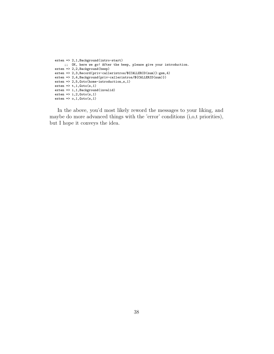```
exten => 2,1,Background(intro-start)
    ;; OK, here we go! After the beep, please give your introduction.
exten => 2,2,Background(beep)
exten => 2,3,Record(priv-callerintros/${CALLERID(num)}:gsm,4)
exten => 2,4,Background(priv-callerintros/${CALLERID(num)})
exten => 2,5,Goto(home-introduction,s,1)
exten \Rightarrow t, 1, Goto(s,1)exten => i,1,Background(invalid)
exten \Rightarrow i,2,Goto(s,1)exten \Rightarrow o, 1, Goto(s, 1)
```
In the above, you'd most likely reword the messages to your liking, and maybe do more advanced things with the 'error' conditions (i,o,t priorities), but I hope it conveys the idea.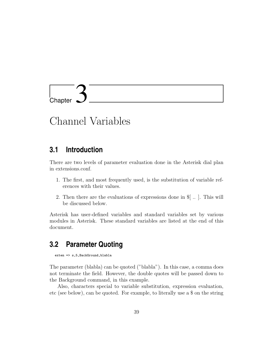

# Channel Variables

### **3.1 Introduction**

There are two levels of parameter evaluation done in the Asterisk dial plan in extensions.conf.

- 1. The first, and most frequently used, is the substitution of variable references with their values.
- 2. Then there are the evaluations of expressions done in \$[ .. ]. This will be discussed below.

Asterisk has user-defined variables and standard variables set by various modules in Asterisk. These standard variables are listed at the end of this document.

## **3.2 Parameter Quoting**

exten => s,5, BackGround, blabla

The parameter (blabla) can be quoted ("blabla"). In this case, a comma does not terminate the field. However, the double quotes will be passed down to the Background command, in this example.

Also, characters special to variable substitution, expression evaluation, etc (see below), can be quoted. For example, to literally use a \$ on the string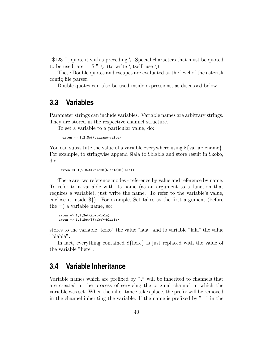"\$1231", quote it with a preceding \. Special characters that must be quoted to be used, are  $\lceil \frac{1}{3} \rceil \cdot \ldots \cdot \text{to write } \text{itself, use } \rangle$ .

These Double quotes and escapes are evaluated at the level of the asterisk config file parser.

Double quotes can also be used inside expressions, as discussed below.

### **3.3 Variables**

Parameter strings can include variables. Variable names are arbitrary strings. They are stored in the respective channel structure.

To set a variable to a particular value, do:

exten => 1,2,Set(varname=value)

You can substitute the value of a variable everywhere using  $\{\varphi\}$  {variablename}. For example, to stringwise append \$lala to \$blabla and store result in \$koko, do:

```
exten => 1,2,Set(koko=${blabla}${lala})
```
There are two reference modes - reference by value and reference by name. To refer to a variable with its name (as an argument to a function that requires a variable), just write the name. To refer to the variable's value, enclose it inside \${}. For example, Set takes as the first argument (before the  $=$ ) a variable name, so:

```
exten => 1,2,Set(koko=lala)
exten => 1,3,Set(${koko}=blabla)
```
stores to the variable "koko" the value "lala" and to variable "lala" the value "blabla".

In fact, everything contained \${here} is just replaced with the value of the variable "here".

## **3.4 Variable Inheritance**

Variable names which are prefixed by " " will be inherited to channels that are created in the process of servicing the original channel in which the variable was set. When the inheritance takes place, the prefix will be removed in the channel inheriting the variable. If the name is prefixed by  $" \_"$  in the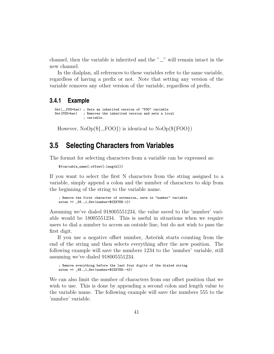channel, then the variable is inherited and the  $"_{-}'$  will remain intact in the new channel.

In the dialplan, all references to these variables refer to the same variable, regardless of having a prefix or not. Note that setting any version of the variable removes any other version of the variable, regardless of prefix.

### **3.4.1 Example**

```
Set(__FOO=bar) ; Sets an inherited version of "FOO" variable<br>Set(FOO=bar) ; Removes the inherited version and sets a lo
                     ; Removes the inherited version and sets a local
                       ; variable.
```
However,  $NoOp(\frac{2}{2}FOO)$  is identical to  $NoOp(\frac{2}{2}FOO)$ 

### **3.5 Selecting Characters from Variables**

The format for selecting characters from a variable can be expressed as:

```
${variable_name[:offset[:length]]}
```
If you want to select the first N characters from the string assigned to a variable, simply append a colon and the number of characters to skip from the beginning of the string to the variable name.

```
; Remove the first character of extension, save in "number" variable
exten => _9X., 1, Set(number=${EXTEN:1})
```
Assuming we've dialed 918005551234, the value saved to the 'number' variable would be 18005551234. This is useful in situations when we require users to dial a number to access an outside line, but do not wish to pass the first digit.

If you use a negative offset number, Asterisk starts counting from the end of the string and then selects everything after the new position. The following example will save the numbers 1234 to the 'number' variable, still assuming we've dialed 918005551234.

```
; Remove everything before the last four digits of the dialed string
exten \equiv > 9X., 1, Set(number=${EXTEN:-4})
```
We can also limit the number of characters from our offset position that we wish to use. This is done by appending a second colon and length value to the variable name. The following example will save the numbers 555 to the 'number' variable.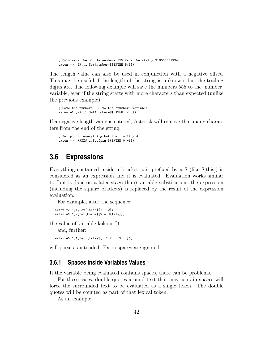```
; Only save the middle numbers 555 from the string 918005551234
exten => _9X.,1,Set(number=${EXTEN:5:3})
```
The length value can also be used in conjunction with a negative offset. This may be useful if the length of the string is unknown, but the trailing digits are. The following example will save the numbers 555 to the 'number' variable, even if the string starts with more characters than expected (unlike the previous example).

```
; Save the numbers 555 to the 'number' variable
exten => _9X.,1,Set(number=${EXTEN:-7:3})
```
If a negative length value is entered, Asterisk will remove that many characters from the end of the string.

```
; Set pin to everything but the trailing #.
exten => _XXXX#,1,Set(pin=${EXTEN:0:-1})
```
### **3.6 Expressions**

Everything contained inside a bracket pair prefixed by a \$ (like \$[this]) is considered as an expression and it is evaluated. Evaluation works similar to (but is done on a later stage than) variable substitution: the expression (including the square brackets) is replaced by the result of the expression evaluation.

For example, after the sequence:

```
exten = > 1, 1, Set(1 = 1 + 2)exten => 1,2,Set(koko=$[2 * ${lala}])
```
the value of variable koko is "6".

and, further:

 $exten = 1, 1, Set, (lala = $[ 1 + 2 ]);$ 

will parse as intended. Extra spaces are ignored.

### **3.6.1 Spaces Inside Variables Values**

If the variable being evaluated contains spaces, there can be problems.

For these cases, double quotes around text that may contain spaces will force the surrounded text to be evaluated as a single token. The double quotes will be counted as part of that lexical token.

As an example: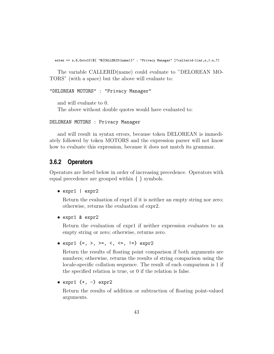exten => s,6,GotoIf(\$[ "\${CALLERID(name)}" : "Privacy Manager" ]?callerid-liar,s,1:s,7)

The variable CALLERID(name) could evaluate to "DELOREAN MO-TORS" (with a space) but the above will evaluate to:

```
"DELOREAN MOTORS" : "Privacy Manager"
```
and will evaluate to 0. The above without double quotes would have evaluated to:

```
DELOREAN MOTORS : Privacy Manager
```
and will result in syntax errors, because token DELOREAN is immediately followed by token MOTORS and the expression parser will not know how to evaluate this expression, because it does not match its grammar.

### **3.6.2 Operators**

Operators are listed below in order of increasing precedence. Operators with equal precedence are grouped within { } symbols.

• expr1 | expr2

Return the evaluation of expr1 if it is neither an empty string nor zero; otherwise, returns the evaluation of expr2.

• expr1 & expr2

Return the evaluation of expr1 if neither expression evaluates to an empty string or zero; otherwise, returns zero.

•  $expr1 \{=, >, >=, <, <=, !=\} expr2$ 

Return the results of floating point comparison if both arguments are numbers; otherwise, returns the results of string comparison using the locale-specific collation sequence. The result of each comparison is 1 if the specified relation is true, or 0 if the relation is false.

```
• expr1 \{+, -\} expr2
```
Return the results of addition or subtraction of floating point-valued arguments.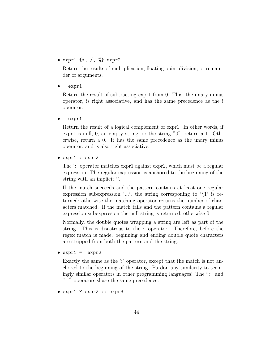#### •  $expr1 \{*, / , \%}$  expr2

Return the results of multiplication, floating point division, or remainder of arguments.

#### $\bullet$  -  $\exp r1$

Return the result of subtracting expr1 from 0. This, the unary minus operator, is right associative, and has the same precedence as the ! operator.

• ! expr1

Return the result of a logical complement of expr1. In other words, if expr1 is null, 0, an empty string, or the string "0", return a 1. Otherwise, return a 0. It has the same precedence as the unary minus operator, and is also right associative.

• expr1 : expr2

The ':' operator matches expr1 against expr2, which must be a regular expression. The regular expression is anchored to the beginning of the string with an implicit  $\dddot{\sigma}$ .

If the match succeeds and the pattern contains at least one regular expression subexpression '...', the string corresponing to  $\setminus 1$ ' is returned; otherwise the matching operator returns the number of characters matched. If the match fails and the pattern contains a regular expression subexpression the null string is returned; otherwise 0.

Normally, the double quotes wrapping a string are left as part of the string. This is disastrous to the : operator. Therefore, before the regex match is made, beginning and ending double quote characters are stripped from both the pattern and the string.

 $\bullet$  expr1 =  $\sim$  expr2

Exactly the same as the ':' operator, except that the match is not anchored to the beginning of the string. Pardon any similarity to seemingly similar operators in other programming languages! The ":" and  $v = \ddot{v}$  operators share the same precedence.

• expr1 ? expr2 :: expr3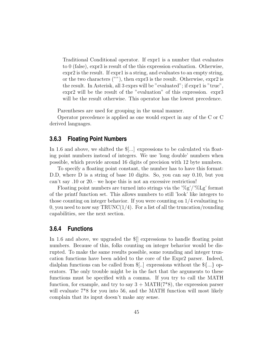Traditional Conditional operator. If expr1 is a number that evaluates to 0 (false), expr3 is result of the this expression evaluation. Otherwise, expr2 is the result. If expr1 is a string, and evaluates to an empty string, or the two characters (""), then expr3 is the result. Otherwise, expr2 is the result. In Asterisk, all 3 exprs will be "evaluated"; if expr1 is "true", expr2 will be the result of the "evaluation" of this expression. expr3 will be the result otherwise. This operator has the lowest precedence.

Parentheses are used for grouping in the usual manner.

Operator precedence is applied as one would expect in any of the C or C derived languages.

#### **3.6.3 Floating Point Numbers**

In 1.6 and above, we shifted the \$[...] expressions to be calculated via floating point numbers instead of integers. We use 'long double' numbers when possible, which provide around 16 digits of precision with 12 byte numbers.

To specify a floating point constant, the number has to have this format: D.D, where D is a string of base 10 digits. So, you can say 0.10, but you can't say .10 or 20.– we hope this is not an excessive restriction!

Floating point numbers are turned into strings via the ' $\%g'$ '/ $\%$ Lg' format of the printf function set. This allows numbers to still 'look' like integers to those counting on integer behavior. If you were counting on 1/4 evaluating to 0, you need to now say  $TRUNC(1/4)$ . For a list of all the truncation/rounding capabilities, see the next section.

### **3.6.4 Functions**

In 1.6 and above, we upgraded the \$[] expressions to handle floating point numbers. Because of this, folks counting on integer behavior would be disrupted. To make the same results possible, some rounding and integer truncation functions have been added to the core of the Expr2 parser. Indeed, dialplan functions can be called from \$[..] expressions without the \${...} operators. The only trouble might be in the fact that the arguments to these functions must be specified with a comma. If you try to call the MATH function, for example, and try to say  $3 + \text{MATH}(7^*8)$ , the expression parser will evaluate  $7*8$  for you into 56, and the MATH function will most likely complain that its input doesn't make any sense.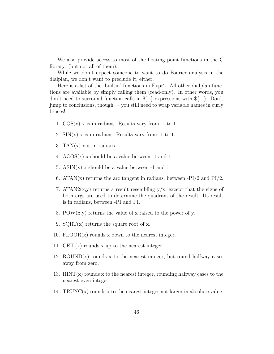We also provide access to most of the floating point functions in the C library. (but not all of them).

While we don't expect someone to want to do Fourier analysis in the dialplan, we don't want to preclude it, either.

Here is a list of the 'builtin' functions in Expr2. All other dialplan functions are available by simply calling them (read-only). In other words, you don't need to surround function calls in \$[...] expressions with \${...}. Don't jump to conclusions, though! – you still need to wrap variable names in curly braces!

- 1.  $\cos(x)$  x is in radians. Results vary from -1 to 1.
- 2.  $\text{SIN}(x)$  x is in radians. Results vary from -1 to 1.
- 3. TAN $(x)$  x is in radians.
- 4.  $ACOS(x)$  x should be a value between -1 and 1.
- 5.  $ASIN(x)$  x should be a value between -1 and 1.
- 6. ATAN(x) returns the arc tangent in radians; between  $-PI/2$  and  $PI/2$ .
- 7. ATAN2 $(x, y)$  returns a result resembling  $y/x$ , except that the signs of both args are used to determine the quadrant of the result. Its result is in radians, between -PI and PI.
- 8. POW $(x, y)$  returns the value of x raised to the power of y.
- 9.  $SQRT(x)$  returns the square root of x.
- 10.  $FLOOR(x)$  rounds x down to the nearest integer.
- 11. CEIL $(x)$  rounds x up to the nearest integer.
- 12.  $ROUND(x)$  rounds x to the nearest integer, but round halfway cases away from zero.
- 13.  $\text{RINT}(x)$  rounds x to the nearest integer, rounding halfway cases to the nearest even integer.
- 14. TRUNC $(x)$  rounds x to the nearest integer not larger in absolute value.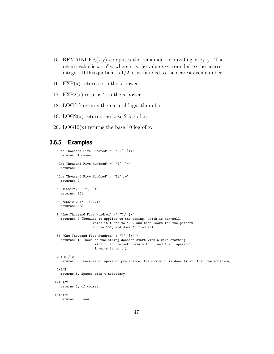- 15. REMAINDER $(x, y)$  computes the remainder of dividing x by y. The return value is  $x - n^*y$ , where n is the value  $x/y$ , rounded to the nearest integer. If this quotient is  $1/2$ , it is rounded to the nearest even number.
- 16.  $EXP(x)$  returns e to the x power.
- 17. EXP2 $(x)$  returns 2 to the x power.
- 18. LOG( $x$ ) returns the natural logarithm of x.
- 19. LOG2 $(x)$  returns the base 2 log of x.
- 20. LOG10 $(x)$  returns the base 10 log of x.

### **3.6.5 Examples**

```
"One Thousand Five Hundred" = " "(T[^{^{\sim}}]+)"
  returns: Thousand
"One Thousand Five Hundred" = "T[^{^{\sim}}]+"
  returns: 8
"One Thousand Five Hundred" : "T[^ ]+"
  returns: 0
"8015551212" : "(...)"
  returns: 801
"3075551212":"...(...)"
  returns: 555
! "One Thousand Five Hundred" = "T[^ ]+"
  returns: 0 (because it applies to the string, which is non-null,
                    which it turns to "0", and then looks for the pattern
                    in the "0", and doesn't find it)
!( "One Thousand Five Hundred" : "T[^ ]+" )
  returns: 1 (because the string doesn't start with a word starting
                     with T, so the match evals to 0, and the ! operator
                     inverts it to 1 ).
2 + 8 / 2
  returns 6. (because of operator precedence; the division is done first, then the addition).
2+8/2returns 6. Spaces aren't necessary.
(2+8)/2returns 5, of course.
(3+8)/2
  returns 5.5 now.
```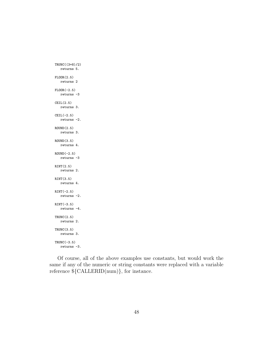```
TRUNC((3+8)/2)
  returns 5.
FLOOR(2.5)
   returns 2
FLOOR(-2.5)
  returns -3
CEIL(2.5)returns 3.
CEIL(-2.5)
  returns -2.
ROUND(2.5)
  returns 3.
ROUND(3.5)
   returns 4.
ROUND(-2.5)returns -3
RINT(2.5)
  returns 2.
RINT(3.5)
  returns 4.
RINT(-2.5)returns -2.
RINT(-3.5)
   returns -4.
TRUNC(2.5)
   returns 2.
TRUNC(3.5)
   returns 3.
TRUNC(-3.5)returns -3.
```
Of course, all of the above examples use constants, but would work the same if any of the numeric or string constants were replaced with a variable reference \${CALLERID(num)}, for instance.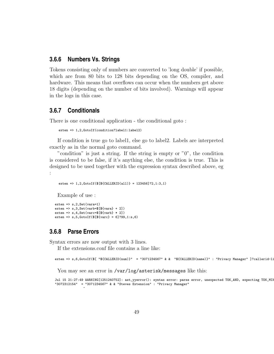### **3.6.6 Numbers Vs. Strings**

Tokens consisting only of numbers are converted to 'long double' if possible, which are from 80 bits to 128 bits depending on the OS, compiler, and hardware. This means that overflows can occur when the numbers get above 18 digits (depending on the number of bits involved). Warnings will appear in the logs in this case.

### **3.6.7 Conditionals**

There is one conditional application - the conditional goto :

```
exten => 1,2,GotoIf(condition?label1:label2)
```
If condition is true go to label1, else go to label2. Labels are interpreted exactly as in the normal goto command.

"condition" is just a string. If the string is empty or "0", the condition is considered to be false, if it's anything else, the condition is true. This is designed to be used together with the expression syntax described above, eg :

exten => 1,2,GotoIf(\$[\${CALLERID(all)} = 123456]?2,1:3,1)

Example of use :

```
ext{en} => s, 2, Set(vara=1)exten => s,3,Set(varb=$[${vara} + 2])
exten \Rightarrow s, 4, Set(varc=\[\frac{1}{2}[varb + 2]]
exten => s, 5, Gotolf($[${varc}]=6]?99,1:s, 6)
```
### **3.6.8 Parse Errors**

 $\hat{ }$ 

Syntax errors are now output with 3 lines.

If the extensions.conf file contains a line like:

exten => s,6,GotoIf(\$[ "\${CALLERID(num)}" = "3071234567" & & "\${CALLERID(name)}" : "Privacy Manager" ]?callerid-li

You may see an error in /var/log/asterisk/messages like this:

Jul 15 21:27:49 WARNING[1251240752]: ast\_yyerror(): syntax error: parse error, unexpected TOK\_AND, expecting TOK\_MIN "3072312154" = "3071234567" & & "Steves Extension" : "Privacy Manager"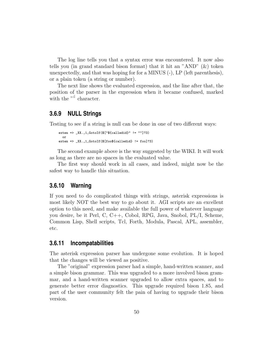The log line tells you that a syntax error was encountered. It now also tells you (in grand standard bison format) that it hit an "AND" (&) token unexpectedly, and that was hoping for for a MINUS (-), LP (left parenthesis), or a plain token (a string or number).

The next line shows the evaluated expression, and the line after that, the position of the parser in the expression when it became confused, marked with the  $\binom{m}{i}$  character.

#### **3.6.9 NULL Strings**

Testing to see if a string is null can be done in one of two different ways:

```
exten => _XX.,1,GotoIf([["{clledid}]" != ""]?3)
  or
exten => _XX.,1,GotoIf($[foo${calledid} != foo]?3)
```
The second example above is the way suggested by the WIKI. It will work as long as there are no spaces in the evaluated value.

The first way should work in all cases, and indeed, might now be the safest way to handle this situation.

#### **3.6.10 Warning**

If you need to do complicated things with strings, asterisk expressions is most likely NOT the best way to go about it. AGI scripts are an excellent option to this need, and make available the full power of whatever language you desire, be it Perl, C, C++, Cobol, RPG, Java, Snobol, PL/I, Scheme, Common Lisp, Shell scripts, Tcl, Forth, Modula, Pascal, APL, assembler, etc.

#### **3.6.11 Incompatabilities**

The asterisk expression parser has undergone some evolution. It is hoped that the changes will be viewed as positive.

The "original" expression parser had a simple, hand-written scanner, and a simple bison grammar. This was upgraded to a more involved bison grammar, and a hand-written scanner upgraded to allow extra spaces, and to generate better error diagnostics. This upgrade required bison 1.85, and part of the user community felt the pain of having to upgrade their bison version.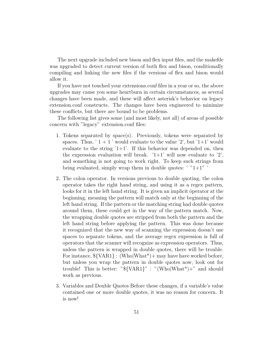The next upgrade included new bison and flex input files, and the makefile was upgraded to detect current version of both flex and bison, conditionally compiling and linking the new files if the versions of flex and bison would allow it.

If you have not touched your extensions.conf files in a year or so, the above upgrades may cause you some heartburn in certain circumstances, as several changes have been made, and these will affect asterisk's behavior on legacy extension.conf constructs. The changes have been engineered to minimize these conflicts, but there are bound to be problems.

The following list gives some (and most likely, not all) of areas of possible concern with "legacy" extension.conf files:

- 1. Tokens separated by space(s). Previously, tokens were separated by spaces. Thus, ' $1 + 1$ ' would evaluate to the value '2', but ' $1+1$ ' would evaluate to the string  $1+1$ . If this behavior was depended on, then the expression evaluation will break.  $1+1$  will now evaluate to  $2$ , and something is not going to work right. To keep such strings from being evaluated, simply wrap them in double quotes:  $'$  "1+1" '
- 2. The colon operator. In versions previous to double quoting, the colon operator takes the right hand string, and using it as a regex pattern, looks for it in the left hand string. It is given an implicit ôperator at the beginning, meaning the pattern will match only at the beginning of the left hand string. If the pattern or the matching string had double quotes around them, these could get in the way of the pattern match. Now, the wrapping double quotes are stripped from both the pattern and the left hand string before applying the pattern. This was done because it recognized that the new way of scanning the expression doesn't use spaces to separate tokens, and the average regex expression is full of operators that the scanner will recognize as expression operators. Thus, unless the pattern is wrapped in double quotes, there will be trouble. For instance,  $\{\text{VAR1}\}$ : (Who|What<sup>\*</sup>)+ may have have worked before, but unless you wrap the pattern in double quotes now, look out for trouble! This is better: " $\{\text{VAR1}\}$ " : "(Who|What\*)+" and should work as previous.
- 3. Variables and Double Quotes Before these changes, if a variable's value contained one or more double quotes, it was no reason for concern. It is now!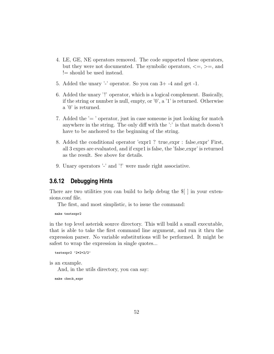- 4. LE, GE, NE operators removed. The code supported these operators, but they were not documented. The symbolic operators,  $\leq$ ,  $\geq$ , and != should be used instead.
- 5. Added the unary '-' operator. So you can 3+ -4 and get -1.
- 6. Added the unary '!' operator, which is a logical complement. Basically, if the string or number is null, empty, or '0', a '1' is returned. Otherwise a '0' is returned.
- 7. Added the  $\ell$  =  $\ell$  operator, just in case someone is just looking for match anywhere in the string. The only diff with the ':' is that match doesn't have to be anchored to the beginning of the string.
- 8. Added the conditional operator 'expr1 ? true expr : false expr' First, all 3 exprs are evaluated, and if expr1 is false, the 'false expr' is returned as the result. See above for details.
- 9. Unary operators '-' and '!' were made right associative.

### **3.6.12 Debugging Hints**

There are two utilities you can build to help debug the \$[ ] in your extensions.conf file.

The first, and most simplistic, is to issue the command:

make testexpr2

in the top level asterisk source directory. This will build a small executable, that is able to take the first command line argument, and run it thru the expression parser. No variable substitutions will be performed. It might be safest to wrap the expression in single quotes...

```
testexpr2 '2*2+2/2'
```
is an example.

And, in the utils directory, you can say:

make check\_expr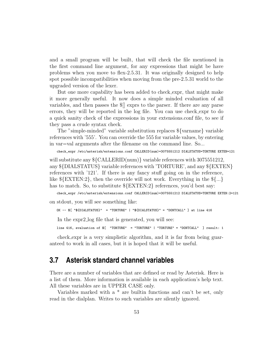and a small program will be built, that will check the file mentioned in the first command line argument, for any expressions that might be have problems when you move to flex-2.5.31. It was originally designed to help spot possible incompatibilities when moving from the pre-2.5.31 world to the upgraded version of the lexer.

But one more capability has been added to check expr, that might make it more generally useful. It now does a simple minded evaluation of all variables, and then passes the \$[] exprs to the parser. If there are any parse errors, they will be reported in the log file. You can use check expr to do a quick sanity check of the expressions in your extensions.conf file, to see if they pass a crude syntax check.

The "simple-minded" variable substitution replaces \${varname} variable references with '555'. You can override the 555 for variable values, by entering in var=val arguments after the filename on the command line. So...

check\_expr /etc/asterisk/extensions.conf CALLERID(num)=3075551212 DIALSTATUS=TORTURE EXTEN=121

will substitute any  $\{CALLERID(num)\}$  variable references with 3075551212, any \${DIALSTATUS} variable references with 'TORTURE', and any \${EXTEN} references with '121'. If there is any fancy stuff going on in the reference, like  ${\rm KEXTEN:2}$ , then the override will not work. Everything in the  ${\rm K...}$ has to match. So, to substitute  ${\rm KEXTEN:2}$  references, you'd best say:

check\_expr /etc/asterisk/extensions.conf CALLERID(num)=3075551212 DIALSTATUS=TORTURE EXTEN:2=121

on stdout, you will see something like:

OK  $--$  \$[ "\${DIALSTATUS}" = "TORTURE" | "\${DIALSTATUS}" = "DONTCALL" ] at line 416

In the expr2 log file that is generated, you will see:

line 416, evaluation of \$[ "TORTURE" = "TORTURE" | "TORTURE" = "DONTCALL" ] result: 1

check expr is a very simplistic algorithm, and it is far from being guaranteed to work in all cases, but it is hoped that it will be useful.

### **3.7 Asterisk standard channel variables**

There are a number of variables that are defined or read by Asterisk. Here is a list of them. More information is available in each application's help text. All these variables are in UPPER CASE only.

Variables marked with a \* are builtin functions and can't be set, only read in the dialplan. Writes to such variables are silently ignored.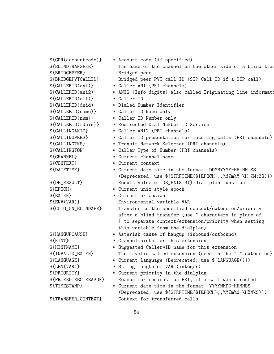\${CDR(accountcode)} \* Account code (if specified) \${BLINDTRANSFER} The name of the channel on the other side of a blind tran \${BRIDGEPEER} Bridged peer \${BRIDGEPVTCALLID} Bridged peer PVT call ID (SIP Call ID if a SIP call) \${CALLERID(ani)} \* Caller ANI (PRI channels) \${CALLERID(ani2)} \* ANI2 (Info digits) also called Originating line information \${CALLERID(all)} \* Caller ID \${CALLERID(dnid)} \* Dialed Number Identifier \${CALLERID(name)} \* Caller ID Name only \${CALLERID(num)} \* Caller ID Number only \${CALLERID(rdnis)} \* Redirected Dial Number ID Service \${CALLINGANI2} \* Caller ANI2 (PRI channels) \${CALLINGPRES} \* Caller ID presentation for incoming calls (PRI channels) \${CALLINGTNS} \* Transit Network Selector (PRI channels) \${CALLINGTON} \* Caller Type of Number (PRI channels) \${CHANNEL} \* Current channel name \${CONTEXT} \* Current context \${DATETIME} \* Current date time in the format: DDMMYYYY-HH:MM:SS (Deprecated; use \${STRFTIME(\${EPOCH},,%d%m%Y-%H:%M:%S)}) \${DB\_RESULT} Result value of DB\_EXISTS() dial plan function \${EPOCH} \* Current unix style epoch \${EXTEN} \* Current extension \${ENV(VAR)} Environmental variable VAR \${GOTO\_ON\_BLINDXFR} Transfer to the specified context/extension/priority after a blind transfer (use ^ characters in place of | to separate context/extension/priority when setting this variable from the dialplan) \${HANGUPCAUSE} \* Asterisk cause of hangup (inbound/outbound) \${HINT} \* Channel hints for this extension \${HINTNAME} \* Suggested Caller\*ID name for this extension \${INVALID\_EXTEN} The invalid called extension (used in the "i" extension) \${LANGUAGE} \* Current language (Deprecated; use \${LANGUAGE()}) \${LEN(VAR)} \* String length of VAR (integer) \${PRIORITY} \* Current priority in the dialplan \${PRIREDIRECTREASON} Reason for redirect on PRI, if a call was directed \${TIMESTAMP} \* Current date time in the format: YYYYMMDD-HHMMSS (Deprecated; use \${STRFTIME(\${EPOCH},,%Y%m%d-%H%M%S)}) \${TRANSFER\_CONTEXT} Context for transferred calls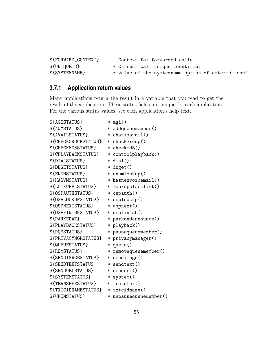\${FORWARD\_CONTEXT} Context for forwarded calls \${UNIQUEID} \* Current call unique identifier \${SYSTEMNAME} \* value of the systemname option of asterisk.conf

### **3.7.1 Application return values**

Many applications return the result in a variable that you read to get the result of the application. These status fields are unique for each application. For the various status values, see each application's help text.

\${AGISTATUS} \* agi() \${AQMSTATUS} \* addqueuemember() \${AVAILSTATUS} \* chanisavail() \${CHECKGROUPSTATUS} \* checkgroup() \${CHECKMD5STATUS} \* checkmd5() \${CPLAYBACKSTATUS} \* controlplayback() \${DIALSTATUS} \* dial() \${DBGETSTATUS} \* dbget() \${ENUMSTATUS} \* enumlookup() \${HASVMSTATUS} \* hasnewvoicemail() \${LOOKUPBLSTATUS} \* lookupblacklist() \${OSPAUTHSTATUS} \* ospauth() \${OSPLOOKUPSTATUS} \* osplookup() \${OSPNEXTSTATUS} \* ospnext() \${OSPFINISHSTATUS} \* ospfinish() \${PARKEDAT} \* parkandannounce() \${PLAYBACKSTATUS} \* playback() \${PQMSTATUS} \* pausequeuemember() \${PRIVACYMGRSTATUS} \* privacymanager() \${QUEUESTATUS} \* queue() \${RQMSTATUS} \* removequeuemember() \${SENDIMAGESTATUS} \* sendimage() \${SENDTEXTSTATUS} \* sendtext() \${SENDURLSTATUS} \* sendurl() \${SYSTEMSTATUS} \* system() \${TRANSFERSTATUS} \* transfer() \${TXTCIDNAMESTATUS} \* txtcidname() \${UPQMSTATUS} \* unpausequeuemember()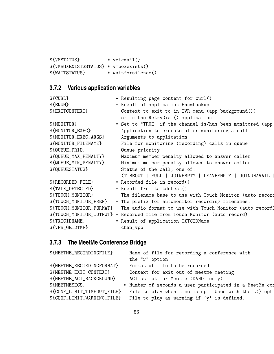\${VMSTATUS} \* voicmail() \${VMBOXEXISTSSTATUS} \* vmboxexists() \${WAITSTATUS} \* waitforsilence()

# **3.7.2 Various application variables**

| \${CURL}                 | * Resulting page content for curl()                                       |
|--------------------------|---------------------------------------------------------------------------|
| \${ENUM}                 | * Result of application EnumLookup                                        |
| \${EXITCONTEXT}          | Context to exit to in IVR menu (app background())                         |
|                          | or in the RetryDial() application                                         |
| \${MONITOR}              | * Set to "TRUE" if the channel is/has been monitored (app                 |
| \${MONITOR_EXEC}         | Application to execute after monitoring a call                            |
| \${MONITOR_EXEC_ARGS}    | Arguments to application                                                  |
| \${MONITOR_FILENAME}     | File for monitoring (recording) calls in queue                            |
| \${QUEUE_PRIO}           | Queue priority                                                            |
| \${QUEUE_MAX_PENALTY}    | Maximum member penalty allowed to answer caller                           |
| \${QUEUE_MIN_PENALTY}    | Minimum member penalty allowed to answer caller                           |
| \${QUEUESTATUS}          | Status of the call, one of:                                               |
|                          | (TIMEOUT   FULL   JOINEMPTY   LEAVEEMPTY  <br>JOINUNAVAIL                 |
| \${RECORDED_FILE}        | * Recorded file in record()                                               |
| \${TALK_DETECTED}        | * Result from talkdetect()                                                |
| \${TOUCH_MONITOR}        | The filename base to use with Touch Monitor (auto record                  |
| \${TOUCH_MONITOR_PREF}   | * The prefix for automonitor recording filenames.                         |
| \${TOUCH_MONITOR_FORMAT} | The audio format to use with Touch Monitor (auto record)                  |
|                          | \${TOUCH_MONITOR_OUTPUT} * Recorded file from Touch Monitor (auto record) |
| \${TXTCIDNAME}           | * Result of application TXTCIDName                                        |
| \${VPB_GETDTMF}          | chan_vpb                                                                  |

# **3.7.3 The MeetMe Conference Bridge**

| \${MEETME_RECORDINGFILE}    | Name of file for recording a conference with            |
|-----------------------------|---------------------------------------------------------|
|                             | the "r" option                                          |
| \${MEETME_RECORDINGFORMAT}  | Format of file to be recorded                           |
| \${MEETME_EXIT_CONTEXT}     | Context for exit out of meetme meeting                  |
| \${MEETME_AGI_BACKGROUND}   | AGI script for Meetme (DAHDI only)                      |
| \${MEETMESECS}              | * Number of seconds a user participated in a MeetMe cor |
| \${CONF_LIMIT_TIMEOUT_FILE} | File to play when time is up. Used with the L() opti    |
| \${CONF_LIMIT_WARNING_FILE} | File to play as warning if $'y'$ is defined.            |
|                             |                                                         |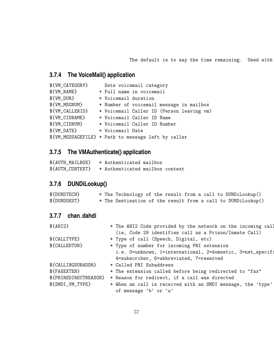The default is to say the time remaining. Used with

# **3.7.4 The VoiceMail() application**

| \${VM_CATEGORY} | Sets voicemail category                             |
|-----------------|-----------------------------------------------------|
| \${VM_NAME}     | * Full name in voicemail                            |
| \${VM_DUR}      | * Voicemail duration                                |
| \${VM_MSGNUM}   | * Number of voicemail message in mailbox            |
| \${VM_CALLERID} | * Voicemail Caller ID (Person leaving vm)           |
| \${VM_CIDNAME}  | * Voicemail Caller ID Name                          |
| \${VM_CIDNUM}   | * Voicemail Caller ID Number                        |
| \${VM_DATE}     | * Voicemail Date                                    |
|                 | \${VM_MESSAGEFILE} * Path to message left by caller |

# **3.7.5 The VMAuthenticate() application**

| \${AUTH_MAILBOX} | * Authenticated mailbox         |  |
|------------------|---------------------------------|--|
| \${AUTH_CONTEXT} | * Authenticated mailbox context |  |

# **3.7.6 DUNDiLookup()**

| \${DUNDTECH} |  |  |  |  |  | * The Technology of the result from a call to DUNDiLookup()  |
|--------------|--|--|--|--|--|--------------------------------------------------------------|
| \${DUNDDEST} |  |  |  |  |  | * The Destination of the result from a call to DUNDiLookup() |

### **3.7.7 chan dahdi**

| $$$ {ANI2}            | * The ANI2 Code provided by the network on the incoming call |
|-----------------------|--------------------------------------------------------------|
|                       | (ie, Code 29 identifies call as a Prison/Inmate Call)        |
| \${CALLTYPE}          | * Type of call (Speech, Digital, etc)                        |
| \${CALLEDTON}         | * Type of number for incoming PRI extension                  |
|                       | i.e. 0=unknown, 1=international, 2=domestic, 3=net_specifi   |
|                       | 4=subscriber, 6=abbreviated, 7=reserved                      |
| \${CALLINGSUBADDR}    | * Called PRI Subaddress                                      |
| \${FAXEXTEN}          | * The extension called before being redirected to "fax"      |
| \${PRIREDIRECTREASON} | * Reason for redirect, if a call was directed                |
| \${SMDI_VM_TYPE}      | * When an call is received with an SMDI message, the 'type'  |
|                       | of message 'b' or 'u'                                        |
|                       |                                                              |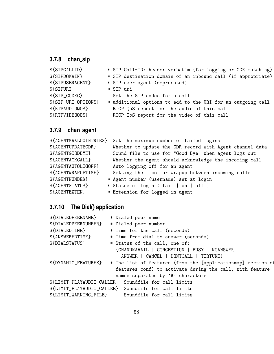# **3.7.8 chan sip**

| \${SIPCALLID}       | * SIP Call-ID: header verbatim (for logging or CDR matching) |
|---------------------|--------------------------------------------------------------|
| \${SIPDOMAIN}       | * SIP destination domain of an inbound call (if appropriate) |
| \${SIPUSERAGENT}    | * SIP user agent (deprecated)                                |
| \${SIPURI}          | * SIP uri                                                    |
| \${SIP_CODEC}       | Set the SIP codec for a call                                 |
| \${SIP_URI_OPTIONS} | * additional options to add to the URI for an outgoing call  |
| \${RTPAUDIOQOS}     | RTCP QoS report for the audio of this call                   |
| \${RTPVIDEOQOS}     | RTCP QoS report for the video of this call                   |
|                     |                                                              |

# **3.7.9 chan agent**

| \${AGENTMAXLOGINTRIES} | Set the maximum number of failed logins                  |
|------------------------|----------------------------------------------------------|
| \${AGENTUPDATECDR}     | Whether to update the CDR record with Agent channel data |
| \${AGENTGOODBYE}       | Sound file to use for "Good Bye" when agent logs out     |
| \${AGENTACKCALL}       | Whether the agent should acknowledge the incoming call   |
| \${AGENTAUTOLOGOFF}    | Auto logging off for an agent                            |
| \${AGENTWRAPUPTIME}    | Setting the time for wrapup between incoming calls       |
| \${AGENTNUMBER}        | * Agent number (username) set at login                   |
| \${AGENTSTATUS}        | * Status of login (fail   on   off )                     |
| \${AGENTEXTEN}         | * Extension for logged in agent                          |

# **3.7.10 The Dial() application**

|                        | * Dialed peer name                                           |
|------------------------|--------------------------------------------------------------|
|                        | * Dialed peer number                                         |
|                        | * Time for the call (seconds)                                |
|                        | * Time from dial to answer (seconds)                         |
|                        | * Status of the call, one of:                                |
|                        | (CHANUNAVAIL   CONGESTION   BUSY   NOANSWER                  |
|                        | ANSWER   CANCEL   DONTCALL   TORTURE)                        |
|                        | * The list of features (from the [applicationmap] section of |
|                        | features.conf) to activate during the call, with feature     |
|                        | names separated by '#' characters                            |
|                        | \${LIMIT_PLAYAUDIO_CALLER} Soundfile for call limits         |
|                        | \${LIMIT_PLAYAUDIO_CALLEE} Soundfile for call limits         |
| \${LIMIT_WARNING_FILE} | Soundfile for call limits                                    |
|                        |                                                              |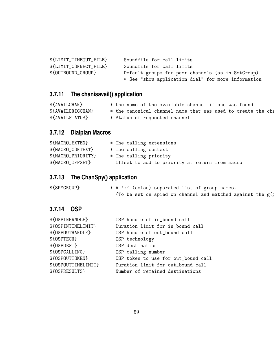| \${LIMIT_TIMEOUT_FILE} | Soundfile for call limits                          |
|------------------------|----------------------------------------------------|
| \${LIMIT_CONNECT_FILE} | Soundfile for call limits                          |
| \${OUTBOUND_GROUP}     | Default groups for peer channels (as in SetGroup)  |
|                        | * See "show application dial" for more information |

# **3.7.11 The chanisavail() application**

| \${AVAILCHAN}     | * the name of the available channel if one was found         |
|-------------------|--------------------------------------------------------------|
| \${AVAILORIGCHAN} | * the canonical channel name that was used to create the cha |
| \${AVAILSTATUS}   | * Status of requested channel                                |

# **3.7.12 Dialplan Macros**

| \${MACRO_EXTEN}    | * The calling extensions                       |
|--------------------|------------------------------------------------|
| \${MACRO_CONTEXT}  | * The calling context                          |
| \${MACRO_PRIORITY} | * The calling priority                         |
| \${MACRO_OFFSET}   | Offset to add to priority at return from macro |

# **3.7.13 The ChanSpy() application**

| \${SPYGROUP} | * A ':' (colon) separated list of group names.                |
|--------------|---------------------------------------------------------------|
|              | (To be set on spied on channel and matched against the $g(g)$ |

### **3.7.14 OSP**

| \${OSPINHANDLE}     | OSP handle of in_bound call         |
|---------------------|-------------------------------------|
| \${OSPINTIMELIMIT}  | Duration limit for in_bound call    |
| \${OSPOUTHANDLE}    | OSP handle of out_bound call        |
| \${OSPTECH}         | OSP technology                      |
| \${OSPDEST}         | OSP destination                     |
| \${OSPCALLING}      | OSP calling number                  |
| \${OSPOUTTOKEN}     | OSP token to use for out_bound call |
| \${OSPOUTTIMELIMIT} | Duration limit for out_bound call   |
| \${OSPRESULTS}      | Number of remained destinations     |
|                     |                                     |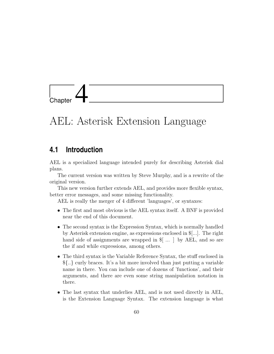

# AEL: Asterisk Extension Language

### **4.1 Introduction**

AEL is a specialized language intended purely for describing Asterisk dial plans.

The current version was written by Steve Murphy, and is a rewrite of the original version.

This new version further extends AEL, and provides more flexible syntax, better error messages, and some missing functionality.

AEL is really the merger of 4 different 'languages', or syntaxes:

- The first and most obvious is the AEL syntax itself. A BNF is provided near the end of this document.
- The second syntax is the Expression Syntax, which is normally handled by Asterisk extension engine, as expressions enclosed in \$[...]. The right hand side of assignments are wrapped in  $\mathcal{F}$ ... by AEL, and so are the if and while expressions, among others.
- The third syntax is the Variable Reference Syntax, the stuff enclosed in \${..} curly braces. It's a bit more involved than just putting a variable name in there. You can include one of dozens of 'functions', and their arguments, and there are even some string manipulation notation in there.
- The last syntax that underlies AEL, and is not used directly in AEL, is the Extension Language Syntax. The extension language is what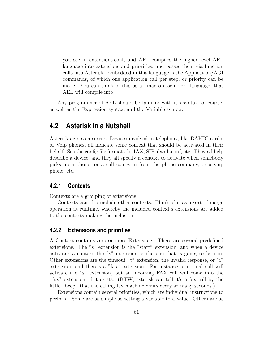you see in extensions.conf, and AEL compiles the higher level AEL language into extensions and priorities, and passes them via function calls into Asterisk. Embedded in this language is the Application/AGI commands, of which one application call per step, or priority can be made. You can think of this as a "macro assembler" language, that AEL will compile into.

Any programmer of AEL should be familiar with it's syntax, of course, as well as the Expression syntax, and the Variable syntax.

### **4.2 Asterisk in a Nutshell**

Asterisk acts as a server. Devices involved in telephony, like DAHDI cards, or Voip phones, all indicate some context that should be activated in their behalf. See the config file formats for IAX, SIP, dahdi.conf, etc. They all help describe a device, and they all specify a context to activate when somebody picks up a phone, or a call comes in from the phone company, or a voip phone, etc.

### **4.2.1 Contexts**

Contexts are a grouping of extensions.

Contexts can also include other contexts. Think of it as a sort of merge operation at runtime, whereby the included context's extensions are added to the contexts making the inclusion.

### **4.2.2 Extensions and priorities**

A Context contains zero or more Extensions. There are several predefined extensions. The "s" extension is the "start" extension, and when a device activates a context the "s" extension is the one that is going to be run. Other extensions are the timeout "t" extension, the invalid response, or "i" extension, and there's a "fax" extension. For instance, a normal call will activate the "s" extension, but an incoming FAX call will come into the "fax" extension, if it exists. (BTW, asterisk can tell it's a fax call by the little "beep" that the calling fax machine emits every so many seconds.).

Extensions contain several priorities, which are individual instructions to perform. Some are as simple as setting a variable to a value. Others are as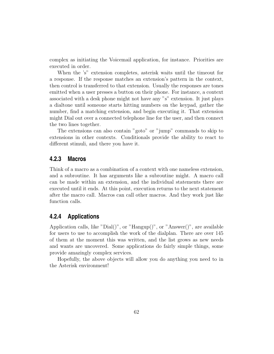complex as initiating the Voicemail application, for instance. Priorities are executed in order.

When the 's" extension completes, asterisk waits until the timeout for a response. If the response matches an extension's pattern in the context, then control is transferred to that extension. Usually the responses are tones emitted when a user presses a button on their phone. For instance, a context associated with a desk phone might not have any "s" extension. It just plays a dialtone until someone starts hitting numbers on the keypad, gather the number, find a matching extension, and begin executing it. That extension might Dial out over a connected telephone line for the user, and then connect the two lines together.

The extensions can also contain "goto" or "jump" commands to skip to extensions in other contexts. Conditionals provide the ability to react to different stimuli, and there you have it.

### **4.2.3 Macros**

Think of a macro as a combination of a context with one nameless extension, and a subroutine. It has arguments like a subroutine might. A macro call can be made within an extension, and the individual statements there are executed until it ends. At this point, execution returns to the next statement after the macro call. Macros can call other macros. And they work just like function calls.

### **4.2.4 Applications**

Application calls, like "Dial()", or "Hangup()", or "Answer()", are available for users to use to accomplish the work of the dialplan. There are over 145 of them at the moment this was written, and the list grows as new needs and wants are uncovered. Some applications do fairly simple things, some provide amazingly complex services.

Hopefully, the above objects will allow you do anything you need to in the Asterisk environment!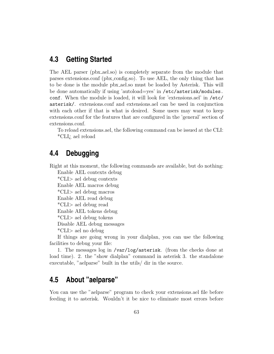### **4.3 Getting Started**

The AEL parser (pbx ael.so) is completely separate from the module that parses extensions.conf (pbx config.so). To use AEL, the only thing that has to be done is the module pbx ael.so must be loaded by Asterisk. This will be done automatically if using 'autoload=yes' in /etc/asterisk/modules. conf. When the module is loaded, it will look for 'extensions.ael' in /etc/ asterisk/. extensions.conf and extensions.ael can be used in conjunction with each other if that is what is desired. Some users may want to keep extensions.conf for the features that are configured in the 'general' section of extensions.conf.

To reload extensions.ael, the following command can be issued at the CLI: \*CLI¿ ael reload

### **4.4 Debugging**

Right at this moment, the following commands are available, but do nothing:

Enable AEL contexts debug

\*CLI> ael debug contexts

Enable AEL macros debug

\*CLI> ael debug macros

Enable AEL read debug

\*CLI> ael debug read

Enable AEL tokens debug

\*CLI> ael debug tokens

Disable AEL debug messages

\*CLI> ael no debug

If things are going wrong in your dialplan, you can use the following facilities to debug your file:

1. The messages log in /var/log/asterisk. (from the checks done at load time). 2. the "show dialplan" command in asterisk 3. the standalone executable, "aelparse" built in the utils/ dir in the source.

# **4.5 About "aelparse"**

You can use the "aelparse" program to check your extensions.ael file before feeding it to asterisk. Wouldn't it be nice to eliminate most errors before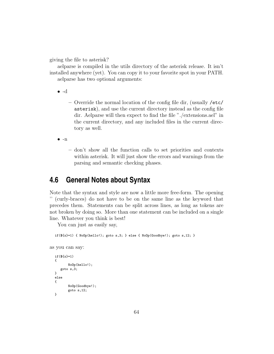giving the file to asterisk?

aelparse is compiled in the utils directory of the asterisk release. It isn't installed anywhere (yet). You can copy it to your favorite spot in your PATH. aelparse has two optional arguments:

 $\bullet$  -d

– Override the normal location of the config file dir, (usually /etc/ asterisk), and use the current directory instead as the config file dir. Aelparse will then expect to find the file "./extensions.ael" in the current directory, and any included files in the current directory as well.

 $\bullet$  -n

– don't show all the function calls to set priorities and contexts within asterisk. It will just show the errors and warnings from the parsing and semantic checking phases.

## **4.6 General Notes about Syntax**

Note that the syntax and style are now a little more free-form. The opening '' (curly-braces) do not have to be on the same line as the keyword that precedes them. Statements can be split across lines, as long as tokens are not broken by doing so. More than one statement can be included on a single line. Whatever you think is best!

You can just as easily say,

 $if($x}=1) { \{ NoOp(hello!); goto s,3; } else { NoOp(Goodbye!); goto s,12; } }$ 

as you can say:

```
if(${x}=1)
{
       NoOp(hello!);
   goto s,3;
}
else
{
       NoOp(Goodbye!);
       goto s,12;
}
```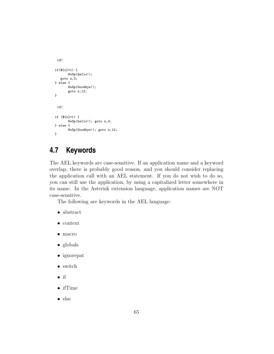```
or:
if(${x}=1) {
      NoOp(hello!);
   goto s,3;
} else {
      NoOp(Goodbye!);
      goto s,12;
}
 or:
if (${x}=1) {
       NoOp(hello!); goto s,3;
} else {
       NoOp(Goodbye!); goto s,12;
}
```
# **4.7 Keywords**

The AEL keywords are case-sensitive. If an application name and a keyword overlap, there is probably good reason, and you should consider replacing the application call with an AEL statement. If you do not wish to do so, you can still use the application, by using a capitalized letter somewhere in its name. In the Asterisk extension language, application names are NOT case-sensitive.

The following are keywords in the AEL language:

- abstract
- context
- macro
- globals
- ignorepat
- switch
- if
- ifTime
- else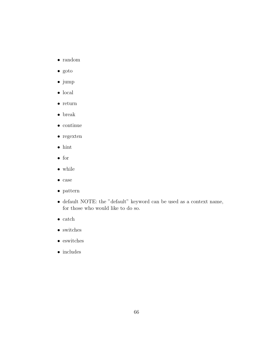- random
- goto
- jump
- $\bullet\,$  local
- return
- break
- $\bullet\,$  continue
- regexten
- $\bullet\,$ hint
- for
- while
- case
- $\bullet\,$  pattern
- default NOTE: the "default" keyword can be used as a context name, for those who would like to do so.
- catch
- $\bullet\,$  switches
- $\bullet\,$ eswitches
- $\bullet\,$  includes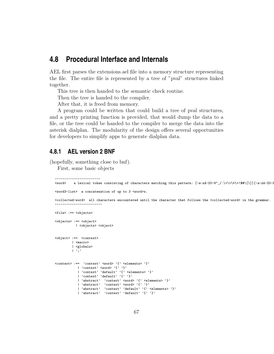### **4.8 Procedural Interface and Internals**

AEL first parses the extensions.ael file into a memory structure representing the file. The entire file is represented by a tree of "pval" structures linked together.

This tree is then handed to the semantic check routine.

Then the tree is handed to the compiler.

After that, it is freed from memory.

A program could be written that could build a tree of pval structures, and a pretty printing function is provided, that would dump the data to a file, or the tree could be handed to the compiler to merge the data into the asterisk dialplan. The modularity of the design offers several opportunities for developers to simplify apps to generate dialplan data.

### **4.8.1 AEL version 2 BNF**

(hopefully, something close to bnf).

First, some basic objects

-------------------------

```
------------------------
<word>
a lexical token consisting of characters matching this pattern: [-a-zA-Z0-9"_/.\<\>\*\*\*$#\[\]][-a-zA-Z0-9"
```
<word3-list> a concatenation of up to 3 <word>s.

<collected-word> all characters encountered until the character that follows the <collected-word> in the grammar.

```
<file> :== <objects>
<objects> :== <object>
          | <objects> <object>
<object> :== <context>
         | <macro>
         | <globals>
         |, |, |\langlecontext> :== 'context' \langleword> '{' \langleelements> '}'
           | 'context' <word> '{' '}'
            | 'context' 'default' '{' <elements> '}'
            | 'context' 'default' '{' '}'
            | 'abstract' 'context' <word> '{' <elements> '}'
            | 'abstract' 'context' <word> '{' '}'
            | 'abstract' 'context' 'default' '{' <elements> '}'
            | 'abstract' 'context' 'default' '\{\prime\}''}'
```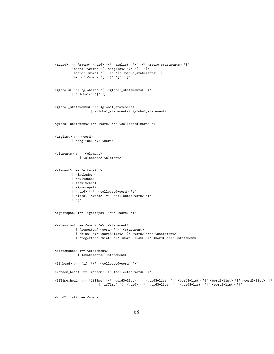```
\langle \text{macro} \rangle := \langle \text{macro}' \langle \text{word} \rangle '(' \langle \text{arglist} \rangle ')' '{' \langle \text{macro_statenents} \rangle'}'
      | 'macro' <word> '(' <arglist> ')' '{' '}'
        | 'macro' <word> '(' ')' '{' <macro_statements> '}'
        | 'macro' <word> '(' ')' '{' '}'
\verb|<globals>| := 'globals'~~' {'} ~ \verb|<global_statements> ' }'| 'globals' '{' '}'
<global_statements> :== <global_statement>
                     | <global_statements> <global_statement>
<global_statement> :== <word> '=' <collected-word> ';'
<arglist> :== <word>
          | <arglist> ',' <word>
<elements> :== <element>
              | <elements> <element>
<element> :== <extension>
          | <includes>
          | <switches>
          | <eswitches>
          | <ignorepat>
          | \langle word \rangle '=' \langle collected-word \rangle';'
          | 'local' <word> '=' <collected-word> ';'
          |, |, |<ignorepat> :== 'ignorepat' '=>' <word> ';'
<extension> :== <word> '=>' <statement>
            | 'regexten' <word> '=>' <statement>
            | 'hint' '(' <word3-list> ')' <word> '=>' <statement>
            | 'regexten' 'hint' '(' <word3-list> ')' <word> '=>' <statement>
<statements> :== <statement>
             | <statements> <statement>
\langleif_head> :== 'if' '(' \langlecollected-word> ')'
\verb|<random\_head> ::= 'random' ~~'(\verb|' &lt; collected-word> ')|'<ifTime_head> :== 'ifTime' '(' <word3-list> ':' <word3-list> ':' <word3-list> '|' <word3-list> '|' <word3-list> '|' <word3-list> ')'
                          | 'ifTime' '(' <word> '|' <word3-list> '|' <word3-list> '|' <word3-list> ')'
```

```
<word3-list> :== <word>
```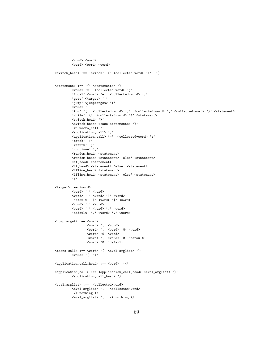```
| <word> <word>
       | <word> <word> <word>
\texttt{<switch\_head>} \texttt{:= 'switch'} \texttt{'} (\texttt{'<collected-word>} ')\texttt{''} \texttt{''}\text{Statement} :== '{' \text{S} \\text{\statements} '}'
       | <word> '=' <collected-word> ';'
       | 'local' <word> '=' <collected-word> ';'
       | 'goto' <target> ';'
       | 'jump' <jumptarget> ';'
       | <word> ':'
       | 'for' '(' <collected-word> ';' <collected-word> ';' <collected-word> ')' <statement>
       | 'while' '(' <collected-word> ')' <statement>
       | <switch_head> '}'
       | <switch_head> <case_statements> '}'
       | '&' macro_call ';'
       | <application_call> ';'
       | <application_call> '=' <collected-word> ';'
       | 'break' ';'
       | 'return' ';'
       | 'continue' ';<br>'
       | <random_head> <statement>
       | <random_head> <statement> 'else' <statement>
       | <if_head> <statement>
       | <if_head> <statement> 'else' <statement>
       | <ifTime_head> <statement>
       | <ifTime_head> <statement> 'else' <statement>
       |, |, |<target> :== <word>
       | <word> '|' <word>
       | <word> '|' <word> '|' <word>
       | 'default' '|' <word> '|' <word>
       | <word> ',' <word>
       | <word> ',' <word> ',' <word>
       | 'default' ',' <word> ',' <word>
<jumptarget> :== <word>
                | <word> ',' <word>
                | <word> ',' <word> '@' <word>
                | <word> '@' <word>
                | <word> ',' <word> '@' 'default'
                | <word> '@' 'default'
<\!\!\mathrm{macro\_call>}\;:=\;<\!\!\mathrm{word}> \; '(\;'\;<\!\!\mathrm{eval\_arglist>}\;')\;')| <word> '(' ')'
<application_call_head> :== <word> '('
\verb|<application-call> := \verb|<application-call_head> \verb|<eval_arglist> ')|'| <application_call_head> ')'
<eval_arglist> :== <collected-word>
       | <eval_arglist> ',' <collected-word>
       | /* nothing */
       | <eval_arglist> ',' /* nothing */
```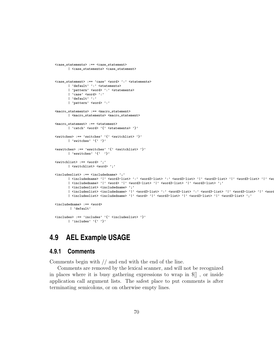```
<case_statements> :== <case_statement>
       | <case_statements> <case_statement>
<case_statement> :== 'case' <word> ':' <statements>
        | 'default' ':' <statements>
        | 'pattern' <word> ':' <statements>
        | 'case' <word> ':'
        | 'default' ':'
        | 'pattern' <word> ':'
<macro_statements> :== <macro_statement>
        | <macro_statements> <macro_statement>
<macro_statement> :== <statement>
       | 'catch' <word> '{' <statements> '}'
\texttt{<switches}> \texttt{:= 'switches'} \texttt{ '`} \texttt{<switchlist>} \texttt{ '}`| 'switches' '{' '}'
\verb|<eswitches> ::= 'eswitches'~~' {'~} \verb|<switchlist> '}|'| 'eswitches' '{' '}'
<switchlist> :== <word> ';'
        | <switchlist> <word> ';'
<includeslist> :== <includedname> ';'
       | <includedname> '|' <word3-list> ':' <word3-list> ':' <word3-list> '|' <word3-list> '|' <word3-list> '|' <word3-list> '|' <word3-list> '|' <word3-list> '|' <word3-list> '|' <word3-list> '|' <word3-list> '|' <word3-list> '
        | <includedname> '|' <word> '|' <word3-list> '|' <word3-list> '|' <word3-list> ';'
        | <includeslist> <includedname> ';'
        | <includeslist> <includedname> '|' <word3-list> ':' <word3-list> ':' <word3-list> '|' <word3-list> '|' <word3-list> '|' <word3-list> ';'
        | <includeslist> <includedname> '|' <word> '|' <word3-list> '|' <word3-list> '|' <word3-list> ';'
<includedname> :== <word>
        | 'default'
<includes> :== 'includes' '{' <includeslist> '}'
       | 'includes' '\{\cdot\ \cdot\}'
```
### **4.9 AEL Example USAGE**

### **4.9.1 Comments**

Comments begin with // and end with the end of the line.

Comments are removed by the lexical scanner, and will not be recognized in places where it is busy gathering expressions to wrap in \$[] , or inside application call argument lists. The safest place to put comments is after terminating semicolons, or on otherwise empty lines.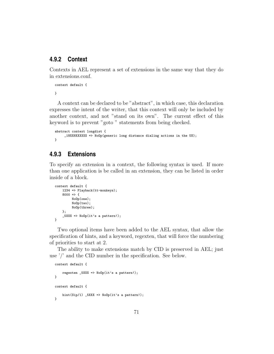### **4.9.2 Context**

Contexts in AEL represent a set of extensions in the same way that they do in extensions.conf.

```
context default {
}
```
A context can be declared to be "abstract", in which case, this declaration expresses the intent of the writer, that this context will only be included by another context, and not "stand on its own". The current effect of this keyword is to prevent "goto " statements from being checked.

```
abstract context longdist {
    _1NXXNXXXXXX => NoOp(generic long distance dialing actions in the US);
}
```
### **4.9.3 Extensions**

To specify an extension in a context, the following syntax is used. If more than one application is be called in an extension, they can be listed in order inside of a block.

```
context default {
    1234 => Playback(tt-monkeys);
    8000 \Rightarrow fNoOp(one);
         NoOp(two);
         NoOp(three);
    };
    _5XXX => NoOp(it's a pattern!);
}
```
Two optional items have been added to the AEL syntax, that allow the specification of hints, and a keyword, regexten, that will force the numbering of priorities to start at 2.

The ability to make extensions match by CID is preserved in AEL; just use '/' and the CID number in the specification. See below.

```
context default {
    regexten _5XXX => NoOp(it's a pattern!);
}
context default {
    hint(Sip/1) _5XXX => NoOp(it's a pattern!);
}
```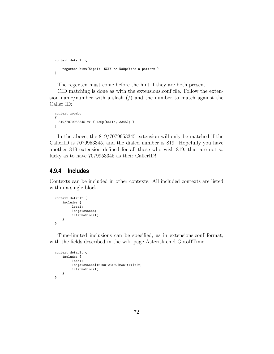```
context default {
    regexten hint(Sip/1) _5XXX => NoOp(it's a pattern!);
}
```
The regexten must come before the hint if they are both present.

CID matching is done as with the extensions.conf file. Follow the extension name/number with a slash  $\binom{n}{k}$  and the number to match against the Caller ID:

```
context zoombo
{
  819/7079953345 => { NoOp(hello, 3345); }
}
```
In the above, the 819/7079953345 extension will only be matched if the CallerID is 7079953345, and the dialed number is 819. Hopefully you have another 819 extension defined for all those who wish 819, that are not so lucky as to have 7079953345 as their CallerID!

#### **4.9.4 Includes**

Contexts can be included in other contexts. All included contexts are listed within a single block.

```
context default {
    includes {
         local;
         longdistance;
         international;
    }
}
```
Time-limited inclusions can be specified, as in extensions.conf format, with the fields described in the wiki page Asterisk cmd GotoIfTime.

```
context default {
    includes {
         local;
         longdistance|16:00-23:59|mon-fri|*|*;
         international;
    }
}
```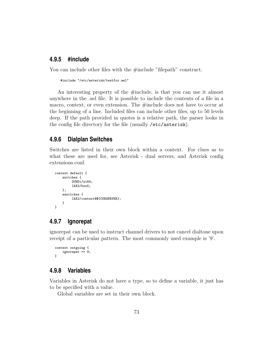#### **4.9.5 #include**

You can include other files with the #include "filepath" construct.

```
#include "/etc/asterisk/testfor.ael"
```
An interesting property of the #include, is that you can use it almost anywhere in the .ael file. It is possible to include the contents of a file in a macro, context, or even extension. The #include does not have to occur at the beginning of a line. Included files can include other files, up to 50 levels deep. If the path provided in quotes is a relative path, the parser looks in the config file directory for the file (usually /etc/asterisk).

#### **4.9.6 Dialplan Switches**

Switches are listed in their own block within a context. For clues as to what these are used for, see Asterisk - dual servers, and Asterisk config extensions.conf.

```
context default {
    switches {
         DUNDi/e164;
         IAX2/box5;
    };
    eswitches {
         IAX2/context@${CURSERVER};
    }
}
```
#### **4.9.7 Ignorepat**

ignorepat can be used to instruct channel drivers to not cancel dialtone upon receipt of a particular pattern. The most commonly used example is '9'.

```
context outgoing {
    ignorepat => 9;
}
```
#### **4.9.8 Variables**

Variables in Asterisk do not have a type, so to define a variable, it just has to be specified with a value.

Global variables are set in their own block.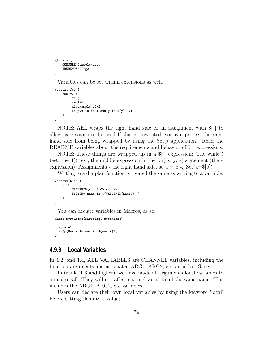```
globals {
   CONSOLE=Console/dsp;
    TRUNK=DAHDI/g2;
}
```
Variables can be set within extensions as well.

```
context foo {
    555 \Rightarrow fx=5;
         y=blah;
         divexample=10/2
         NoOp(x is $fx$ and y is $fy}.}
}
```
NOTE: AEL wraps the right hand side of an assignment with \$[ ] to allow expressions to be used If this is unwanted, you can protect the right hand side from being wrapped by using the Set() application. Read the README.variables about the requirements and behavior of \$[ ] expressions.

NOTE: These things are wrapped up in a \$[ ] expression: The while() test; the if () test; the middle expression in the for  $(x, y; z)$  statement (the y expression); Assignments - the right hand side, so  $a = b - i$ ,  $Set(a = \$[b])$ 

Writing to a dialplan function is treated the same as writing to a variable.

```
context blah {
    s \Rightarrow fCALLERID(name)=ChickenMan;
          NoOp(My name is ${CALLERID(name)} !);
    }
}
```
You can declare variables in Macros, as so:

```
Macro myroutine(firstarg, secondarg)
{
  Myvar=1;
  NoOp(Myvar is set to ${myvar});
}
```
#### **4.9.9 Local Variables**

In 1.2, and 1.4, ALL VARIABLES are CHANNEL variables, including the function arguments and associated ARG1, ARG2, etc variables. Sorry.

In trunk (1.6 and higher), we have made all arguments local variables to a macro call. They will not affect channel variables of the same name. This includes the ARG1, ARG2, etc variables.

Users can declare their own local variables by using the keyword 'local' before setting them to a value;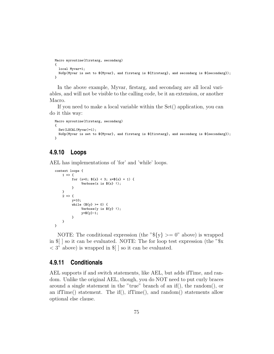```
Macro myroutine(firstarg, secondarg)
{
 local Myvar=1;
 NoOp(Myvar is set to ${Myvar}, and firstarg is ${firstarg}, and secondarg is ${secondarg});
}
```
In the above example, Myvar, firstarg, and secondarg are all local variables, and will not be visible to the calling code, be it an extension, or another Macro.

If you need to make a local variable within the Set() application, you can do it this way:

```
Macro myroutine(firstarg, secondarg)
{
  Set(LOCAL(Myvar)=1);
 NoOp(Myvar is set to ${Myvar}, and firstarg is ${firstarg}, and secondarg is ${secondarg});
}
```
#### **4.9.10 Loops**

AEL has implementations of 'for' and 'while' loops.

```
context loops {
     1 \Rightarrow ffor (x=0; \; \frac{6}{3}x) < 3; \; x=\frac{6}{3}x + 1 {
                 Verbase(x is $f x}.}
     }
     2 \Rightarrow fy=10;
           while ($y\} \ge 0) {
                 Verbose(y is ${y} !);
                 y=${y}-1;
           }
     }
}
```
NOTE: The conditional expression (the " $\{y\}$  >= 0" above) is wrapped in  $\lVert \cdot \rVert$  so it can be evaluated. NOTE: The for loop test expression (the " $\mathcal{X}$  $\langle 3 \rangle$  above) is wrapped in  $\| \cdot \|$  so it can be evaluated.

#### **4.9.11 Conditionals**

AEL supports if and switch statements, like AEL, but adds ifTime, and random. Unlike the original AEL, though, you do NOT need to put curly braces around a single statement in the "true" branch of an if(), the random(), or an ifTime() statement. The if(), ifTime(), and random() statements allow optional else clause.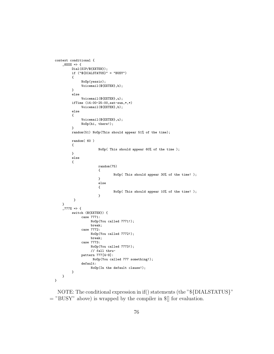```
context conditional {
    _8 XXX => {
         Dial(SIP/${EXTEN});
         if ("${DIALSTATUS}" = "BUSY")
         {
              NoOp(yessir);
              Voicemail(${EXTEN},b);
         }
         else
              Voicemail(${EXTEN},u);
         ifTime (14:00-25:00,sat-sun,*,*)
              Voicemail(${EXTEN},b);
         else
         {
              Voicemail(${EXTEN},u);
              NoOp(hi, there!);
         }
         random(51) NoOp(This should appear 51% of the time);
        random( 60 )
         {
                       NoOp( This should appear 60% of the time );
         }
         else
         {
                       random(75)
                       {
                               NoOp( This should appear 30% of the time! );
                       }
                       else
                       {
                               NoOp( This should appear 10% of the time! );
                       }
         }
   }
    _777X => {
         switch (${EXTEN}) {
              case 7771:
                   NoOp(You called 7771!);
                   break;
              case 7772:
                   NoOp(You called 7772!);
                   break;
              case 7773:
                   NoOp(You called 7773!);
                   // fall thru-
              pattern 777[4-9]:
                   NoOp(You called 777 something!);
              default:
                   NoOp(In the default clause!);
        }
   }
}
```
NOTE: The conditional expression in if() statements (the "\${DIALSTATUS}"  $=$  "BUSY" above) is wrapped by the compiler in  $\mathcal{F}$  for evaluation.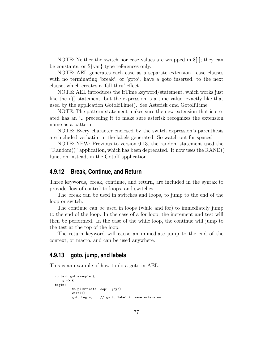NOTE: Neither the switch nor case values are wrapped in \$[ ]; they can be constants, or \${var} type references only.

NOTE: AEL generates each case as a separate extension. case clauses with no terminating 'break', or 'goto', have a goto inserted, to the next clause, which creates a 'fall thru' effect.

NOTE: AEL introduces the ifTime keyword/statement, which works just like the if() statement, but the expression is a time value, exactly like that used by the application GotoIfTime(). See Asterisk cmd GotoIfTime

NOTE: The pattern statement makes sure the new extension that is created has an '<sub>-</sub>' preceding it to make sure asterisk recognizes the extension name as a pattern.

NOTE: Every character enclosed by the switch expression's parenthesis are included verbatim in the labels generated. So watch out for spaces!

NOTE: NEW: Previous to version 0.13, the random statement used the "Random()" application, which has been deprecated. It now uses the RAND() function instead, in the GotoIf application.

#### **4.9.12 Break, Continue, and Return**

Three keywords, break, continue, and return, are included in the syntax to provide flow of control to loops, and switches.

The break can be used in switches and loops, to jump to the end of the loop or switch.

The continue can be used in loops (while and for) to immediately jump to the end of the loop. In the case of a for loop, the increment and test will then be performed. In the case of the while loop, the continue will jump to the test at the top of the loop.

The return keyword will cause an immediate jump to the end of the context, or macro, and can be used anywhere.

#### **4.9.13 goto, jump, and labels**

This is an example of how to do a goto in AEL.

```
context gotoexample {
    s \Rightarrow fbegin:
          NoOp(Infinite Loop! yay!);
          Wait(1);<br>goto begin;
                            // go to label in same extension
```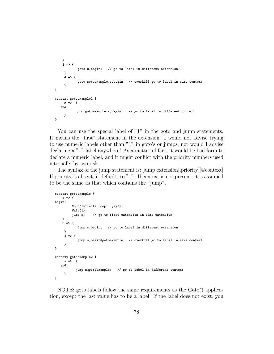```
}
    3 => {
            goto s,begin; // go to label in different extension
     }
     4 \Rightarrow 4goto gotoexample,s,begin; // overkill go to label in same context
     }
}
context gotoexample2 {
     s \Rightarrow fend:
           goto gotoexample,s,begin; // go to label in different context
     }
}
```
You can use the special label of "1" in the goto and jump statements. It means the "first" statement in the extension. I would not advise trying to use numeric labels other than "1" in goto's or jumps, nor would I advise declaring a "1" label anywhere! As a matter of fact, it would be bad form to declare a numeric label, and it might conflict with the priority numbers used internally by asterisk.

The syntax of the jump statement is: jump extension[,priority][@context] If priority is absent, it defaults to "1". If context is not present, it is assumed to be the same as that which contains the "jump".

```
context gotoexample {
    s \Rightarrow fbegin:
         NoOp(Infinite Loop! yay!);
         Wait(1):jump s; // go to first extension in same extension
    }
    3 \Rightarrow fjump s,begin; // go to label in different extension
     }
     4 \Rightarrow 6jump s,begin@gotoexample; // overkill go to label in same context
     }
}
context gotoexample2 {
     s \Rightarrow fend:
            jump s@gotoexample; // go to label in different context
     }
}
```
NOTE: goto labels follow the same requirements as the Goto() application, except the last value has to be a label. If the label does not exist, you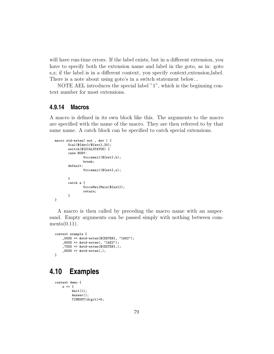will have run-time errors. If the label exists, but in a different extension, you have to specify both the extension name and label in the goto, as in: goto s,z; if the label is in a different context, you specify context,extension,label. There is a note about using goto's in a switch statement below...

NOTE AEL introduces the special label "1", which is the beginning context number for most extensions.

#### **4.9.14 Macros**

A macro is defined in its own block like this. The arguments to the macro are specified with the name of the macro. They are then referred to by that same name. A catch block can be specified to catch special extensions.

```
macro std-exten( ext , dev ) {
      Dial(${dev}/${ext},20);
       switch(${DIALSTATUS) {
       case BUSY:
               Voicemail(${ext},b);
               break;
       default:
               Voicemail(${ext},u);
       }
       catch a {
               VoiceMailMain(${ext});
               return;
       }
}
```
A macro is then called by preceding the macro name with an ampersand. Empty arguments can be passed simply with nothing between com $ments(0.11).$ 

```
context example {
    _5XXX => &std-exten(${EXTEN}, "IAX2");
    _6XXX => &std-exten(, "IAX2");
   _7XXX => &std-exten(${EXTEN},);
    _8XXX => &std-exten(,);
}
```
## **4.10 Examples**

```
context demo {
    s \Rightarrow fWait(1):Answer();
          TIMEOUT(digit)=5;
```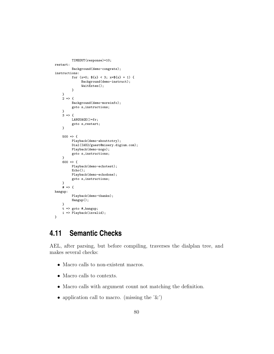```
TIMEOUT(response)=10;
restart:
          Background(demo-congrats);
instructions:
          for (x=0; \, \frac{6}{3}x) < 3; x=\frac{6}{3}x + 1) {
               Background(demo-instruct);
               WaitExten();
          }
    }
    2 \Rightarrow fBackground(demo-moreinfo);
          goto s,instructions;
    }
    3 \Rightarrow fLANGUAGE()=fr;
          goto s,restart;
    }
    500 \Rightarrow fPlayback(demo-abouttotry);
          Dial(IAX2/guest@misery.digium.com);
          Playback(demo-nogo);
          goto s,instructions;
    }
    600 \Rightarrow {
         Playback(demo-echotest);
          Echo();
          Playback(demo-echodone);
          goto s,instructions;
    }
    # = > {
hangup:
          Playback(demo-thanks);
          Hangup();
    }
    t => goto #,hangup;
    i => Playback(invalid);
}
```
## **4.11 Semantic Checks**

AEL, after parsing, but before compiling, traverses the dialplan tree, and makes several checks:

- Macro calls to non-existent macros.
- Macro calls to contexts.
- Macro calls with argument count not matching the definition.
- application call to macro. (missing the  $\mathcal{X}'$ )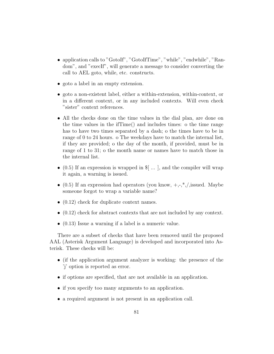- application calls to "GotoIf", "GotoIfTime", "while", "endwhile", "Random", and "execIf", will generate a message to consider converting the call to AEL goto, while, etc. constructs.
- goto a label in an empty extension.
- goto a non-existent label, either a within-extension, within-context, or in a different context, or in any included contexts. Will even check "sister" context references.
- All the checks done on the time values in the dial plan, are done on the time values in the ifTime() and includes times: o the time range has to have two times separated by a dash; o the times have to be in range of 0 to 24 hours. o The weekdays have to match the internal list, if they are provided; o the day of the month, if provided, must be in range of 1 to 31; o the month name or names have to match those in the internal list.
- $(0.5)$  If an expression is wrapped in  $\mathcal{F}$ [...], and the compiler will wrap it again, a warning is issued.
- (0.5) If an expression had operators (you know,  $+,-$ ,<sup>\*</sup>,/,issued. Maybe someone forgot to wrap a variable name?
- $(0.12)$  check for duplicate context names.
- (0.12) check for abstract contexts that are not included by any context.
- (0.13) Issue a warning if a label is a numeric value.

There are a subset of checks that have been removed until the proposed AAL (Asterisk Argument Language) is developed and incorporated into Asterisk. These checks will be:

- (if the application argument analyzer is working: the presence of the 'j' option is reported as error.
- if options are specified, that are not available in an application.
- if you specify too many arguments to an application.
- a required argument is not present in an application call.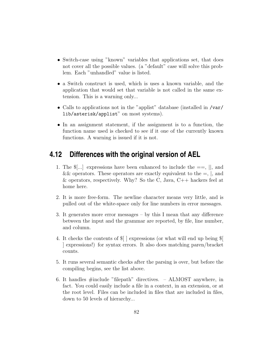- Switch-case using "known" variables that applications set, that does not cover all the possible values. (a "default" case will solve this problem. Each "unhandled" value is listed.
- a Switch construct is used, which is uses a known variable, and the application that would set that variable is not called in the same extension. This is a warning only...
- Calls to applications not in the "applist" database (installed in /var/ lib/asterisk/applist" on most systems).
- In an assignment statement, if the assignment is to a function, the function name used is checked to see if it one of the currently known functions. A warning is issued if it is not.

## **4.12 Differences with the original version of AEL**

- 1. The  $\mathcal{F}[\ldots]$  expressions have been enhanced to include the  $==, \mathcal{F}[\ldots]$ , and && operators. These operators are exactly equivalent to the  $=$ ,  $\vert$ , and & operators, respectively. Why? So the C, Java,  $C_{++}$  hackers feel at home here.
- 2. It is more free-form. The newline character means very little, and is pulled out of the white-space only for line numbers in error messages.
- 3. It generates more error messages by this I mean that any difference between the input and the grammar are reported, by file, line number, and column.
- 4. It checks the contents of \$[ ] expressions (or what will end up being \$[ ] expressions!) for syntax errors. It also does matching paren/bracket counts.
- 5. It runs several semantic checks after the parsing is over, but before the compiling begins, see the list above.
- 6. It handles #include "filepath" directives. ALMOST anywhere, in fact. You could easily include a file in a context, in an extension, or at the root level. Files can be included in files that are included in files, down to 50 levels of hierarchy...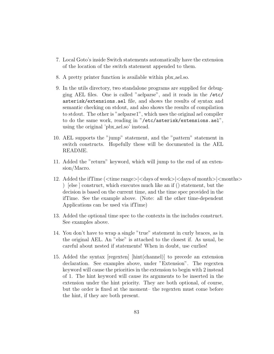- 7. Local Goto's inside Switch statements automatically have the extension of the location of the switch statement appended to them.
- 8. A pretty printer function is available within pbx ael.so.
- 9. In the utils directory, two standalone programs are supplied for debugging AEL files. One is called "aelparse", and it reads in the /etc/ asterisk/extensions.ael file, and shows the results of syntax and semantic checking on stdout, and also shows the results of compilation to stdout. The other is "aelparse1", which uses the original ael compiler to do the same work, reading in "/etc/asterisk/extensions.ael", using the original 'pbx ael.so' instead.
- 10. AEL supports the "jump" statement, and the "pattern" statement in switch constructs. Hopefully these will be documented in the AEL README.
- 11. Added the "return" keyword, which will jump to the end of an extension/Macro.
- 12. Added the if  $Time$  ( $\langle$ time range $\rangle$  $\langle$ days of week $\rangle$  $\langle$ days of months $\rangle$  $\langle$ months $\rangle$ ) [else ] construct, which executes much like an if () statement, but the decision is based on the current time, and the time spec provided in the ifTime. See the example above. (Note: all the other time-dependent Applications can be used via ifTime)
- 13. Added the optional time spec to the contexts in the includes construct. See examples above.
- 14. You don't have to wrap a single "true" statement in curly braces, as in the original AEL. An "else" is attached to the closest if. As usual, be careful about nested if statements! When in doubt, use curlies!
- 15. Added the syntax [regexten] [hint(channel)] to precede an extension declaration. See examples above, under "Extension". The regexten keyword will cause the priorities in the extension to begin with 2 instead of 1. The hint keyword will cause its arguments to be inserted in the extension under the hint priority. They are both optional, of course, but the order is fixed at the moment– the regexten must come before the hint, if they are both present.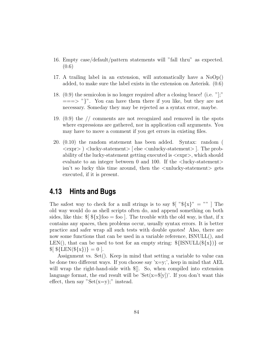- 16. Empty case/default/pattern statements will "fall thru" as expected. (0.6)
- 17. A trailing label in an extension, will automatically have a  $NoOp()$ added, to make sure the label exists in the extension on Asterisk. (0.6)
- 18. (0.9) the semicolon is no longer required after a closing brace! (i.e. "];"  $=\equiv \gg$  "}". You can have them there if you like, but they are not necessary. Someday they may be rejected as a syntax error, maybe.
- 19. (0.9) the // comments are not recognized and removed in the spots where expressions are gathered, nor in application call arguments. You may have to move a comment if you get errors in existing files.
- 20. (0.10) the random statement has been added. Syntax: random (  $\langle \text{expr} \rangle$   $\langle$  lucky-statement $\rangle$  [ else  $\langle$  unlucky-statement $\rangle$  ]. The probability of the lucky-statement getting executed is  $\langle \text{expr}\rangle$ , which should evaluate to an integer between 0 and 100. If the  $\langle$ lucky-statement $\rangle$  $\sin^2 t$  so lucky this time around, then the  $\lt$ unlucky-statement $>$  gets executed, if it is present.

## **4.13 Hints and Bugs**

The safest way to check for a null strings is to say  $\{\mathcal{F} \colon \mathcal{F}\{X\} \mathcal{F} = \mathcal{F} \}$ . old way would do as shell scripts often do, and append something on both sides, like this:  $\{\$ \}\ $\{x\}$ foo = foo . The trouble with the old way, is that, if x contains any spaces, then problems occur, usually syntax errors. It is better practice and safer wrap all such tests with double quotes! Also, there are now some functions that can be used in a variable reference, ISNULL(), and LEN(), that can be used to test for an empty string:  $\{\text{ISNULL}(\frac{2}{x}\})\}$  or  $\{E[N(\frac{\ell}{x})]\} = 0$ .

Assignment vs. Set(). Keep in mind that setting a variable to value can be done two different ways. If you choose say ' $x=y$ ',', keep in mind that AEL will wrap the right-hand-side with \$[]. So, when compiled into extension language format, the end result will be ' $Set(x=\frac{6}{y})$ '. If you don't want this effect, then say " $Set(x=y)$ ;" instead.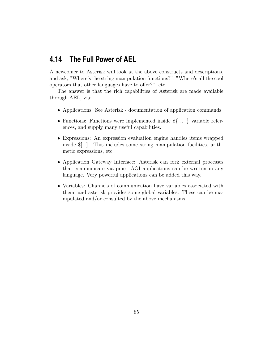## **4.14 The Full Power of AEL**

A newcomer to Asterisk will look at the above constructs and descriptions, and ask, "Where's the string manipulation functions?", "Where's all the cool operators that other languages have to offer?", etc.

The answer is that the rich capabilities of Asterisk are made available through AEL, via:

- Applications: See Asterisk documentation of application commands
- Functions: Functions were implemented inside \${ .. } variable references, and supply many useful capabilities.
- Expressions: An expression evaluation engine handles items wrapped inside \$[...]. This includes some string manipulation facilities, arithmetic expressions, etc.
- Application Gateway Interface: Asterisk can fork external processes that communicate via pipe. AGI applications can be written in any language. Very powerful applications can be added this way.
- Variables: Channels of communication have variables associated with them, and asterisk provides some global variables. These can be manipulated and/or consulted by the above mechanisms.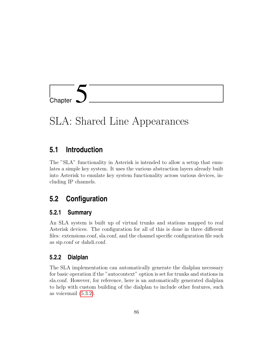

# SLA: Shared Line Appearances

## **5.1 Introduction**

The "SLA" functionality in Asterisk is intended to allow a setup that emulates a simple key system. It uses the various abstraction layers already built into Asterisk to emulate key system functionality across various devices, including IP channels.

## **5.2 Configuration**

#### **5.2.1 Summary**

An SLA system is built up of virtual trunks and stations mapped to real Asterisk devices. The configuration for all of this is done in three different files: extensions.conf, sla.conf, and the channel specific configuration file such as sip.conf or dahdi.conf.

#### **5.2.2 Dialplan**

The SLA implementation can automatically generate the dialplan necessary for basic operation if the "autocontext" option is set for trunks and stations in sla.conf. However, for reference, here is an automatically generated dialplan to help with custom building of the dialplan to include other features, such as voicemail [\(5.3.2\)](#page-90-0).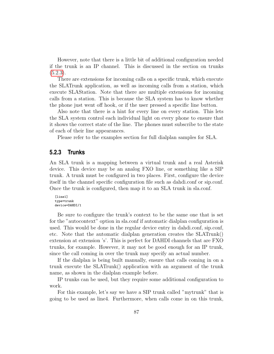However, note that there is a little bit of additional configuration needed if the trunk is an IP channel. This is discussed in the section on trunks  $(5.2.3).$  $(5.2.3).$ 

There are extensions for incoming calls on a specific trunk, which execute the SLATrunk application, as well as incoming calls from a station, which execute SLAStation. Note that there are multiple extensions for incoming calls from a station. This is because the SLA system has to know whether the phone just went off hook, or if the user pressed a specific line button.

Also note that there is a hint for every line on every station. This lets the SLA system control each individual light on every phone to ensure that it shows the correct state of the line. The phones must subscribe to the state of each of their line appearances.

Please refer to the examples section for full dialplan samples for SLA.

#### <span id="page-87-0"></span>**5.2.3 Trunks**

An SLA trunk is a mapping between a virtual trunk and a real Asterisk device. This device may be an analog FXO line, or something like a SIP trunk. A trunk must be configured in two places. First, configure the device itself in the channel specific configuration file such as dahdi.conf or sip.conf. Once the trunk is configured, then map it to an SLA trunk in sla.conf.

```
[line1]
type=trunk
device=DAHDI/1
```
Be sure to configure the trunk's context to be the same one that is set for the "autocontext" option in sla.conf if automatic dialplan configuration is used. This would be done in the regular device entry in dahdi.conf, sip.conf, etc. Note that the automatic dialplan generation creates the SLATrunk() extension at extension 's'. This is perfect for DAHDI channels that are FXO trunks, for example. However, it may not be good enough for an IP trunk, since the call coming in over the trunk may specify an actual number.

If the dialplan is being built manually, ensure that calls coming in on a trunk execute the SLATrunk() application with an argument of the trunk name, as shown in the dialplan example before.

IP trunks can be used, but they require some additional configuration to work.

For this example, let's say we have a SIP trunk called "mytrunk" that is going to be used as line4. Furthermore, when calls come in on this trunk,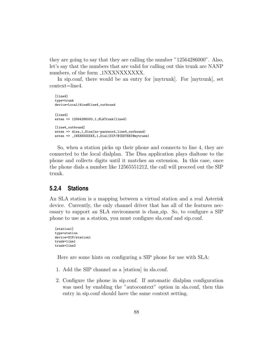they are going to say that they are calling the number "12564286000". Also, let's say that the numbers that are valid for calling out this trunk are NANP numbers, of the form  $\text{1NXXNXXXXX}$ .

In sip.conf, there would be an entry for [mytrunk]. For [mytrunk], set context=line4.

```
[line4]
type=trunk
device=Local/disa@line4_outbound
[line4]
exten => 12564286000,1,SLATrunk(line4)
[line4_outbound]
exten => disa,1,Disa(no-password,line4_outbound)
exten => _1NXXNXXXXXX,1,Dial(SIP/${EXTEN}@mytrunk)
```
So, when a station picks up their phone and connects to line 4, they are connected to the local dialplan. The Disa application plays dialtone to the phone and collects digits until it matches an extension. In this case, once the phone dials a number like 12565551212, the call will proceed out the SIP trunk.

#### **5.2.4 Stations**

An SLA station is a mapping between a virtual station and a real Asterisk device. Currently, the only channel driver that has all of the features necessary to support an SLA environment is chan sip. So, to configure a SIP phone to use as a station, you must configure sla.conf and sip.conf.

```
[station1]
type=station
device=SIP/station1
trunk=line1
trunk=line2
```
Here are some hints on configuring a SIP phone for use with SLA:

- 1. Add the SIP channel as a [station] in sla.conf.
- 2. Configure the phone in sip.conf. If automatic dialplan configuration was used by enabling the "autocontext" option in sla.conf, then this entry in sip.conf should have the same context setting.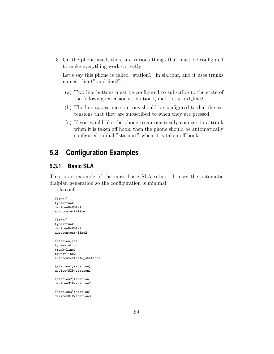3. On the phone itself, there are various things that must be configured to make everything work correctly:

Let's say this phone is called "station1" in sla.conf, and it uses trunks named "line1" and line2".

- (a) Two line buttons must be configured to subscribe to the state of the following extensions: - station1 line1 - station1 line2
- (b) The line appearance buttons should be configured to dial the extensions that they are subscribed to when they are pressed.
- (c) If you would like the phone to automatically connect to a trunk when it is taken off hook, then the phone should be automatically configured to dial "station1" when it is taken off hook.

## **5.3 Configuration Examples**

#### **5.3.1 Basic SLA**

This is an example of the most basic SLA setup. It uses the automatic dialplan generation so the configuration is minimal.

sla.conf:

```
[line1]
type=trunk
device=DAHDI/1
autocontext=line1
[line2]
type=trunk
device=DAHDI/2
autocontext=line2
[station](!)
type=station
trunk=line1
trunk=line2
autocontext=sla_stations
[station1](station)
device=SIP/station1
[station2](station)
device=SIP/station2
[station3](station)
device=SIP/station3
```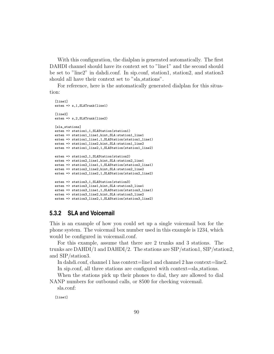With this configuration, the dialplan is generated automatically. The first DAHDI channel should have its context set to "line1" and the second should be set to "line2" in dahdi.conf. In sip.conf, station1, station2, and station3 should all have their context set to "sla stations".

For reference, here is the automatically generated dialplan for this situation:

```
[line1]
exten => s,1,SLATrunk(line1)
[line2]
ext{en} => s, 2, SLATrunk(line2)
[sla_stations]
exten => station1,1,SLAStation(station1)
exten => station1_line1,hint,SLA:station1_line1
exten => station1_line1,1,SLAStation(station1_line1)
exten => station1_line2,hint,SLA:station1_line2
exten => station1_line2,1,SLAStation(station1_line2)
exten => station2,1,SLAStation(station2)
exten => station2_line1,hint,SLA:station2_line1
exten => station2_line1,1,SLAStation(station2_line1)
exten => station2_line2,hint,SLA:station2_line2
exten => station2_line2,1,SLAStation(station2_line2)
exten => station3,1,SLAStation(station3)
exten => station3_line1,hint,SLA:station3_line1
exten => station3 line1.1.SLAStation(station3 line1)
exten => station3_line2,hint,SLA:station3_line2
exten => station3_line2,1,SLAStation(station3_line2)
```
#### <span id="page-90-0"></span>**5.3.2 SLA and Voicemail**

This is an example of how you could set up a single voicemail box for the phone system. The voicemail box number used in this example is 1234, which would be configured in voicemail.conf.

For this example, assume that there are 2 trunks and 3 stations. The trunks are DAHDI/1 and DAHDI/2. The stations are SIP/station1, SIP/station2, and SIP/station3.

In dahdi.conf, channel 1 has context=line1 and channel 2 has context=line2. In sip.conf, all three stations are configured with context=sla stations.

When the stations pick up their phones to dial, they are allowed to dial NANP numbers for outbound calls, or 8500 for checking voicemail.

sla.conf:

[line1]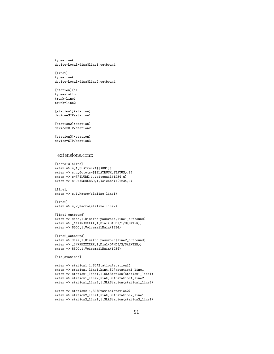type=trunk device=Local/disa@line1\_outbound

[line2] type=trunk device=Local/disa@line2\_outbound

[station](!) type=station trunk=line1 trunk=line2

[station1](station) device=SIP/station1

[station2](station) device=SIP/station2

[station3](station) device=SIP/station3

#### extensions.conf:

```
[macro-slaline]
exten => s,1,SLATrunk(${ARG1})
exten => s,n,Goto(s-${SLATRUNK_STATUS},1)
exten => s-FAILURE,1,Voicemail(1234,u)
exten => s-UNANSWERED,1,Voicemail(1234,u)
```

```
[line1]
exten => s,1,Macro(slaline,line1)
```
[line2] exten => s,2,Macro(slaline,line2)

```
[line1_outbound]
exten => disa,1,Disa(no-password,line1_outbound)
exten => _1NXXNXXXXXX,1,Dial(DAHDI/1/${EXTEN})
exten => 8500,1,VoicemailMain(1234)
```

```
[line2_outbound]
exten => disa,1,Disa(no-password|line2_outbound)
exten => _1NXXNXXXXXX,1,Dial(DAHDI/2/${EXTEN})
exten => 8500,1,VoicemailMain(1234)
```

```
[sla_stations]
```

```
exten => station1,1,SLAStation(station1)
exten => station1_line1,hint,SLA:station1_line1
exten => station1_line1,1,SLAStation(station1_line1)
exten => station1_line2,hint,SLA:station1_line2
exten => station1_line2,1,SLAStation(station1_line2)
```

```
exten => station2,1,SLAStation(station2)
exten => station2_line1,hint,SLA:station2_line1
exten => station2_line1,1,SLAStation(station2_line1)
```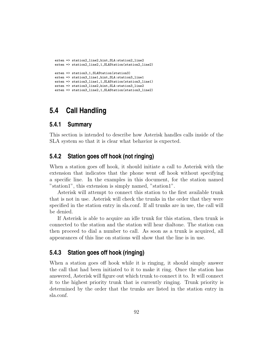```
exten => station2_line2,hint,SLA:station2_line2
exten => station2_line2,1,SLAStation(station2_line2)
exten => station3,1,SLAStation(station3)
exten => station3_line1,hint,SLA:station3_line1
exten => station3_line1,1,SLAStation(station3_line1)
exten => station3_line2,hint,SLA:station3_line2
exten => station3_line2,1,SLAStation(station3_line2)
```
## **5.4 Call Handling**

#### **5.4.1 Summary**

This section is intended to describe how Asterisk handles calls inside of the SLA system so that it is clear what behavior is expected.

#### **5.4.2 Station goes off hook (not ringing)**

When a station goes off hook, it should initiate a call to Asterisk with the extension that indicates that the phone went off hook without specifying a specific line. In the examples in this document, for the station named "station1", this extension is simply named, "station1".

Asterisk will attempt to connect this station to the first available trunk that is not in use. Asterisk will check the trunks in the order that they were specified in the station entry in sla.conf. If all trunks are in use, the call will be denied.

If Asterisk is able to acquire an idle trunk for this station, then trunk is connected to the station and the station will hear dialtone. The station can then proceed to dial a number to call. As soon as a trunk is acquired, all appearances of this line on stations will show that the line is in use.

#### **5.4.3 Station goes off hook (ringing)**

When a station goes off hook while it is ringing, it should simply answer the call that had been initiated to it to make it ring. Once the station has answered, Asterisk will figure out which trunk to connect it to. It will connect it to the highest priority trunk that is currently ringing. Trunk priority is determined by the order that the trunks are listed in the station entry in sla.conf.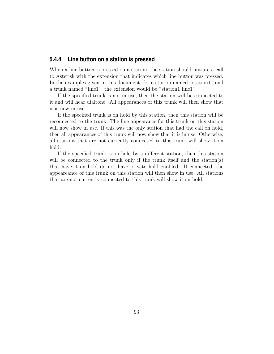#### **5.4.4 Line button on a station is pressed**

When a line button is pressed on a station, the station should initiate a call to Asterisk with the extension that indicates which line button was pressed. In the examples given in this document, for a station named "station1" and a trunk named "line1", the extension would be "station1 line1".

If the specified trunk is not in use, then the station will be connected to it and will hear dialtone. All appearances of this trunk will then show that it is now in use.

If the specified trunk is on hold by this station, then this station will be reconnected to the trunk. The line appearance for this trunk on this station will now show in use. If this was the only station that had the call on hold, then all appearances of this trunk will now show that it is in use. Otherwise, all stations that are not currently connected to this trunk will show it on hold.

If the specified trunk is on hold by a different station, then this station will be connected to the trunk only if the trunk itself and the station(s) that have it on hold do not have private hold enabled. If connected, the appeareance of this trunk on this station will then show in use. All stations that are not currently connected to this trunk will show it on hold.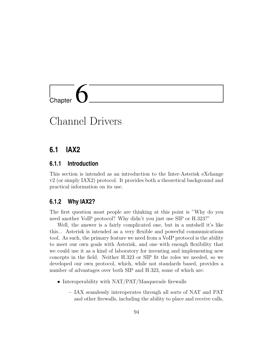# l<br>Chapter

## Channel Drivers

## **6.1 IAX2**

#### **6.1.1 Introduction**

This section is intended as an introduction to the Inter-Asterisk eXchange v2 (or simply IAX2) protocol. It provides both a theoretical background and practical information on its use.

#### **6.1.2 Why IAX2?**

The first question most people are thinking at this point is "Why do you need another VoIP protocol? Why didn't you just use SIP or H.323?"

Well, the answer is a fairly complicated one, but in a nutshell it's like this... Asterisk is intended as a very flexible and powerful communications tool. As such, the primary feature we need from a VoIP protocol is the ability to meet our own goals with Asterisk, and one with enough flexibility that we could use it as a kind of laboratory for inventing and implementing new concepts in the field. Neither H.323 or SIP fit the roles we needed, so we developed our own protocol, which, while not standards based, provides a number of advantages over both SIP and H.323, some of which are:

- Interoperability with NAT/PAT/Masquerade firewalls
	- IAX seamlessly interoperates through all sorts of NAT and PAT and other firewalls, including the ability to place and receive calls,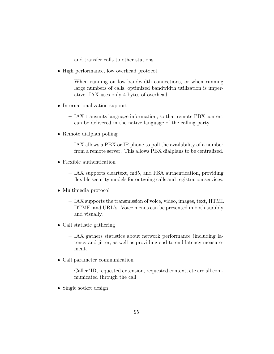and transfer calls to other stations.

- High performance, low overhead protocol
	- When running on low-bandwidth connections, or when running large numbers of calls, optimized bandwidth utilization is imperative. IAX uses only 4 bytes of overhead
- Internationalization support
	- IAX transmits language information, so that remote PBX content can be delivered in the native language of the calling party.
- Remote dialplan polling
	- IAX allows a PBX or IP phone to poll the availability of a number from a remote server. This allows PBX dialplans to be centralized.
- Flexible authentication
	- IAX supports cleartext, md5, and RSA authentication, providing flexible security models for outgoing calls and registration services.
- Multimedia protocol
	- IAX supports the transmission of voice, video, images, text, HTML, DTMF, and URL's. Voice menus can be presented in both audibly and visually.
- Call statistic gathering
	- IAX gathers statistics about network performance (including latency and jitter, as well as providing end-to-end latency measurement.
- Call parameter communication
	- Caller\*ID, requested extension, requested context, etc are all communicated through the call.
- Single socket design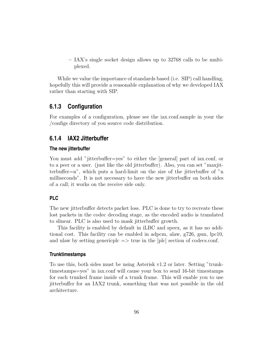– IAX's single socket design allows up to 32768 calls to be multiplexed.

While we value the importance of standards based (i.e. SIP) call handling, hopefully this will provide a reasonable explanation of why we developed IAX rather than starting with SIP.

#### **6.1.3 Configuration**

For examples of a configuration, please see the iax.conf.sample in your the /configs directory of you source code distribution.

#### **6.1.4 IAX2 Jitterbuffer**

#### **The new jitterbuffer**

You must add "jitterbuffer=yes" to either the [general] part of iax.conf, or to a peer or a user. (just like the old jitterbuffer). Also, you can set "maxjitterbuffer=n", which puts a hard-limit on the size of the jitterbuffer of "n milliseconds". It is not necessary to have the new jitterbuffer on both sides of a call; it works on the receive side only.

#### **PLC**

The new jitterbuffer detects packet loss. PLC is done to try to recreate these lost packets in the codec decoding stage, as the encoded audio is translated to slinear. PLC is also used to mask jitterbuffer growth.

This facility is enabled by default in iLBC and speex, as it has no additional cost. This facility can be enabled in adpcm, alaw, g726, gsm, lpc10, and ulaw by setting genericple  $\Rightarrow$  true in the [plc] section of codecs.conf.

#### **Trunktimestamps**

To use this, both sides must be using Asterisk v1.2 or later. Setting "trunktimestamps=yes" in iax.conf will cause your box to send 16-bit timestamps for each trunked frame inside of a trunk frame. This will enable you to use jitterbuffer for an IAX2 trunk, something that was not possible in the old architecture.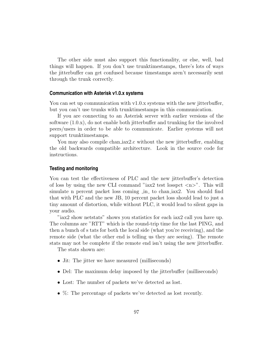The other side must also support this functionality, or else, well, bad things will happen. If you don't use trunktimestamps, there's lots of ways the jitterbuffer can get confused because timestamps aren't necessarily sent through the trunk correctly.

#### **Communication with Asterisk v1.0.x systems**

You can set up communication with v1.0.x systems with the new jitterbuffer, but you can't use trunks with trunktimestamps in this communication.

If you are connecting to an Asterisk server with earlier versions of the software (1.0.x), do not enable both jitterbuffer and trunking for the involved peers/users in order to be able to communicate. Earlier systems will not support trunktimestamps.

You may also compile chan  $iax2.c$  without the new jitterbuffer, enabling the old backwards compatible architecture. Look in the source code for instructions.

#### **Testing and monitoring**

You can test the effectiveness of PLC and the new jitterbuffer's detection of loss by using the new CLI command "iax2 test losspct  $\langle n \rangle$ ". This will simulate n percent packet loss coming in to chan iax2. You should find that with PLC and the new JB, 10 percent packet loss should lead to just a tiny amount of distortion, while without PLC, it would lead to silent gaps in your audio.

"iax2 show netstats" shows you statistics for each iax2 call you have up. The columns are "RTT" which is the round-trip time for the last PING, and then a bunch of s tats for both the local side (what you're receiving), and the remote side (what the other end is telling us they are seeing). The remote stats may not be complete if the remote end isn't using the new jitterbuffer.

The stats shown are:

- Jit: The jitter we have measured (milliseconds)
- Del: The maximum delay imposed by the jitterbuffer (milliseconds)
- Lost: The number of packets we've detected as lost.
- $\%$ : The percentage of packets we've detected as lost recently.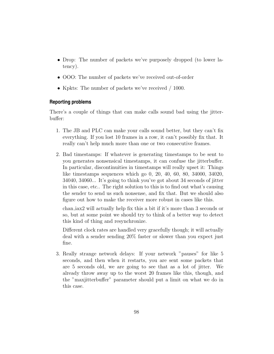- Drop: The number of packets we've purposely dropped (to lower latency).
- OOO: The number of packets we've received out-of-order
- Kpkts: The number of packets we've received / 1000.

#### **Reporting problems**

There's a couple of things that can make calls sound bad using the jitterbuffer:

- 1. The JB and PLC can make your calls sound better, but they can't fix everything. If you lost 10 frames in a row, it can't possibly fix that. It really can't help much more than one or two consecutive frames.
- 2. Bad timestamps: If whatever is generating timestamps to be sent to you generates nonsensical timestamps, it can confuse the jitterbuffer. In particular, discontinuities in timestamps will really upset it: Things like timestamps sequences which go 0, 20, 40, 60, 80, 34000, 34020, 34040, 34060... It's going to think you've got about 34 seconds of jitter in this case, etc.. The right solution to this is to find out what's causing the sender to send us such nonsense, and fix that. But we should also figure out how to make the receiver more robust in cases like this.

chan iax2 will actually help fix this a bit if it's more than 3 seconds or so, but at some point we should try to think of a better way to detect this kind of thing and resynchronize.

Different clock rates are handled very gracefully though; it will actually deal with a sender sending 20% faster or slower than you expect just fine.

3. Really strange network delays: If your network "pauses" for like 5 seconds, and then when it restarts, you are sent some packets that are 5 seconds old, we are going to see that as a lot of jitter. We already throw away up to the worst 20 frames like this, though, and the "maxjitterbuffer" parameter should put a limit on what we do in this case.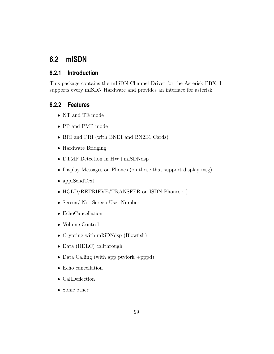## **6.2 mISDN**

#### **6.2.1 Introduction**

This package contains the mISDN Channel Driver for the Asterisk PBX. It supports every mISDN Hardware and provides an interface for asterisk.

#### **6.2.2 Features**

- NT and TE mode
- PP and PMP mode
- BRI and PRI (with BNE1 and BN2E1 Cards)
- Hardware Bridging
- DTMF Detection in HW+mISDNdsp
- Display Messages on Phones (on those that support display msg)
- app SendText
- HOLD/RETRIEVE/TRANSFER on ISDN Phones : )
- Screen/ Not Screen User Number
- EchoCancellation
- Volume Control
- Crypting with mISDNdsp (Blowfish)
- Data (HDLC) callthrough
- Data Calling (with app ptyfork +pppd)
- Echo cancellation
- CallDeflection
- Some other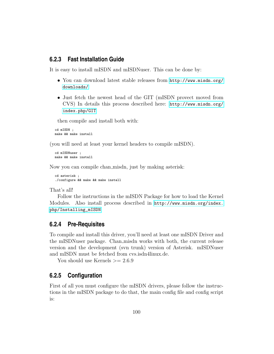#### **6.2.3 Fast Installation Guide**

It is easy to install mISDN and mISDNuser. This can be done by:

- You can download latest stable releases from [http://www.misdn.org/](http://www.misdn.org/downloads/) [downloads/](http://www.misdn.org/downloads/)
- Just fetch the newest head of the GIT (mISDN provect moved from CVS) In details this process described here: [http://www.misdn.org/](http://www.misdn.org/index.php/GIT) [index.php/GIT](http://www.misdn.org/index.php/GIT)

then compile and install both with:

```
cd mISDN ;
make && make install
```
(you will need at least your kernel headers to compile mISDN).

```
cd mISDNuser ;
make && make install
```
Now you can compile chan misdn, just by making asterisk:

```
cd asterisk ;
./configure && make && make install
```
That's all!

Follow the instructions in the mISDN Package for how to load the Kernel Modules. Also install process described in [http://www.misdn.org/index.](http://www.misdn.org/index.php/Installing_mISDN) [php/Installing\\_mISDN](http://www.misdn.org/index.php/Installing_mISDN)

#### **6.2.4 Pre-Requisites**

To compile and install this driver, you'll need at least one mISDN Driver and the mISDNuser package. Chan misdn works with both, the current release version and the development (svn trunk) version of Asterisk. mISDNuser and mISDN must be fetched from cvs.isdn4linux.de.

You should use Kernels  $\geq$  2.6.9

#### **6.2.5 Configuration**

First of all you must configure the mISDN drivers, please follow the instructions in the mISDN package to do that, the main config file and config script is: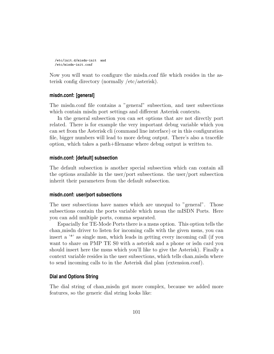```
/etc/init.d/misdn-init and
/etc/misdn-init.conf
```
Now you will want to configure the misdn.conf file which resides in the asterisk config directory (normally /etc/asterisk).

#### **misdn.conf: [general]**

The misdn.conf file contains a "general" subsection, and user subsections which contain misdn port settings and different Asterisk contexts.

In the general subsection you can set options that are not directly port related. There is for example the very important debug variable which you can set from the Asterisk cli (command line interface) or in this configuration file, bigger numbers will lead to more debug output. There's also a tracefile option, which takes a path+filename where debug output is written to.

#### **misdn.conf: [default] subsection**

The default subsection is another special subsection which can contain all the options available in the user/port subsections. the user/port subsection inherit their parameters from the default subsection.

#### **misdn.conf: user/port subsections**

The user subsections have names which are unequal to "general". Those subsections contain the ports variable which mean the mISDN Ports. Here you can add multiple ports, comma separated.

Espacially for TE-Mode Ports there is a msns option. This option tells the chan misdn driver to listen for incoming calls with the given msns, you can insert a '\*' as single msn, which leads in getting every incoming call (if you want to share on PMP TE S0 with a asterisk and a phone or isdn card you should insert here the msns which you'll like to give the Asterisk). Finally a context variable resides in the user subsections, which tells chan misdn where to send incoming calls to in the Asterisk dial plan (extension.conf).

#### **Dial and Options String**

The dial string of chan misdn got more complex, because we added more features, so the generic dial string looks like: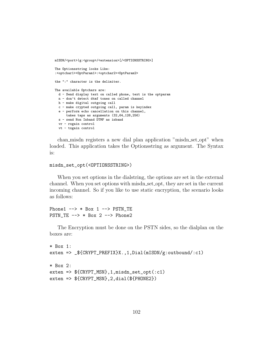```
mISDN/<port>|g:<group>/<extension>[/<OPTIONSSTRING>]
```
The Optionsstring looks Like: :<optchar1><OptParam1>:<optchar2><OptParam2>

the ":" character is the delimiter.

```
The available Optchars are:
 d - Send display text on called phone, text is the optparam
 n - don't detect dtmf tones on called channel
 h - make digital outgoing call
 c - make crypted outgoing call, param is keyindex
 e - perform echo cancellation on this channel,
      takes taps as arguments (32,64,128,256)
 s - send Non Inband DTMF as inband
 vr - rxgain control
 vt - txgain control
```
chan misdn registers a new dial plan application "misdn set opt" when loaded. This application takes the Optionsstring as argument. The Syntax is:

```
misdn_set_opt(<OPTIONSSTRING>)
```
When you set options in the dialstring, the options are set in the external channel. When you set options with misdn set opt, they are set in the current incoming channel. So if you like to use static encryption, the scenario looks as follows:

```
Phone1 \leftarrow \rightarrow * Box 1 \leftarrow PSTN_TE
PSTN_TE \leftarrow > * Box 2 \leftarrow > Phone2
```
The Encryption must be done on the PSTN sides, so the dialplan on the boxes are:

```
* Box 1:
exten => _${CRYPT_PREFIX}X.,1,Dial(mISDN/g:outbound/:c1)
* Box 2:
exten => ${CRYPT_MSN},1,misdn_set_opt(:c1)
exten => $(CRYPT_MSN}, 2, dia1 ($PHONE2})
```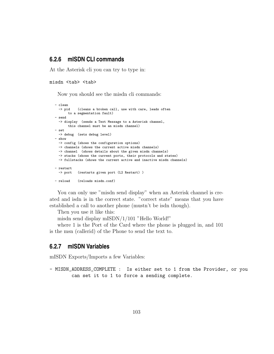#### **6.2.6 mISDN CLI commands**

At the Asterisk cli you can try to type in:

```
misdn <tab> <tab>
```
Now you should see the misdn cli commands:

```
- clean
 -> pid (cleans a broken call, use with care, leads often
      to a segmentation fault)
- send
 -> display (sends a Text Message to a Asterisk channel,
      this channel must be an misdn channel)
- set
  -> debug (sets debug level)
- show
 -> config (shows the configuration options)
 -> channels (shows the current active misdn channels)
 -> channel (shows details about the given misdn channels)
  -> stacks (shows the current ports, their protocols and states)
 -> fullstacks (shows the current active and inactive misdn channels)
- restart
 -> port (restarts given port (L2 Restart) )
- reload (reloads misdn.conf)
```
You can only use "misdn send display" when an Asterisk channel is created and isdn is in the correct state. "correct state" means that you have established a call to another phone (mustn't be isdn though).

Then you use it like this:

misdn send display mISDN/1/101 "Hello World!"

where 1 is the Port of the Card where the phone is plugged in, and 101 is the msn (callerid) of the Phone to send the text to.

#### **6.2.7 mISDN Variables**

mISDN Exports/Imports a few Variables:

```
- MISDN_ADDRESS_COMPLETE : Is either set to 1 from the Provider, or you
        can set it to 1 to force a sending complete.
```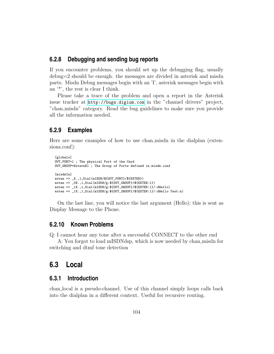#### **6.2.8 Debugging and sending bug reports**

If you encounter problems, you should set up the debugging flag, usually debug=2 should be enough. the messages are divided in asterisk and misdn parts. Misdn Debug messages begin with an 'I', asterisk messages begin with an '\*', the rest is clear I think.

Please take a trace of the problem and open a report in the Asterisk issue tracker at <http://bugs.digium.com> in the "channel drivers" project, "chan misdn" category. Read the bug guidelines to make sure you provide all the information needed.

#### **6.2.9 Examples**

Here are some examples of how to use chan misdn in the dialplan (extensions.conf):

```
[globals]
OUT_PORT=1 ; The physical Port of the Card
OUT_GROUP=ExternE1 ; The Group of Ports defined in misdn.conf
[misdnIn]
exten => _X.,1,Dial(mISDN/${OUT_PORT}/${EXTEN})
exten => _0X.,1,Dial(mISDN/g:${OUT_GROUP}/${EXTEN:1})
exten => _1X.,1,Dial(mISDN/g:${OUT_GROUP}/${EXTEN:1}/:dHello)
exten => _1X.,1,Dial(mISDN/g:${OUT_GROUP}/${EXTEN:1}/:dHello Test:n)
```
On the last line, you will notice the last argument (Hello); this is sent as Display Message to the Phone.

#### **6.2.10 Known Problems**

Q: I cannot hear any tone after a successful CONNECT to the other end

A: You forgot to load mISDNdsp, which is now needed by chan misdn for switching and dtmf tone detection

### **6.3 Local**

#### **6.3.1 Introduction**

chan local is a pseudo-channel. Use of this channel simply loops calls back into the dialplan in a different context. Useful for recursive routing.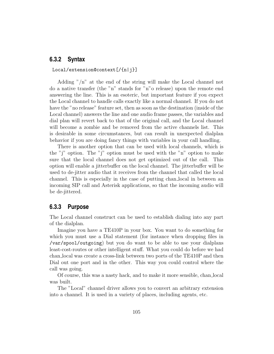#### **6.3.2 Syntax**

#### Local/extension@context[/{n|j}]

Adding "/n" at the end of the string will make the Local channel not do a native transfer (the "n" stands for "n"o release) upon the remote end answering the line. This is an esoteric, but important feature if you expect the Local channel to handle calls exactly like a normal channel. If you do not have the "no release" feature set, then as soon as the destination (inside of the Local channel) answers the line and one audio frame passes, the variables and dial plan will revert back to that of the original call, and the Local channel will become a zombie and be removed from the active channels list. This is desirable in some circumstances, but can result in unexpected dialplan behavior if you are doing fancy things with variables in your call handling.

There is another option that can be used with local channels, which is the "j" option. The "j" option must be used with the "n" option to make sure that the local channel does not get optimized out of the call. This option will enable a jitterbuffer on the local channel. The jitterbuffer will be used to de-jitter audio that it receives from the channel that called the local channel. This is especially in the case of putting chan local in between an incoming SIP call and Asterisk applications, so that the incoming audio will be de-jittered.

#### **6.3.3 Purpose**

The Local channel construct can be used to establish dialing into any part of the dialplan.

Imagine you have a TE410P in your box. You want to do something for which you must use a Dial statement (for instance when dropping files in /var/spool/outgoing) but you do want to be able to use your dialplans least-cost-routes or other intelligent stuff. What you could do before we had chan local was create a cross-link between two ports of the TE410P and then Dial out one port and in the other. This way you could control where the call was going.

Of course, this was a nasty hack, and to make it more sensible, chan local was built.

The "Local" channel driver allows you to convert an arbitrary extension into a channel. It is used in a variety of places, including agents, etc.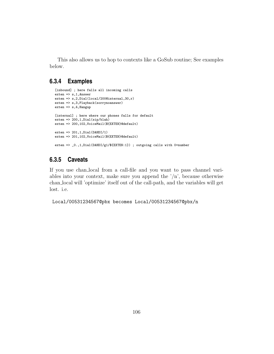This also allows us to hop to contexts like a GoSub routine; See examples below.

#### **6.3.4 Examples**

```
[inbound] ; here falls all incoming calls
exten => s,1,Answer
exten => s,2,Dial(local/200@internal,30,r)
exten => s,3,Playback(sorrynoanswer)
exten => s,4,Hangup
[internal] ; here where our phones falls for default
exten => 200,1, Dial(sip/blah)
exten => 200,102,VoiceMail(${EXTEN}@default)
exten => 201, 1,Dial(DAHDI/1)
exten => 201,102,VoiceMail(${EXTEN}@default)
exten => _0.,1,Dial(DAHDI/g1/${EXTEN:1}) ; outgoing calls with 0+number
```
#### **6.3.5 Caveats**

If you use chan local from a call-file and you want to pass channel variables into your context, make sure you append the  $n^2/n^2$ , because otherwise chan local will 'optimize' itself out of the call-path, and the variables will get lost. i.e.

Local/00531234567@pbx becomes Local/00531234567@pbx/n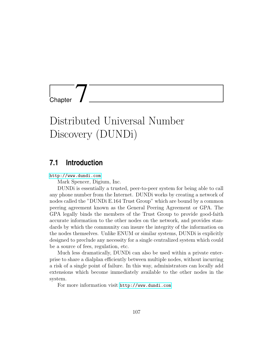Chapter 7

# Distributed Universal Number Discovery (DUNDi)

## **7.1 Introduction**

<http://www.dundi.com>

Mark Spencer, Digium, Inc.

DUNDi is essentially a trusted, peer-to-peer system for being able to call any phone number from the Internet. DUNDi works by creating a network of nodes called the "DUNDi E.164 Trust Group" which are bound by a common peering agreement known as the General Peering Agreement or GPA. The GPA legally binds the members of the Trust Group to provide good-faith accurate information to the other nodes on the network, and provides standards by which the community can insure the integrity of the information on the nodes themselves. Unlike ENUM or similar systems, DUNDi is explicitly designed to preclude any necessity for a single centralized system which could be a source of fees, regulation, etc.

Much less dramatically, DUNDi can also be used within a private enterprise to share a dialplan efficiently between multiple nodes, without incurring a risk of a single point of failure. In this way, administrators can locally add extensions which become immediately available to the other nodes in the system.

For more information visit <http://www.dundi.com>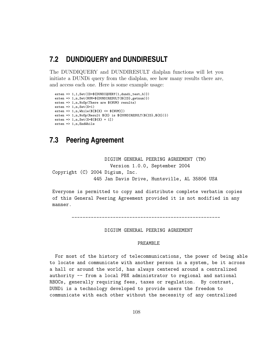#### **7.2 DUNDIQUERY and DUNDIRESULT**

The DUNDIQUERY and DUNDIRESULT dialplan functions will let you initiate a DUNDi query from the dialplan, see how many results there are, and access each one. Here is some example usage:

```
exten => 1,1,Set(ID=${DUNDIQUERY(1,dundi_test,b)})
exten => 1,n,Set(NUM=${DUNDIRESULT(${ID},getnum)})
exten => 1,n,NoOp(There are ${NUM} results)
exten \Rightarrow 1, n, \text{Set}(X=1)exten => 1, n,While([[{X}] <= {MUM}])
exten => 1, n, NoOp(Result (X) is \{DUNDIRESULT(\$(ID), $(X)\})exten => 1, n, Set(X=\frac{1}{2}[\frac{1}{2}] + 1])
exten => 1,n,EndWhile
```
#### **7.3 Peering Agreement**

DIGIUM GENERAL PEERING AGREEMENT (TM) Version 1.0.0, September 2004 Copyright (C) 2004 Digium, Inc. 445 Jan Davis Drive, Huntsville, AL 35806 USA

Everyone is permitted to copy and distribute complete verbatim copies of this General Peering Agreement provided it is not modified in any manner.

------------------------------------------------------

DIGIUM GENERAL PEERING AGREEMENT

#### PREAMBLE

For most of the history of telecommunications, the power of being able to locate and communicate with another person in a system, be it across a hall or around the world, has always centered around a centralized authority -- from a local PBX administrator to regional and national RBOCs, generally requiring fees, taxes or regulation. By contrast, DUNDi is a technology developed to provide users the freedom to communicate with each other without the necessity of any centralized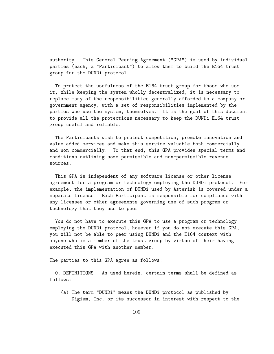authority. This General Peering Agreement ("GPA") is used by individual parties (each, a "Participant") to allow them to build the E164 trust group for the DUNDi protocol.

To protect the usefulness of the E164 trust group for those who use it, while keeping the system wholly decentralized, it is necessary to replace many of the responsibilities generally afforded to a company or government agency, with a set of responsibilities implemented by the parties who use the system, themselves. It is the goal of this document to provide all the protections necessary to keep the DUNDi E164 trust group useful and reliable.

The Participants wish to protect competition, promote innovation and value added services and make this service valuable both commercially and non-commercially. To that end, this GPA provides special terms and conditions outlining some permissible and non-permissible revenue sources.

This GPA is independent of any software license or other license agreement for a program or technology employing the DUNDi protocol. For example, the implementation of DUNDi used by Asterisk is covered under a separate license. Each Participant is responsible for compliance with any licenses or other agreements governing use of such program or technology that they use to peer.

You do not have to execute this GPA to use a program or technology employing the DUNDi protocol, however if you do not execute this GPA, you will not be able to peer using DUNDi and the E164 context with anyone who is a member of the trust group by virtue of their having executed this GPA with another member.

The parties to this GPA agree as follows:

0. DEFINITIONS. As used herein, certain terms shall be defined as follows:

(a) The term "DUNDi" means the DUNDi protocol as published by Digium, Inc. or its successor in interest with respect to the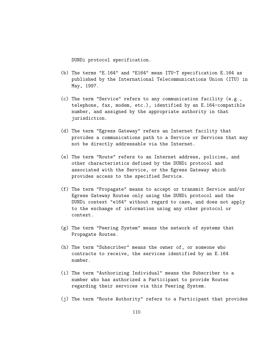DUNDi protocol specification.

- (b) The terms "E.164" and "E164" mean ITU-T specification E.164 as published by the International Telecommunications Union (ITU) in May, 1997.
- (c) The term "Service" refers to any communication facility (e.g., telephone, fax, modem, etc.), identified by an E.164-compatible number, and assigned by the appropriate authority in that jurisdiction.
- (d) The term "Egress Gateway" refers an Internet facility that provides a communications path to a Service or Services that may not be directly addressable via the Internet.
- (e) The term "Route" refers to an Internet address, policies, and other characteristics defined by the DUNDi protocol and associated with the Service, or the Egress Gateway which provides access to the specified Service.
- (f) The term "Propagate" means to accept or transmit Service and/or Egress Gateway Routes only using the DUNDi protocol and the DUNDi context "e164" without regard to case, and does not apply to the exchange of information using any other protocol or context.
- (g) The term "Peering System" means the network of systems that Propagate Routes.
- (h) The term "Subscriber" means the owner of, or someone who contracts to receive, the services identified by an E.164 number.
- (i) The term "Authorizing Individual" means the Subscriber to a number who has authorized a Participant to provide Routes regarding their services via this Peering System.
- (j) The term "Route Authority" refers to a Participant that provides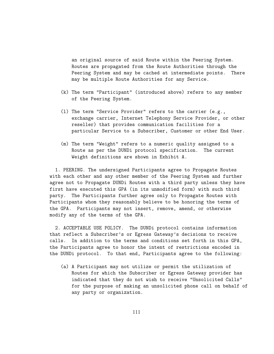an original source of said Route within the Peering System. Routes are propagated from the Route Authorities through the Peering System and may be cached at intermediate points. There may be multiple Route Authorities for any Service.

- (k) The term "Participant" (introduced above) refers to any member of the Peering System.
- (l) The term "Service Provider" refers to the carrier (e.g., exchange carrier, Internet Telephony Service Provider, or other reseller) that provides communication facilities for a particular Service to a Subscriber, Customer or other End User.
- (m) The term "Weight" refers to a numeric quality assigned to a Route as per the DUNDi protocol specification. The current Weight definitions are shown in Exhibit A.

1. PEERING. The undersigned Participants agree to Propagate Routes with each other and any other member of the Peering System and further agree not to Propagate DUNDi Routes with a third party unless they have first have executed this GPA (in its unmodified form) with such third party. The Participants further agree only to Propagate Routes with Participants whom they reasonably believe to be honoring the terms of the GPA. Participants may not insert, remove, amend, or otherwise modify any of the terms of the GPA.

2. ACCEPTABLE USE POLICY. The DUNDi protocol contains information that reflect a Subscriber's or Egress Gateway's decisions to receive calls. In addition to the terms and conditions set forth in this GPA, the Participants agree to honor the intent of restrictions encoded in the DUNDi protocol. To that end, Participants agree to the following:

(a) A Participant may not utilize or permit the utilization of Routes for which the Subscriber or Egress Gateway provider has indicated that they do not wish to receive "Unsolicited Calls" for the purpose of making an unsolicited phone call on behalf of any party or organization.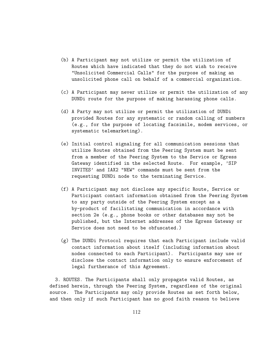- (b) A Participant may not utilize or permit the utilization of Routes which have indicated that they do not wish to receive "Unsolicited Commercial Calls" for the purpose of making an unsolicited phone call on behalf of a commercial organization.
- (c) A Participant may never utilize or permit the utilization of any DUNDi route for the purpose of making harassing phone calls.
- (d) A Party may not utilize or permit the utilization of DUNDi provided Routes for any systematic or random calling of numbers (e.g., for the purpose of locating facsimile, modem services, or systematic telemarketing).
- (e) Initial control signaling for all communication sessions that utilize Routes obtained from the Peering System must be sent from a member of the Peering System to the Service or Egress Gateway identified in the selected Route. For example, 'SIP INVITES' and IAX2 "NEW" commands must be sent from the requesting DUNDi node to the terminating Service.
- (f) A Participant may not disclose any specific Route, Service or Participant contact information obtained from the Peering System to any party outside of the Peering System except as a by-product of facilitating communication in accordance with section 2e (e.g., phone books or other databases may not be published, but the Internet addresses of the Egress Gateway or Service does not need to be obfuscated.)
- (g) The DUNDi Protocol requires that each Participant include valid contact information about itself (including information about nodes connected to each Participant). Participants may use or disclose the contact information only to ensure enforcement of legal furtherance of this Agreement.

3. ROUTES. The Participants shall only propagate valid Routes, as defined herein, through the Peering System, regardless of the original source. The Participants may only provide Routes as set forth below, and then only if such Participant has no good faith reason to believe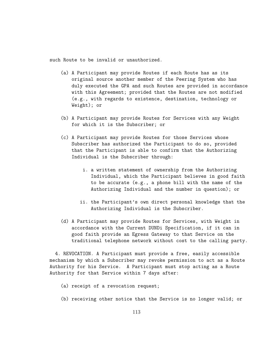such Route to be invalid or unauthorized.

- (a) A Participant may provide Routes if each Route has as its original source another member of the Peering System who has duly executed the GPA and such Routes are provided in accordance with this Agreement; provided that the Routes are not modified (e.g., with regards to existence, destination, technology or Weight); or
- (b) A Participant may provide Routes for Services with any Weight for which it is the Subscriber; or
- (c) A Participant may provide Routes for those Services whose Subscriber has authorized the Participant to do so, provided that the Participant is able to confirm that the Authorizing Individual is the Subscriber through:
	- i. a written statement of ownership from the Authorizing Individual, which the Participant believes in good faith to be accurate (e.g., a phone bill with the name of the Authorizing Individual and the number in question); or
	- ii. the Participant's own direct personal knowledge that the Authorizing Individual is the Subscriber.
- (d) A Participant may provide Routes for Services, with Weight in accordance with the Current DUNDi Specification, if it can in good faith provide an Egress Gateway to that Service on the traditional telephone network without cost to the calling party.

4. REVOCATION. A Participant must provide a free, easily accessible mechanism by which a Subscriber may revoke permission to act as a Route Authority for his Service. A Participant must stop acting as a Route Authority for that Service within 7 days after:

- (a) receipt of a revocation request;
- (b) receiving other notice that the Service is no longer valid; or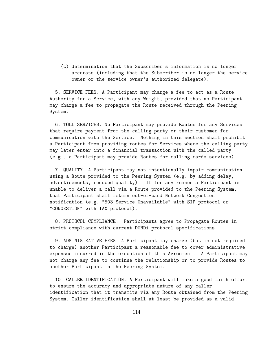(c) determination that the Subscriber's information is no longer accurate (including that the Subscriber is no longer the service owner or the service owner's authorized delegate).

5. SERVICE FEES. A Participant may charge a fee to act as a Route Authority for a Service, with any Weight, provided that no Participant may charge a fee to propagate the Route received through the Peering System.

6. TOLL SERVICES. No Participant may provide Routes for any Services that require payment from the calling party or their customer for communication with the Service. Nothing in this section shall prohibit a Participant from providing routes for Services where the calling party may later enter into a financial transaction with the called party (e.g., a Participant may provide Routes for calling cards services).

7. QUALITY. A Participant may not intentionally impair communication using a Route provided to the Peering System (e.g. by adding delay, advertisements, reduced quality). If for any reason a Participant is unable to deliver a call via a Route provided to the Peering System, that Participant shall return out-of-band Network Congestion notification (e.g. "503 Service Unavailable" with SIP protocol or "CONGESTION" with IAX protocol).

8. PROTOCOL COMPLIANCE. Participants agree to Propagate Routes in strict compliance with current DUNDi protocol specifications.

9. ADMINISTRATIVE FEES. A Participant may charge (but is not required to charge) another Participant a reasonable fee to cover administrative expenses incurred in the execution of this Agreement. A Participant may not charge any fee to continue the relationship or to provide Routes to another Participant in the Peering System.

10. CALLER IDENTIFICATION. A Participant will make a good faith effort to ensure the accuracy and appropriate nature of any caller identification that it transmits via any Route obtained from the Peering System. Caller identification shall at least be provided as a valid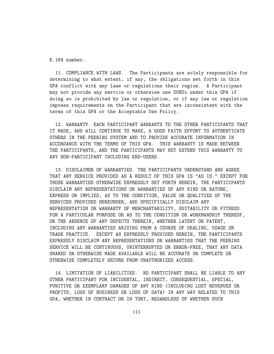E.164 number.

11. COMPLIANCE WITH LAWS. The Participants are solely responsible for determining to what extent, if any, the obligations set forth in this GPA conflict with any laws or regulations their region. A Participant may not provide any service or otherwise use DUNDi under this GPA if doing so is prohibited by law or regulation, or if any law or regulation imposes requirements on the Participant that are inconsistent with the terms of this GPA or the Acceptable Use Policy.

12. WARRANTY. EACH PARTICIPANT WARRANTS TO THE OTHER PARTICIPANTS THAT IT MADE, AND WILL CONTINUE TO MAKE, A GOOD FAITH EFFORT TO AUTHENTICATE OTHERS IN THE PEERING SYSTEM AND TO PROVIDE ACCURATE INFORMATION IN ACCORDANCE WITH THE TERMS OF THIS GPA. THIS WARRANTY IS MADE BETWEEN THE PARTICIPANTS, AND THE PARTICIPANTS MAY NOT EXTEND THIS WARRANTY TO ANY NON-PARTICIPANT INCLUDING END-USERS.

13. DISCLAIMER OF WARRANTIES. THE PARTICIPANTS UNDERSTAND AND AGREE THAT ANY SERVICE PROVIDED AS A RESULT OF THIS GPA IS "AS IS." EXCEPT FOR THOSE WARRANTIES OTHERWISE EXPRESSLY SET FORTH HEREIN, THE PARTICIPANTS DISCLAIM ANY REPRESENTATIONS OR WARRANTIES OF ANY KIND OR NATURE, EXPRESS OR IMPLIED, AS TO THE CONDITION, VALUE OR QUALITIES OF THE SERVICES PROVIDED HEREUNDER, AND SPECIFICALLY DISCLAIM ANY REPRESENTATION OR WARRANTY OF MERCHANTABILITY, SUITABILITY OR FITNESS FOR A PARTICULAR PURPOSE OR AS TO THE CONDITION OR WORKMANSHIP THEREOF, OR THE ABSENCE OF ANY DEFECTS THEREIN, WHETHER LATENT OR PATENT, INCLUDING ANY WARRANTIES ARISING FROM A COURSE OF DEALING, USAGE OR TRADE PRACTICE. EXCEPT AS EXPRESSLY PROVIDED HEREIN, THE PARTICIPANTS EXPRESSLY DISCLAIM ANY REPRESENTATIONS OR WARRANTIES THAT THE PEERING SERVICE WILL BE CONTINUOUS, UNINTERRUPTED OR ERROR-FREE, THAT ANY DATA SHARED OR OTHERWISE MADE AVAILABLE WILL BE ACCURATE OR COMPLETE OR OTHERWISE COMPLETELY SECURE FROM UNAUTHORIZED ACCESS.

14. LIMITATION OF LIABILITIES. NO PARTICIPANT SHALL BE LIABLE TO ANY OTHER PARTICIPANT FOR INCIDENTAL, INDIRECT, CONSEQUENTIAL, SPECIAL, PUNITIVE OR EXEMPLARY DAMAGES OF ANY KIND (INCLUDING LOST REVENUES OR PROFITS, LOSS OF BUSINESS OR LOSS OF DATA) IN ANY WAY RELATED TO THIS GPA, WHETHER IN CONTRACT OR IN TORT, REGARDLESS OF WHETHER SUCH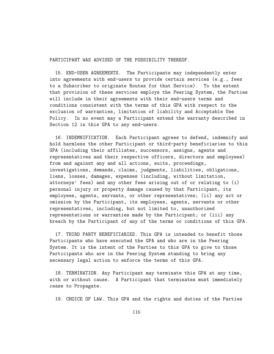PARTICIPANT WAS ADVISED OF THE POSSIBILITY THEREOF.

15. END-USER AGREEMENTS. The Participants may independently enter into agreements with end-users to provide certain services (e.g., fees to a Subscriber to originate Routes for that Service). To the extent that provision of these services employs the Peering System, the Parties will include in their agreements with their end-users terms and conditions consistent with the terms of this GPA with respect to the exclusion of warranties, limitation of liability and Acceptable Use Policy. In no event may a Participant extend the warranty described in Section 12 in this GPA to any end-users.

16. INDEMNIFICATION. Each Participant agrees to defend, indemnify and hold harmless the other Participant or third-party beneficiaries to this GPA (including their affiliates, successors, assigns, agents and representatives and their respective officers, directors and employees) from and against any and all actions, suits, proceedings, investigations, demands, claims, judgments, liabilities, obligations, liens, losses, damages, expenses (including, without limitation, attorneys' fees) and any other fees arising out of or relating to (i) personal injury or property damage caused by that Participant, its employees, agents, servants, or other representatives; (ii) any act or omission by the Participant, its employees, agents, servants or other representatives, including, but not limited to, unauthorized representations or warranties made by the Participant; or (iii) any breach by the Participant of any of the terms or conditions of this GPA.

17. THIRD PARTY BENEFICIARIES. This GPA is intended to benefit those Participants who have executed the GPA and who are in the Peering System. It is the intent of the Parties to this GPA to give to those Participants who are in the Peering System standing to bring any necessary legal action to enforce the terms of this GPA.

18. TERMINATION. Any Participant may terminate this GPA at any time, with or without cause. A Participant that terminates must immediately cease to Propagate.

19. CHOICE OF LAW. This GPA and the rights and duties of the Parties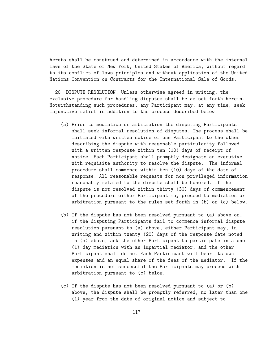hereto shall be construed and determined in accordance with the internal laws of the State of New York, United States of America, without regard to its conflict of laws principles and without application of the United Nations Convention on Contracts for the International Sale of Goods.

20. DISPUTE RESOLUTION. Unless otherwise agreed in writing, the exclusive procedure for handling disputes shall be as set forth herein. Notwithstanding such procedures, any Participant may, at any time, seek injunctive relief in addition to the process described below.

- (a) Prior to mediation or arbitration the disputing Participants shall seek informal resolution of disputes. The process shall be initiated with written notice of one Participant to the other describing the dispute with reasonable particularity followed with a written response within ten (10) days of receipt of notice. Each Participant shall promptly designate an executive with requisite authority to resolve the dispute. The informal procedure shall commence within ten (10) days of the date of response. All reasonable requests for non-privileged information reasonably related to the dispute shall be honored. If the dispute is not resolved within thirty (30) days of commencement of the procedure either Participant may proceed to mediation or arbitration pursuant to the rules set forth in (b) or (c) below.
- (b) If the dispute has not been resolved pursuant to (a) above or, if the disputing Participants fail to commence informal dispute resolution pursuant to (a) above, either Participant may, in writing and within twenty (20) days of the response date noted in (a) above, ask the other Participant to participate in a one (1) day mediation with an impartial mediator, and the other Participant shall do so. Each Participant will bear its own expenses and an equal share of the fees of the mediator. If the mediation is not successful the Participants may proceed with arbitration pursuant to (c) below.
- (c) If the dispute has not been resolved pursuant to (a) or (b) above, the dispute shall be promptly referred, no later than one (1) year from the date of original notice and subject to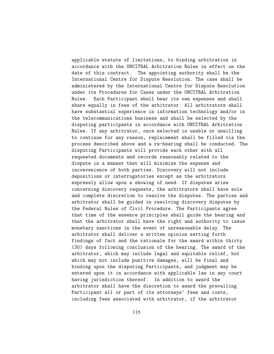applicable statute of limitations, to binding arbitration in accordance with the UNCITRAL Arbitration Rules in effect on the date of this contract. The appointing authority shall be the International Centre for Dispute Resolution. The case shall be administered by the International Centre for Dispute Resolution under its Procedures for Cases under the UNCITRAL Arbitration Rules. Each Participant shall bear its own expenses and shall share equally in fees of the arbitrator. All arbitrators shall have substantial experience in information technology and/or in the telecommunications business and shall be selected by the disputing participants in accordance with UNCITRAL Arbitration Rules. If any arbitrator, once selected is unable or unwilling to continue for any reason, replacement shall be filled via the process described above and a re-hearing shall be conducted. The disputing Participants will provide each other with all requested documents and records reasonably related to the dispute in a manner that will minimize the expense and inconvenience of both parties. Discovery will not include depositions or interrogatories except as the arbitrators expressly allow upon a showing of need. If disputes arise concerning discovery requests, the arbitrators shall have sole and complete discretion to resolve the disputes. The parties and arbitrator shall be guided in resolving discovery disputes by the Federal Rules of Civil Procedure. The Participants agree that time of the essence principles shall guide the hearing and that the arbitrator shall have the right and authority to issue monetary sanctions in the event of unreasonable delay. The arbitrator shall deliver a written opinion setting forth findings of fact and the rationale for the award within thirty (30) days following conclusion of the hearing. The award of the arbitrator, which may include legal and equitable relief, but which may not include punitive damages, will be final and binding upon the disputing Participants, and judgment may be entered upon it in accordance with applicable law in any court having jurisdiction thereof. In addition to award the arbitrator shall have the discretion to award the prevailing Participant all or part of its attorneys' fees and costs, including fees associated with arbitrator, if the arbitrator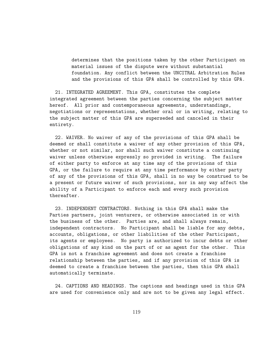determines that the positions taken by the other Participant on material issues of the dispute were without substantial foundation. Any conflict between the UNCITRAL Arbitration Rules and the provisions of this GPA shall be controlled by this GPA.

21. INTEGRATED AGREEMENT. This GPA, constitutes the complete integrated agreement between the parties concerning the subject matter hereof. All prior and contemporaneous agreements, understandings, negotiations or representations, whether oral or in writing, relating to the subject matter of this GPA are superseded and canceled in their entirety.

22. WAIVER. No waiver of any of the provisions of this GPA shall be deemed or shall constitute a waiver of any other provision of this GPA, whether or not similar, nor shall such waiver constitute a continuing waiver unless otherwise expressly so provided in writing. The failure of either party to enforce at any time any of the provisions of this GPA, or the failure to require at any time performance by either party of any of the provisions of this GPA, shall in no way be construed to be a present or future waiver of such provisions, nor in any way affect the ability of a Participant to enforce each and every such provision thereafter.

23. INDEPENDENT CONTRACTORS. Nothing in this GPA shall make the Parties partners, joint venturers, or otherwise associated in or with the business of the other. Parties are, and shall always remain, independent contractors. No Participant shall be liable for any debts, accounts, obligations, or other liabilities of the other Participant, its agents or employees. No party is authorized to incur debts or other obligations of any kind on the part of or as agent for the other. This GPA is not a franchise agreement and does not create a franchise relationship between the parties, and if any provision of this GPA is deemed to create a franchise between the parties, then this GPA shall automatically terminate.

24. CAPTIONS AND HEADINGS. The captions and headings used in this GPA are used for convenience only and are not to be given any legal effect.

119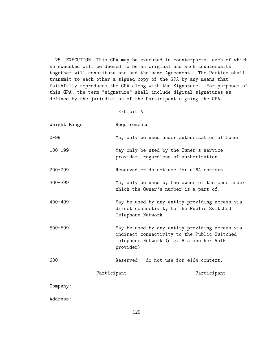25. EXECUTION. This GPA may be executed in counterparts, each of which so executed will be deemed to be an original and such counterparts together will constitute one and the same Agreement. The Parties shall transmit to each other a signed copy of the GPA by any means that faithfully reproduces the GPA along with the Signature. For purposes of this GPA, the term "signature" shall include digital signatures as defined by the jurisdiction of the Participant signing the GPA.

#### Exhibit A

| Weight Range | Requirements                                                                      |                                                                                                                                            |  |  |
|--------------|-----------------------------------------------------------------------------------|--------------------------------------------------------------------------------------------------------------------------------------------|--|--|
| $0 - 99$     |                                                                                   | May only be used under authorization of Owner                                                                                              |  |  |
| $100 - 199$  | May only be used by the Owner's service<br>provider, regardless of authorization. |                                                                                                                                            |  |  |
| $200 - 299$  |                                                                                   | Reserved -- do not use for e164 context.                                                                                                   |  |  |
| $300 - 399$  | which the Owner's number is a part of.                                            | May only be used by the owner of the code under                                                                                            |  |  |
| $400 - 499$  | Telephone Network.                                                                | May be used by any entity providing access via<br>direct connectivity to the Public Switched                                               |  |  |
| $500 - 599$  | provider)                                                                         | May be used by any entity providing access via<br>indirect connectivity to the Public Switched<br>Telephone Network (e.g. Via another VoIP |  |  |
| $600 -$      | Reserved-- do not use for e164 context.                                           |                                                                                                                                            |  |  |
|              | Participant                                                                       | Participant                                                                                                                                |  |  |
| Company:     |                                                                                   |                                                                                                                                            |  |  |
| Address:     |                                                                                   |                                                                                                                                            |  |  |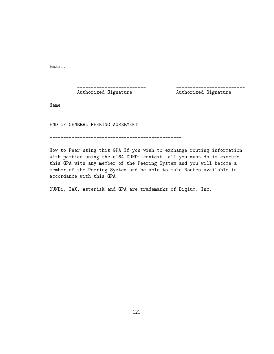Email:

#### \_\_\_\_\_\_\_\_\_\_\_\_\_\_\_\_\_\_\_\_\_\_\_\_\_ \_\_\_\_\_\_\_\_\_\_\_\_\_\_\_\_\_\_\_\_\_\_\_\_\_

Authorized Signature **Authorized Signature** 

Name:

END OF GENERAL PEERING AGREEMENT

------------------------------------------------

How to Peer using this GPA If you wish to exchange routing information with parties using the e164 DUNDi context, all you must do is execute this GPA with any member of the Peering System and you will become a member of the Peering System and be able to make Routes available in accordance with this GPA.

DUNDi, IAX, Asterisk and GPA are trademarks of Digium, Inc.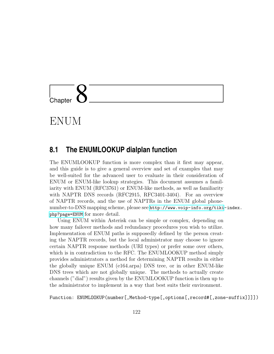# L<br>Chapter

ENUM

#### **8.1 The ENUMLOOKUP dialplan function**

The ENUMLOOKUP function is more complex than it first may appear, and this guide is to give a general overview and set of examples that may be well-suited for the advanced user to evaluate in their consideration of ENUM or ENUM-like lookup strategies. This document assumes a familiarity with ENUM (RFC3761) or ENUM-like methods, as well as familiarity with NAPTR DNS records (RFC2915, RFC3401-3404). For an overview of NAPTR records, and the use of NAPTRs in the ENUM global phonenumber-to-DNS mapping scheme, please see [http://www.voip-info.org/tiki](http://www.voip-info.org/tiki-index.php?page=ENUM)-index. [php?page=ENUM](http://www.voip-info.org/tiki-index.php?page=ENUM) for more detail.

Using ENUM within Asterisk can be simple or complex, depending on how many failover methods and redundancy procedures you wish to utilize. Implementation of ENUM paths is supposedly defined by the person creating the NAPTR records, but the local administrator may choose to ignore certain NAPTR response methods (URI types) or prefer some over others, which is in contradiction to the RFC. The ENUMLOOKUP method simply provides administrators a method for determining NAPTR results in either the globally unique ENUM (e164.arpa) DNS tree, or in other ENUM-like DNS trees which are not globally unique. The methods to actually create channels ("dial") results given by the ENUMLOOKUP function is then up to the administrator to implement in a way that best suits their environment.

Function: ENUMLOOKUP(number[,Method-type[,options[,record#[,zone-suffix]]]])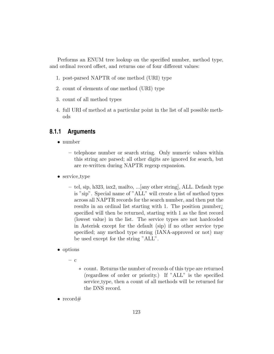Performs an ENUM tree lookup on the specified number, method type, and ordinal record offset, and returns one of four different values:

- 1. post-parsed NAPTR of one method (URI) type
- 2. count of elements of one method (URI) type
- 3. count of all method types
- 4. full URI of method at a particular point in the list of all possible methods

#### **8.1.1 Arguments**

- number
	- telephone number or search string. Only numeric values within this string are parsed; all other digits are ignored for search, but are re-written during NAPTR regexp expansion.
- service\_type
	- tel, sip, h323, iax2, mailto, ...[any other string], ALL. Default type is "sip". Special name of "ALL" will create a list of method types across all NAPTR records for the search number, and then put the results in an ordinal list starting with 1. The position *jnumberi*. specified will then be returned, starting with 1 as the first record (lowest value) in the list. The service types are not hardcoded in Asterisk except for the default (sip) if no other service type specified; any method type string (IANA-approved or not) may be used except for the string "ALL".
- options
	- c
- ∗ count. Returns the number of records of this type are returned (regardless of order or priority.) If "ALL" is the specified service type, then a count of all methods will be returned for the DNS record.
- record#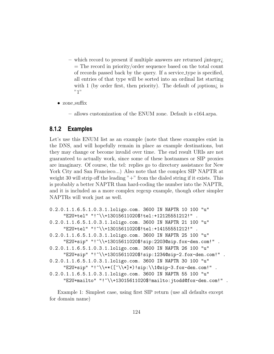- which record to present if multiple answers are returned ¡integer¿  $=$  The record in priority/order sequence based on the total count of records passed back by the query. If a service type is specified, all entries of that type will be sorted into an ordinal list starting with 1 (by order first, then priority). The default of  $\alpha$  is "1"
- zone suffix
	- allows customization of the ENUM zone. Default is e164.arpa.

#### **8.1.2 Examples**

Let's use this ENUM list as an example (note that these examples exist in the DNS, and will hopefully remain in place as example destinations, but they may change or become invalid over time. The end result URIs are not guaranteed to actually work, since some of these hostnames or SIP proxies are imaginary. Of course, the tel: replies go to directory assistance for New York City and San Francisco...) Also note that the complex SIP NAPTR at weight 30 will strip off the leading  $" +"$  from the dialed string if it exists. This is probably a better NAPTR than hard-coding the number into the NAPTR, and it is included as a more complex regexp example, though other simpler NAPTRs will work just as well.

```
0.2.0.1.1.6.5.1.0.3.1.loligo.com. 3600 IN NAPTR 10 100 "u"
     "E2U+tel" "!^\\+13015611020$!tel:+12125551212!" .
0.2.0.1.1.6.5.1.0.3.1.loligo.com. 3600 IN NAPTR 21 100 "u"
     "E2U+tel" "!^\\+13015611020$!tel:+14155551212!" .
0.2.0.1.1.6.5.1.0.3.1.loligo.com. 3600 IN NAPTR 25 100 "u"
     "E2U+sip" "!^\\+13015611020$!sip:2203@sip.fox-den.com!" .
0.2.0.1.1.6.5.1.0.3.1.loligo.com. 3600 IN NAPTR 26 100 "u"
     "E2U+sip" "!^\\+13015611020$!sip:1234@sip-2.fox-den.com!" .
0.2.0.1.1.6.5.1.0.3.1.loligo.com. 3600 IN NAPTR 30 100 "u"
     "E2U+sip" "!^\\+*([^{\\\*}]*)!sip:\\1@sip-3.fox-den.com!"
0.2.0.1.1.6.5.1.0.3.1.loligo.com. 3600 IN NAPTR 55 100 "u"
     "E2U+mailto" "!^\\+13015611020$!mailto:jtodd@fox-den.com!" .
```
Example 1: Simplest case, using first SIP return (use all defaults except for domain name)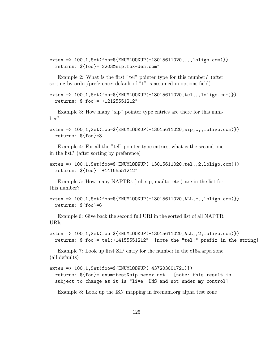exten => 100,1,Set(foo=\${ENUMLOOKUP(+13015611020,,,,loligo.com)}) returns: \${foo}="2203@sip.fox-den.com"

Example 2: What is the first "tel" pointer type for this number? (after sorting by order/preference; default of "1" is assumed in options field)

```
exten => 100,1,Set(foo=${ENUMLOOKUP(+13015611020,tel,,,loligo.com)})
 returns: ${foo}="+12125551212"
```
Example 3: How many "sip" pointer type entries are there for this number?

```
exten => 100,1,Set(foo=${ENUMLOOKUP(+13015611020,sip,c,,loligo.com)})
 returns: ${foo}=3
```
Example 4: For all the "tel" pointer type entries, what is the second one in the list? (after sorting by preference)

```
exten => 100,1,Set(foo=${ENUMLOOKUP(+13015611020,tel,,2,loligo.com)})
 returns: ${foo}="+14155551212"
```
Example 5: How many NAPTRs (tel, sip, mailto, etc.) are in the list for this number?

```
exten => 100,1,Set(foo=${ENUMLOOKUP(+13015611020,ALL,c,,loligo.com)})
 returns: ${foo}=6
```
Example 6: Give back the second full URI in the sorted list of all NAPTR URIs:

```
exten => 100,1,Set(foo=${ENUMLOOKUP(+13015611020,ALL,,2,loligo.com)})
 returns: ${foo}="tel:+14155551212" [note the "tel:" prefix in the string]
```
Example 7: Look up first SIP entry for the number in the e164.arpa zone (all defaults)

```
exten => 100,1,Set(foo=${ENUMLOOKUP(+437203001721)})
```
returns: \${foo}="enum-test@sip.nemox.net" [note: this result is subject to change as it is "live" DNS and not under my control]

Example 8: Look up the ISN mapping in freenum.org alpha test zone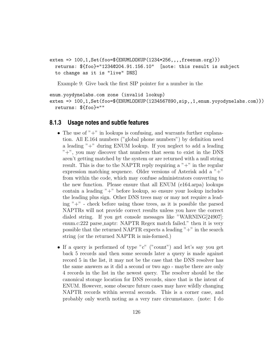```
exten => 100,1,Set(foo=${ENUMLOOKUP(1234*256,,,,freenum.org)})
 returns: ${foo}="1234@204.91.156.10" [note: this result is subject
 to change as it is "live" DNS]
```
Example 9: Give back the first SIP pointer for a number in the

```
enum.yoydynelabs.com zone (invalid lookup)
exten => 100,1,Set(foo=${ENUMLOOKUP(1234567890,sip,,1,enum.yoyodynelabs.com)})
 returns: ${foo}=""
```
#### **8.1.3 Usage notes and subtle features**

- The use of " $+$ " in lookups is confusing, and warrants further explanation. All E.164 numbers ("global phone numbers") by definition need a leading "+" during ENUM lookup. If you neglect to add a leading "+", you may discover that numbers that seem to exist in the DNS aren't getting matched by the system or are returned with a null string result. This is due to the NAPTR reply requiring a  $"+'"$  in the regular expression matching sequence. Older versions of Asterisk add a "+" from within the code, which may confuse administrators converting to the new function. Please ensure that all ENUM (e164.arpa) lookups contain a leading "+" before lookup, so ensure your lookup includes the leading plus sign. Other DNS trees may or may not require a leading  $" +"$  - check before using those trees, as it is possible the parsed NAPTRs will not provide correct results unless you have the correct dialed string. If you get console messages like "WARNING[24907]: enum.c:222 parse\_naptr: NAPTR Regex match failed." then it is very possible that the returned NAPTR expects a leading "+" in the search string (or the returned NAPTR is mis-formed.)
- If a query is performed of type "c" ("count") and let's say you get back 5 records and then some seconds later a query is made against record 5 in the list, it may not be the case that the DNS resolver has the same answers as it did a second or two ago - maybe there are only 4 records in the list in the newest query. The resolver should be the canonical storage location for DNS records, since that is the intent of ENUM. However, some obscure future cases may have wildly changing NAPTR records within several seconds. This is a corner case, and probably only worth noting as a very rare circumstance. (note: I do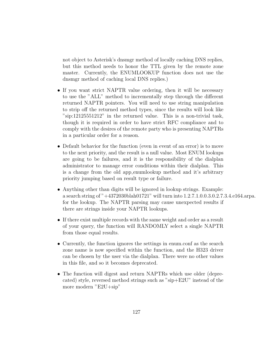not object to Asterisk's dnsmgr method of locally caching DNS replies, but this method needs to honor the TTL given by the remote zone master. Currently, the ENUMLOOKUP function does not use the dnsmgr method of caching local DNS replies.)

- If you want strict NAPTR value ordering, then it will be necessary to use the "ALL" method to incrementally step through the different returned NAPTR pointers. You will need to use string manipulation to strip off the returned method types, since the results will look like "sip:12125551212" in the returned value. This is a non-trivial task, though it is required in order to have strict RFC compliance and to comply with the desires of the remote party who is presenting NAPTRs in a particular order for a reason.
- Default behavior for the function (even in event of an error) is to move to the next priority, and the result is a null value. Most ENUM lookups are going to be failures, and it is the responsibility of the dialplan administrator to manage error conditions within their dialplan. This is a change from the old app enumlookup method and it's arbitrary priority jumping based on result type or failure.
- Anything other than digits will be ignored in lookup strings. Example: a search string of "+4372030blah01721" will turn into 1.2.7.1.0.0.3.0.2.7.3.4.e164.arpa. for the lookup. The NAPTR parsing may cause unexpected results if there are strings inside your NAPTR lookups.
- If there exist multiple records with the same weight and order as a result of your query, the function will RANDOMLY select a single NAPTR from those equal results.
- Currently, the function ignores the settings in enum.conf as the search zone name is now specified within the function, and the H323 driver can be chosen by the user via the dialplan. There were no other values in this file, and so it becomes deprecated.
- The function will digest and return NAPTRs which use older (deprecated) style, reversed method strings such as "sip+E2U" instead of the more modern "E2U+sip"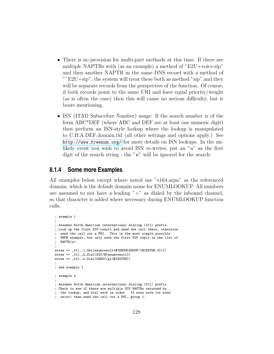- There is no provision for multi-part methods at this time. If there are multiple NAPTRs with (as an example) a method of "E2U+voice:sip" and then another NAPTR in the same DNS record with a method of ""E2U+sip", the system will treat these both as method "sip" and they will be separate records from the perspective of the function. Of course, if both records point to the same URI and have equal priority/weight (as is often the case) then this will cause no serious difficulty, but it bears mentioning.
- ISN (ITAD Subscriber Number) usage: If the search number is of the form ABC\*DEF (where ABC and DEF are at least one numeric digit) then perform an ISN-style lookup where the lookup is manipulated to C.B.A.DEF.domain.tld (all other settings and options apply.) See <http://www.freenum.org/> for more details on ISN lookups. In the unlikely event you wish to avoid ISN re-writes, put an "n" as the first digit of the search string - the "n" will be ignored for the search.

#### **8.1.4 Some more Examples**

All examples below except where noted use "e164.arpa" as the referenced domain, which is the default domain name for ENUMLOOKUP. All numbers are assumed to not have a leading  $" +"$  as dialed by the inbound channel, so that character is added where necessary during ENUMLOOKUP function calls.

```
; example 1
;
; Assumes North American international dialing (011) prefix.
; Look up the first SIP result and send the call there, otherwise
; send the call out a PRI. This is the most simple possible
; ENUM example, but only uses the first SIP reply in the list of
; NAPTR(s).
;
exten => _011.,1,Set(enumresult=${ENUMLOOKUP(+${EXTEN:3})})
exten => _011.,n,Dial(SIP/${enumresult})
exten => _011.,n,Dial(DAHDI/g1/\$(EXTEM});
; end example 1
; example 2
;
; Assumes North American international dialing (011) prefix.
; Check to see if there are multiple SIP NAPTRs returned by
; the lookup, and dial each in order. If none work (or none
; exist) then send the call out a PRI, group 1.
```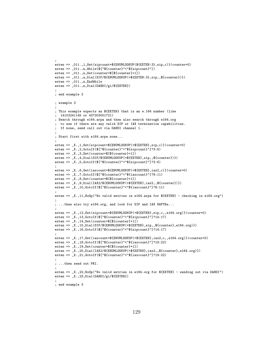```
;
exten => _011.,1,Set(sipcount=${ENUMLOOKUP(${EXTEN:3},sip,c)}|counter=0)
exten => _011.,n,While($["${counter}"<"${sipcount}"])
exten => _011.,n,Set(counter=$[${counter}+1])
exten => _011.,n,Dial(SIP/${ENUMLOOKUP(+${EXTEN:3},sip,,${counter})})
exten => _011.,n,EndWhileexten => _011.,n,Dial(DAHDI/g1/\$(EXTEN));
; end example 2
; example 3
;
; This example expects an ${EXTEN} that is an e.164 number (like
; 14102241145 or 437203001721)
; Search through e164.arpa and then also search through e164.org
; to see if there are any valid SIP or IAX termination capabilities.
; If none, send call out via DAHDI channel 1.
;
; Start first with e164.arpa zone...
;
exten => _X.,1,Set(sipcount=${ENUMLOOKUP(+${EXTEN},sip,c)}|counter=0)
exten => _X.,2,GotoIf($["${counter}"<"${sipcount}"]?3:6)
exten \Rightarrow X., 3, Set(counter=\[${counter}+1])
exten => _X.,4,Dial(SIP/${ENUMLOOKUP(+${EXTEN},sip,,${counter})})
exten => _X.,5,GotoIf($["${counter}"<"${sipcount}"]?3:6)
;
exten => _X.,6,Set(iaxcount=${ENUMLOOKUP(+${EXTEN},iax2,c)}|counter=0)
exten => _X.,7,GotoIf($["${counter}"<"${iaxcount}"]?8:11)
exten => _X.,8,Set(counter=$[${counter}+1])
exten => _X., 9, Dial(IAX2/${ENUMLOOKUP(+${EXTEN}, iax2,, ${counter})})
exten => _X.,10,GotoIf($["${counter}"<"${iaxcount}"]?8:11)
;
exten => _X.,11,NoOp("No valid entries in e164.arpa for ${EXTEN} - checking in e164.org")
;
; ...then also try e164.org, and look for SIP and IAX NAPTRs...
;
exten => _X.,12,Set(sipcount=${ENUMLOOKUP(+${EXTEN},sip,c,,e164.org)}|counter=0)
exten => _X.,13,GotoIf($["${counter}"<"${sipcount}"]?14:17)
exten => _X.,14,Set(counter=$[${counter}+1])
exten => _X.,15,Dial(SIP/${ENUMLOOKUP(+${EXTEN},sip,,${counter},e164.org)})
exten => _X.,16,GotoIf($["${counter}"<"${sipcount}"]?14:17)
;
exten => _X.,17,Set(iaxcount=${ENUMLOOKUP(+${EXTEN},iax2,c,,e164.org)}|counter=0)
exten => _X.,18,GotoIf($["${counter}"<"${iaxcount}"]?19:22)
exten => _X \dots 19, Set (counter=\frac{1}{2}[clumter}+1])
exten => _X.,20,Dial(IAX2/${ENUMLOOKUP(+${EXTEN},iax2,,${counter},e164.org)})
exten => _X.,21,GotoIf($["${counter}"<"${iaxcount}"]?19:22)
;
; ...then send out PRI.
;
exten => _X.,22,NoOp("No valid entries in e164.org for ${EXTEN} - sending out via DAHDI")
exten => _X., 23, Dial(DAHDI/g1/${EXTEN})
;
; end example 3
```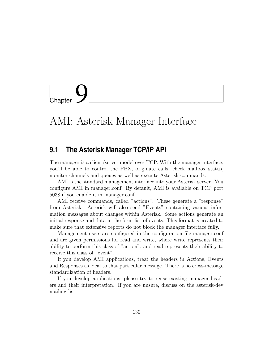L<br>Chapter

### AMI: Asterisk Manager Interface

#### **9.1 The Asterisk Manager TCP/IP API**

The manager is a client/server model over TCP. With the manager interface, you'll be able to control the PBX, originate calls, check mailbox status, monitor channels and queues as well as execute Asterisk commands.

AMI is the standard management interface into your Asterisk server. You configure AMI in manager.conf. By default, AMI is available on TCP port 5038 if you enable it in manager.conf.

AMI receive commands, called "actions". These generate a "response" from Asterisk. Asterisk will also send "Events" containing various information messages about changes within Asterisk. Some actions generate an initial response and data in the form list of events. This format is created to make sure that extensive reports do not block the manager interface fully.

Management users are configured in the configuration file manager.conf and are given permissions for read and write, where write represents their ability to perform this class of "action", and read represents their ability to receive this class of "event".

If you develop AMI applications, treat the headers in Actions, Events and Responses as local to that particular message. There is no cross-message standardization of headers.

If you develop applications, please try to reuse existing manager headers and their interpretation. If you are unsure, discuss on the asterisk-dev mailing list.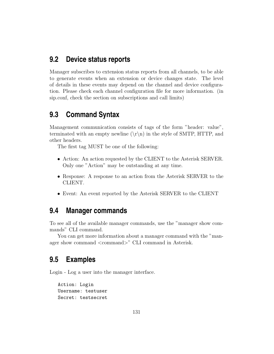#### **9.2 Device status reports**

Manager subscribes to extension status reports from all channels, to be able to generate events when an extension or device changes state. The level of details in these events may depend on the channel and device configuration. Please check each channel configuration file for more information. (in sip.conf, check the section on subscriptions and call limits)

#### **9.3 Command Syntax**

Management communication consists of tags of the form "header: value", terminated with an empty newline  $(\r\n)$  in the style of SMTP, HTTP, and other headers.

The first tag MUST be one of the following:

- Action: An action requested by the CLIENT to the Asterisk SERVER. Only one "Action" may be outstanding at any time.
- Response: A response to an action from the Asterisk SERVER to the CLIENT.
- Event: An event reported by the Asterisk SERVER to the CLIENT

#### **9.4 Manager commands**

To see all of the available manager commands, use the "manager show commands" CLI command.

You can get more information about a manager command with the "manager show command <command>" CLI command in Asterisk.

#### **9.5 Examples**

Login - Log a user into the manager interface.

Action: Login Username: testuser Secret: testsecret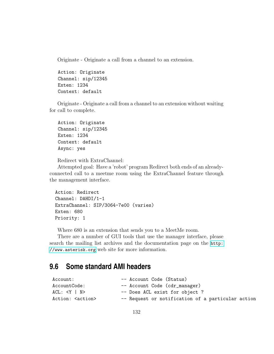Originate - Originate a call from a channel to an extension.

Action: Originate Channel: sip/12345 Exten: 1234 Context: default

Originate - Originate a call from a channel to an extension without waiting for call to complete.

Action: Originate Channel: sip/12345 Exten: 1234 Context: default Async: yes

Redirect with ExtraChannel:

Attempted goal: Have a 'robot' program Redirect both ends of an alreadyconnected call to a meetme room using the ExtraChannel feature through the management interface.

```
Action: Redirect
Channel: DAHDI/1-1
ExtraChannel: SIP/3064-7e00 (varies)
Exten: 680
Priority: 1
```
Where 680 is an extension that sends you to a MeetMe room.

There are a number of GUI tools that use the manager interface, please search the mailing list archives and the documentation page on the [http:](http://www.asterisk.org) [//www.asterisk.org](http://www.asterisk.org) web site for more information.

#### **9.6 Some standard AMI headers**

| -- Account Code (Status)                          |
|---------------------------------------------------|
| -- Account Code (cdr_manager)                     |
| -- Does ACL exist for object ?                    |
| -- Request or notification of a particular action |
|                                                   |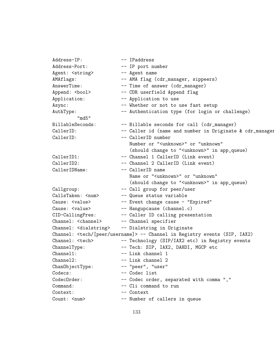Address-IP: -- IPaddress Address-Port: -- IP port number Agent: <string> -- Agent name AMAflags: -- AMA flag (cdr\_manager, sippeers) AnswerTime: -- Time of answer (cdr\_manager) Append: <bool> -- CDR userfield Append flag Application: -- Application to use Async: -- Whether or not to use fast setup AuthType: -- Authentication type (for login or challenge) "md5" BillableSeconds: -- Billable seconds for call (cdr\_manager) CallerID: -- Caller id (name and number in Originate & cdr\_manager> CallerID: -- CallerID number Number or "<unknown>" or "unknown" (should change to "<unknown>" in app\_queue) CallerID1: -- Channel 1 CallerID (Link event) CallerID2: -- Channel 2 CallerID (Link event) CallerIDName: -- CallerID name Name or "<unknown>" or "unknown" (should change to "<unknown>" in app\_queue) Callgroup: -- Call group for peer/user CallsTaken: <num> -- Queue status variable Cause: <value> -- Event change cause - "Expired" Cause: <value> -- Hangupcause (channel.c) CID-CallingPres: -- Caller ID calling presentation Channel: <channel> -- Channel specifier Channel: <dialstring> -- Dialstring in Originate Channel: <tech/[peer/username]> -- Channel in Registry events (SIP, IAX2) Channel: <tech> -- Technology (SIP/IAX2 etc) in Registry events ChannelType: -- Tech: SIP, IAX2, DAHDI, MGCP etc Channel1: -- Link channel 1 Channel2: -- Link channel 2 ChanObjectType: -- "peer", "user" Codecs: -- Codec list CodecOrder: -- Codec order, separated with comma "," Command: -- Cli command to run Context: -- Context Count: <num> -- Number of callers in queue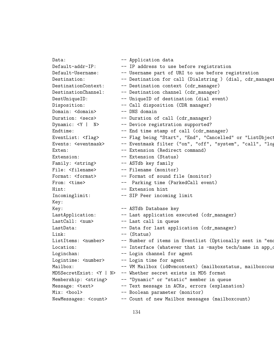Data:  $---$  Application data Default-addr-IP: -- IP address to use before registration Default-Username: -- Username part of URI to use before registration Destination: -- Destination for call (Dialstring ) (dial, cdr\_manager DestinationContext: -- Destination context (cdr\_manager) DestinationChannel: -- Destination channel (cdr\_manager) DestUniqueID: -- UniqueID of destination (dial event) Disposition: -- Call disposition (CDR manager) Domain: <domain> -- DNS domain Duration: <secs> -- Duration of call (cdr\_manager) Dynamic: <Y | N> -- Device registration supported? Endtime:  $--$  End time stamp of call (cdr\_manager) EventList: <flag> -- Flag being "Start", "End", "Cancelled" or "ListObject Events: <eventmask> -- Eventmask filter ("on", "off", "system", "call", "log Exten: -- Extension (Redirect command) Extension: -- Extension (Status) Family:  $\langle$ string> -- ASTdb key family File: <filename> -- Filename (monitor) Format: <format> -- Format of sound file (monitor) From: <time> -- Parking time (ParkedCall event) Hint:  $--$  Extension hint Incominglimit: -- SIP Peer incoming limit Key: Key:  $--$  ASTdb Database key LastApplication: -- Last application executed (cdr\_manager) LastCall: <num> -- Last call in queue LastData: -- Data for last application (cdr\_manager) Link:  $--- (Status)$ ListItems: <number> -- Number of items in Eventlist (Optionally sent in "end" Location: -- Interface (whatever that is -maybe tech/name in app\_ounded ) Loginchan: -- Login channel for agent Logintime: <number> -- Login time for agent Mailbox: -- VM Mailbox (id@vmcontext) (mailboxstatus, mailboxcount) MD5SecretExist: <Y | N> -- Whether secret exists in MD5 format Membership: <string> -- "Dynamic" or "static" member in queue Message: <text> -- Text message in ACKs, errors (explanation) Mix: <bool> -- Boolean parameter (monitor) NewMessages: <count> -- Count of new Mailbox messages (mailboxcount)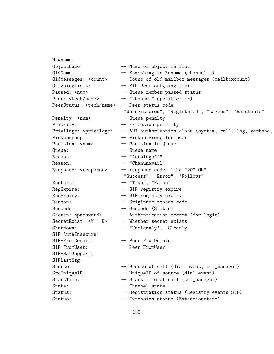Newname: ObjectName: -- Name of object in list OldName: -- Something in Rename (channel.c) OldMessages: <count> -- Count of old mailbox messages (mailboxcount) Outgoinglimit: -- SIP Peer outgoing limit Paused: <num> -- Queue member paused status Peer: <tech/name> -- "channel" specifier :-) PeerStatus: <tech/name> -- Peer status code "Unregistered", "Registered", "Lagged", "Reachable" Penalty: <num> -- Queue penalty Priority: -- Extension priority Privilege: <privilege> -- AMI authorization class (system, call, log, verbose, Pickupgroup: -- Pickup group for peer Position: <num> -- Position in Queue Queue: -- Queue name Reason: -- "Autologoff" Reason: -- "Chanunavail" Response: <response> -- response code, like "200 OK" "Success", "Error", "Follows" Restart: -- "True", "False" RegExpire: -- SIP registry expire RegExpiry: -- SIP registry expiry Reason: -- Originate reason code Seconds: -- Seconds (Status) Secret: <password> -- Authentication secret (for login) SecretExist: <Y | N> -- Whether secret exists Shutdown: -- "Uncleanly", "Cleanly" SIP-AuthInsecure: SIP-FromDomain: -- Peer FromDomain SIP-FromUser: -- Peer FromUser SIP-NatSupport: SIPLastMsg: Source: -- Source of call (dial event, cdr\_manager) SrcUniqueID: -- UniqueID of source (dial event) StartTime: -- Start time of call (cdr\_manager) State: -- Channel state Status: -- Registration status (Registry events SIP) Status:  $-$  Extension status (Extensionstate)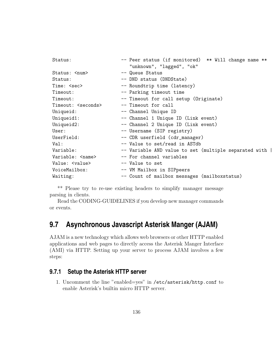| Status:                      | -- Peer status (if monitored) ** Will change name **  |
|------------------------------|-------------------------------------------------------|
|                              | "unknown", "lagged", "ok"                             |
| Status: <num></num>          | -- Queue Status                                       |
| Status:                      | -- DND status (DNDState)                              |
| Time: <sec></sec>            | -- Roundtrip time (latency)                           |
| Timeout:                     | -- Parking timeout time                               |
| Timeout:                     | -- Timeout for call setup (Originate)                 |
| Timeout: <seconds></seconds> | -- Timeout for call                                   |
| Uniqueid:                    | -- Channel Unique ID                                  |
| Uniqueid1:                   | -- Channel 1 Unique ID (Link event)                   |
| Uniqueid2:                   | -- Channel 2 Unique ID (Link event)                   |
| User:                        | -- Username (SIP registry)                            |
| UserField:                   | -- CDR userfield (cdr_manager)                        |
| Val:                         | -- Value to set/read in ASTdb                         |
| Variable:                    | -- Variable AND value to set (multiple separated with |
| Variable: < name>            | -- For channel variables                              |
| Value: <value></value>       | -- Value to set                                       |
| VoiceMailbox:                | -- VM Mailbox in SIPpeers                             |
| Waiting:                     | -- Count of mailbox messages (mailboxstatus)          |

\*\* Please try to re-use existing headers to simplify manager message parsing in clients.

Read the CODING-GUIDELINES if you develop new manager commands or events.

#### **9.7 Asynchronous Javascript Asterisk Manger (AJAM)**

AJAM is a new technology which allows web browsers or other HTTP enabled applications and web pages to directly access the Asterisk Manger Interface (AMI) via HTTP. Setting up your server to process AJAM involves a few steps:

#### **9.7.1 Setup the Asterisk HTTP server**

1. Uncomment the line "enabled=yes" in /etc/asterisk/http.conf to enable Asterisk's builtin micro HTTP server.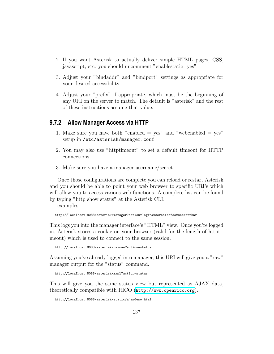- 2. If you want Asterisk to actually deliver simple HTML pages, CSS, javascript, etc. you should uncomment "enablestatic=yes"
- 3. Adjust your "bindaddr" and "bindport" settings as appropriate for your desired accessibility
- 4. Adjust your "prefix" if appropriate, which must be the beginning of any URI on the server to match. The default is "asterisk" and the rest of these instructions assume that value.

#### **9.7.2 Allow Manager Access via HTTP**

- 1. Make sure you have both "enabled  $=$  yes" and "webenabled  $=$  yes" setup in /etc/asterisk/manager.conf
- 2. You may also use "httptimeout" to set a default timeout for HTTP connections.
- 3. Make sure you have a manager username/secret

Once those configurations are complete you can reload or restart Asterisk and you should be able to point your web browser to specific URI's which will allow you to access various web functions. A complete list can be found by typing "http show status" at the Asterisk CLI.

examples:

http://localhost:8088/asterisk/manager?action=login&username=foo&secret=bar

This logs you into the manager interface's "HTML" view. Once you're logged in, Asterisk stores a cookie on your browser (valid for the length of httptimeout) which is used to connect to the same session.

http://localhost:8088/asterisk/rawman?action=status

Assuming you've already logged into manager, this URI will give you a "raw" manager output for the "status" command.

http://localhost:8088/asterisk/mxml?action=status

This will give you the same status view but represented as AJAX data, theoretically compatible with RICO (<http://www.openrico.org>).

http://localhost:8088/asterisk/static/ajamdemo.html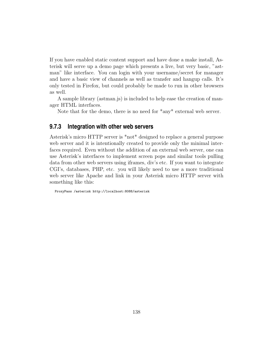If you have enabled static content support and have done a make install, Asterisk will serve up a demo page which presents a live, but very basic, "astman" like interface. You can login with your username/secret for manager and have a basic view of channels as well as transfer and hangup calls. It's only tested in Firefox, but could probably be made to run in other browsers as well.

A sample library (astman.js) is included to help ease the creation of manager HTML interfaces.

Note that for the demo, there is no need for \*any\* external web server.

#### **9.7.3 Integration with other web servers**

Asterisk's micro HTTP server is \*not\* designed to replace a general purpose web server and it is intentionally created to provide only the minimal interfaces required. Even without the addition of an external web server, one can use Asterisk's interfaces to implement screen pops and similar tools pulling data from other web servers using iframes, div's etc. If you want to integrate CGI's, databases, PHP, etc. you will likely need to use a more traditional web server like Apache and link in your Asterisk micro HTTP server with something like this:

ProxyPass /asterisk http://localhost:8088/asterisk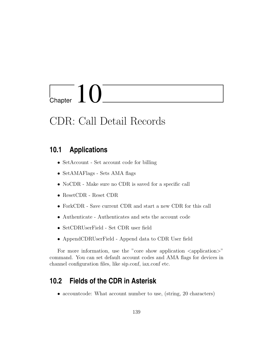# Chapter  $10$

## CDR: Call Detail Records

#### **10.1 Applications**

- SetAccount Set account code for billing
- SetAMAFlags Sets AMA flags
- NoCDR Make sure no CDR is saved for a specific call
- ResetCDR Reset CDR
- ForkCDR Save current CDR and start a new CDR for this call
- Authenticate Authenticates and sets the account code
- SetCDRUserField Set CDR user field
- AppendCDRUserField Append data to CDR User field

For more information, use the "core show application  $\langle$  application $\rangle$ " command. You can set default account codes and AMA flags for devices in channel configuration files, like sip.conf, iax.conf etc.

#### **10.2 Fields of the CDR in Asterisk**

• accountcode: What account number to use, (string, 20 characters)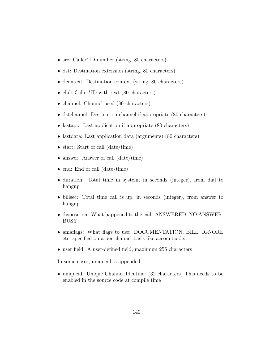- src: Caller<sup>\*</sup>ID number (string, 80 characters)
- dst: Destination extension (string, 80 characters)
- dcontext: Destination context (string, 80 characters)
- clid: Caller<sup>\*</sup>ID with text (80 characters)
- channel: Channel used (80 characters)
- dstchannel: Destination channel if appropriate (80 characters)
- lastapp: Last application if appropriate (80 characters)
- lastdata: Last application data (arguments) (80 characters)
- start: Start of call (date/time)
- answer: Answer of call (date/time)
- end: End of call (date/time)
- duration: Total time in system, in seconds (integer), from dial to hangup
- billsec: Total time call is up, in seconds (integer), from answer to hangup
- disposition: What happened to the call: ANSWERED, NO ANSWER, BUSY
- amaflags: What flags to use: DOCUMENTATION, BILL, IGNORE etc, specified on a per channel basis like accountcode.
- user field: A user-defined field, maximum 255 characters

In some cases, uniqueid is appended:

• uniqueid: Unique Channel Identifier (32 characters) This needs to be enabled in the source code at compile time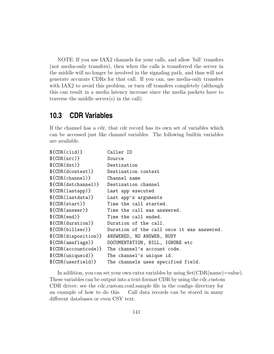NOTE: If you use IAX2 channels for your calls, and allow 'full' transfers (not media-only transfers), then when the calls is transferred the server in the middle will no longer be involved in the signaling path, and thus will not generate accurate CDRs for that call. If you can, use media-only transfers with IAX2 to avoid this problem, or turn off transfers completely (although this can result in a media latency increase since the media packets have to traverse the middle server(s) in the call).

#### **10.3 CDR Variables**

If the channel has a cdr, that cdr record has its own set of variables which can be accessed just like channel variables. The following builtin variables are available.

```
${CDR(clid)} Caller ID
${CDR(src)} Source
${CDR(dst)} Destination
${CDR(dcontext)} Destination context
${CDR(channel)} Channel name
${CDR(dstchannel)} Destination channel
${CDR(lastapp)} Last app executed
${CDR(lastdata)} Last app's arguments
${CDR(start)} Time the call started.
${CDR(answer)} Time the call was answered.
${CDR(end)} Time the call ended.
${CDR(duration)} Duration of the call.
${CDR(billsec)} Duration of the call once it was answered.
${CDR(disposition)} ANSWERED, NO ANSWER, BUSY
${CDR(amaflags)} DOCUMENTATION, BILL, IGNORE etc
${CDR(accountcode)} The channel's account code.
${CDR(uniqueid)} The channel's unique id.
${CDR(userfield)} The channels uses specified field.
```
In addition, you can set your own extra variables by using  $Set(CDR(name)=value)$ . These variables can be output into a text-format CDR by using the cdr\_custom CDR driver; see the cdr custom.conf.sample file in the configs directory for an example of how to do this. Call data records can be stored in many different databases or even CSV text.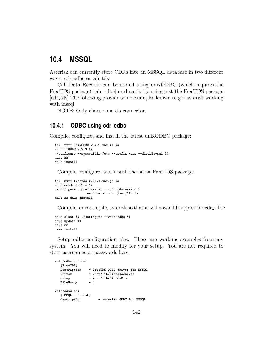#### **10.4 MSSQL**

Asterisk can currently store CDRs into an MSSQL database in two different ways: cdr\_odbc or cdr\_tds

Call Data Records can be stored using unixODBC (which requires the FreeTDS package) [cdr\_odbc] or directly by using just the FreeTDS package [cdr tds] The following provide some examples known to get asterisk working with mssql.

NOTE: Only choose one db connector.

#### **10.4.1 ODBC using cdr odbc**

Compile, configure, and install the latest unixODBC package:

```
tar -zxvf unixODBC-2.2.9.tar.gz &&
cd unixODBC-2.2.9 &&
./configure --sysconfdir=/etc --prefix=/usr --disable-gui &&
make &&
make install
```
Compile, configure, and install the latest FreeTDS package:

```
tar -zxvf freetds-0.62.4.tar.gz &&
cd freetds-0.62.4 &&
./configure --prefix=/usr --with-tdsver=7.0 \
                 --with-unixodbc=/usr/lib &&
make && make install
```
Compile, or recompile, asterisk so that it will now add support for cdr\_odbc.

```
make clean && ./configure --with-odbc &&
make update &&
make &&
make install
```
Setup odbc configuration files. These are working examples from my system. You will need to modify for your setup. You are not required to store usernames or passwords here.

```
/etc/odbcinst.ini
   [FreeTDS]
   \begin{tabular}{ll} Description & = FreeTDS ODBC driver for MSSQL\\ Driver & = /usr/lib/libtdsodbc.so \end{tabular}= /usr/lib/libtdsodbc.so
   Setup = /usr/lib/libtdsS.so<br>FileUsage = 1
   FileUsage
/etc/odbc.ini
   [MSSQL-asterisk]
   description = Asterisk ODBC for MSSQL
```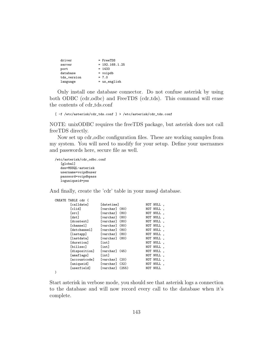| driver      | $=$ FreeTDS      |
|-------------|------------------|
| server      | $= 192.168.1.25$ |
| port        | $= 1433$         |
| database    | $=$ voipdb       |
| tds_version | $= 7.0$          |
| language    | $=$ us_english   |

Only install one database connector. Do not confuse asterisk by using both ODBC (cdr\_odbc) and FreeTDS (cdr\_tds). This command will erase the contents of cdr tds.conf

[ -f /etc/asterisk/cdr\_tds.conf ] > /etc/asterisk/cdr\_tds.conf

NOTE: unixODBC requires the freeTDS package, but asterisk does not call freeTDS directly.

Now set up cdr<sub>-odbc</sub> configuration files. These are working samples from my system. You will need to modify for your setup. Define your usernames and passwords here, secure file as well.

```
/etc/asterisk/cdr_odbc.conf
   [global]
  dsn=MSSQL-asterisk
  username=voipdbuser
  password=voipdbpass
  loguniqueid=yes
```
)

And finally, create the 'cdr' table in your mssql database.

| CREATE TABLE cdr ( |                   |      |          |  |
|--------------------|-------------------|------|----------|--|
| [calldate]         | <i>[datetime]</i> |      | NOT NULL |  |
| [clid]             | [varchar] (80)    |      | NOT NULL |  |
| [src]              | [varchar] (80)    |      | NOT NULL |  |
| [dst]              | [varchar] (80)    |      | NOT NULL |  |
| [dcontext]         | [varchar] (80)    |      | NOT NULL |  |
| [channel]          | [varchar]         | (80) | NOT NULL |  |
| [dstchannel]       | [varchar] (80)    |      | NOT NULL |  |
| [lastapp]          | [varchar] (80)    |      | NOT NULL |  |
| [lastdata]         | [varchar] (80)    |      | NOT NULL |  |
| <b>[duration]</b>  | [int]             |      | NOT NULL |  |
| [billsec]          | [int]             |      | NOT NULL |  |
| [disposition]      | [varchar] (45)    |      | NOT NULL |  |
| [amaflags]         | [int]             |      | NOT NULL |  |
| [accountcode]      | [varchar] (20)    |      | NOT NULL |  |
| [uniqueid]         | [varchar] (32)    |      | NOT NULL |  |
| [userfield]        | [varchar] (255)   |      | NOT NULL |  |
|                    |                   |      |          |  |

Start asterisk in verbose mode, you should see that asterisk logs a connection to the database and will now record every call to the database when it's complete.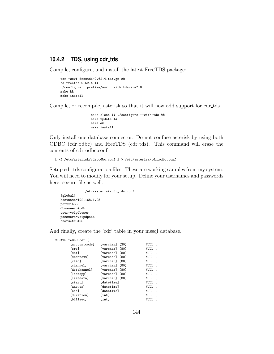### **10.4.2 TDS, using cdr tds**

Compile, configure, and install the latest FreeTDS package:

```
tar -zxvf freetds-0.62.4.tar.gz &&
cd freetds-0.62.4 &&
./configure --prefix=/usr --with-tdsver=7.0
make &&
make install
```
Compile, or recompile, asterisk so that it will now add support for cdr tds.

```
make clean && ./configure --with-tds &&
make update &&
make &&
make install
```
Only install one database connector. Do not confuse asterisk by using both ODBC (cdr\_odbc) and FreeTDS (cdr\_tds). This command will erase the contents of cdr\_odbc.conf

```
[ -f /etc/asterisk/cdr_odbc.conf ] > /etc/asterisk/cdr_odbc.conf
```
Setup cdr tds configuration files. These are working samples from my system. You will need to modify for your setup. Define your usernames and passwords here, secure file as well.

```
/etc/asterisk/cdr_tds.conf
[global]
hostname=192.168.1.25
port=1433
dbname=voipdb
user=voipdbuser
password=voipdpass
charset=BIG5
```
And finally, create the 'cdr' table in your mssql database.

| CREATE TABLE cdr ( |                    |       |
|--------------------|--------------------|-------|
| [accountcode]      | [varchar] (20)     | NULL, |
| [src]              | [varchar] (80)     | NULL, |
| [dst]              | [varchar] (80)     | NULL, |
| [dcontext]         | $[varchar]$ $(80)$ | NULL, |
| [clid]             | [varchar] (80)     | NULL, |
| [channel]          | [varchar] (80)     | NULL, |
| [dstchannel]       | [varchar] (80)     | NULL, |
| [lastapp]          | [varchar] (80)     | NULL, |
| [lastdata]         | $[varchar]$ $(80)$ | NULL, |
| [start]            | [datetime]         | NULL, |
| [answer]           | <i>[datetime]</i>  | NULL, |
| [end]              | [datetime]         | NULL, |
| [duration]         | [int]              | NULL  |
| [billsec]          | [int]              | NULL, |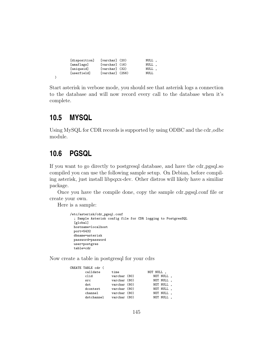| [disposition] | $[varchar]$ $(20)$  | NULL, |  |
|---------------|---------------------|-------|--|
| [amaflags]    | $[varchar]$ $(16)$  | NULL, |  |
| [uniqueid]    | $[varchar]$ $(32)$  | NULL, |  |
| [userfield]   | $[varchar]$ $(256)$ | NULL  |  |
|               |                     |       |  |

Start asterisk in verbose mode, you should see that asterisk logs a connection to the database and will now record every call to the database when it's complete.

# **10.5 MYSQL**

)

Using MySQL for CDR records is supported by using ODBC and the cdr\_odbc module.

# **10.6 PGSQL**

If you want to go directly to postgresql database, and have the cdr pgsql.so compiled you can use the following sample setup. On Debian, before compiling asterisk, just install libpqxx-dev. Other distros will likely have a similiar package.

Once you have the compile done, copy the sample cdr pgsql.conf file or create your own.

Here is a sample:

```
/etc/asterisk/cdr_pgsql.conf
  ; Sample Asterisk config file for CDR logging to PostgresSQL
 [global]
 hostname=localhost
 port=5432
 dbname=asterisk
 password=password
 user=postgres
 table=cdr
```
Now create a table in postgresql for your cdrs

| CREATE TABLE cdr ( |              |           |           |  |
|--------------------|--------------|-----------|-----------|--|
| calldate           | time         | NOT NULL, |           |  |
| clid               | varchar (80) |           | NOT NULL, |  |
| src                | varchar (80) |           | NOT NULL, |  |
| dst                | varchar (80) |           | NOT NULL, |  |
| dcontext           | varchar (80) |           | NOT NULL, |  |
| channel            | varchar (80) |           | NOT NULL, |  |
| dstchannel         | varchar (80) |           | NOT NULL, |  |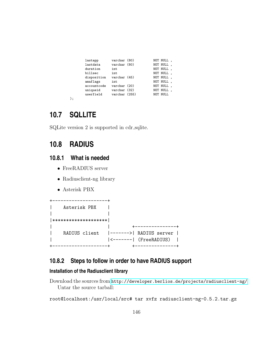| lastapp     | varchar (80)  | NOT NULL, |  |
|-------------|---------------|-----------|--|
| lastdata    | varchar (80)  | NOT NULL, |  |
| duration    | int           | NOT NULL. |  |
| billsec     | int           | NOT NULL, |  |
| disposition | varchar (45)  | NOT NULL, |  |
| amaflags    | int           | NOT NULL  |  |
| accountcode | varchar (20)  | NOT NULL  |  |
| uniqueid    | varchar (32)  | NOT NULL, |  |
| userfield   | varchar (255) | NOT NULL  |  |
|             |               |           |  |

);

# **10.7 SQLLITE**

SQLite version 2 is supported in cdr\_sqlite.

# **10.8 RADIUS**

### **10.8.1 What is needed**

- FreeRADIUS server
- Radiusclient-ng library
- Asterisk PBX



### **10.8.2 Steps to follow in order to have RADIUS support**

### **Installation of the Radiusclient library**

Download the sources from <http://developer.berlios.de/projects/radiusclient-ng/> Untar the source tarball:

root@localhost:/usr/local/src# tar xvfz radiusclient-ng-0.5.2.tar.gz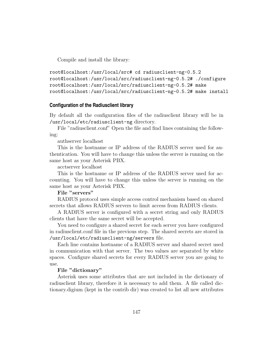Compile and install the library:

```
root@localhost:/usr/local/src# cd radiusclient-ng-0.5.2
root@localhost:/usr/local/src/radiusclient-ng-0.5.2# ./configure
root@localhost:/usr/local/src/radiusclient-ng-0.5.2# make
root@localhost:/usr/local/src/radiusclient-ng-0.5.2# make install
```
#### **Configuration of the Radiusclient library**

By default all the configuration files of the radiusclient library will be in /usr/local/etc/radiusclient-ng directory.

File "radiusclient.conf" Open the file and find lines containing the following:

authserver localhost

This is the hostname or IP address of the RADIUS server used for authentication. You will have to change this unless the server is running on the same host as your Asterisk PBX.

acctserver localhost

This is the hostname or IP address of the RADIUS server used for accounting. You will have to change this unless the server is running on the same host as your Asterisk PBX.

#### File "servers"

RADIUS protocol uses simple access control mechanism based on shared secrets that allows RADIUS servers to limit access from RADIUS clients.

A RADIUS server is configured with a secret string and only RADIUS clients that have the same secret will be accepted.

You need to configure a shared secret for each server you have configured in radiusclient.conf file in the previous step. The shared secrets are stored in /usr/local/etc/radiusclient-ng/servers file.

Each line contains hostname of a RADIUS server and shared secret used in communication with that server. The two values are separated by white spaces. Configure shared secrets for every RADIUS server you are going to use.

#### File "dictionary"

Asterisk uses some attributes that are not included in the dictionary of radiusclient library, therefore it is necessary to add them. A file called dictionary.digium (kept in the contrib dir) was created to list all new attributes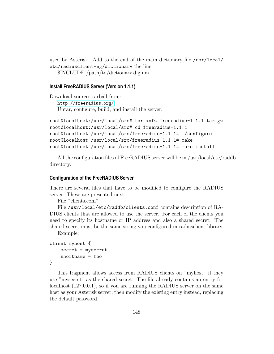used by Asterisk. Add to the end of the main dictionary file /usr/local/ etc/radiusclient-ng/dictionary the line: \$INCLUDE /path/to/dictionary.digium

#### **Install FreeRADIUS Server (Version 1.1.1)**

Download sources tarball from: <http://freeradius.org/> Untar, configure, build, and install the server:

```
root@localhost:/usr/local/src# tar xvfz freeradius-1.1.1.tar.gz
root@localhost:/usr/local/src# cd freeradius-1.1.1
root@localhost"/usr/local/src/freeradius-1.1.1# ./configure
root@localhost"/usr/local/src/freeradius-1.1.1# make
root@localhost"/usr/local/src/freeradius-1.1.1# make install
```
All the configuration files of FreeRADIUS server will be in /usr/local/etc/raddb directory.

#### **Configuration of the FreeRADIUS Server**

There are several files that have to be modified to configure the RADIUS server. These are presented next.

File "clients.conf"

File /usr/local/etc/raddb/clients.conf contains description of RA-DIUS clients that are allowed to use the server. For each of the clients you need to specify its hostname or IP address and also a shared secret. The shared secret must be the same string you configured in radiusclient library.

Example:

```
client myhost {
    secret = mysecret
    shortname = foo
```

```
}
```
This fragment allows access from RADIUS clients on "myhost" if they use "mysecret" as the shared secret. The file already contains an entry for localhost (127.0.0.1), so if you are running the RADIUS server on the same host as your Asterisk server, then modify the existing entry instead, replacing the default password.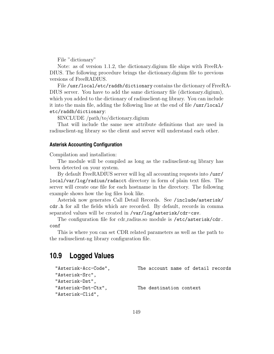File "dictionary"

Note: as of version 1.1.2, the dictionary.digium file ships with FreeRA-DIUS. The following procedure brings the dictionary.digium file to previous versions of FreeRADIUS.

File /usr/local/etc/raddb/dictionary contains the dictionary of FreeRA-DIUS server. You have to add the same dictionary file (dictionary.digium), which you added to the dictionary of radiusclient-ng library. You can include it into the main file, adding the following line at the end of file /usr/local/ etc/raddb/dictionary:

\$INCLUDE /path/to/dictionary.digium

That will include the same new attribute definitions that are used in radiusclient-ng library so the client and server will understand each other.

#### **Asterisk Accounting Configuration**

Compilation and installation:

The module will be compiled as long as the radiusclient-ng library has been detected on your system.

By default FreeRADIUS server will log all accounting requests into /usr/ local/var/log/radius/radacct directory in form of plain text files. The server will create one file for each hostname in the directory. The following example shows how the log files look like.

Asterisk now generates Call Detail Records. See /include/asterisk/ cdr.h for all the fields which are recorded. By default, records in comma separated values will be created in /var/log/asterisk/cdr-csv.

The configuration file for cdr\_radius.so module is /etc/asterisk/cdr. conf

This is where you can set CDR related parameters as well as the path to the radiusclient-ng library configuration file.

### **10.9 Logged Values**

```
"Asterisk-Acc-Code", The account name of detail records
"Asterisk-Src",
"Asterisk-Dst",
"Asterisk-Dst-Ctx", The destination context
"Asterisk-Clid",
```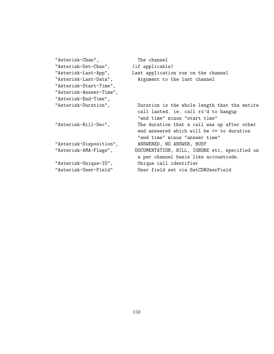| "Asterisk-Chan",        | The channel                                   |
|-------------------------|-----------------------------------------------|
| "Asterisk-Dst-Chan",    | (if applicable)                               |
| "Asterisk-Last-App",    | Last application run on the channel           |
| "Asterisk-Last-Data",   | Argument to the last channel                  |
| "Asterisk-Start-Time",  |                                               |
| "Asterisk-Answer-Time", |                                               |
| "Asterisk-End-Time",    |                                               |
| "Asterisk-Duration",    | Duration is the whole length that the entire  |
|                         | call lasted. ie. call rx'd to hangup          |
|                         | "end time" minus "start time"                 |
| "Asterisk-Bill-Sec",    | The duration that a call was up after other   |
|                         | end answered which will be <= to duration     |
|                         | "end time" minus "answer time"                |
| "Asterisk-Disposition", | ANSWERED, NO ANSWER, BUSY                     |
| "Asterisk-AMA-Flags",   | DOCUMENTATION, BILL, IGNORE etc, specified on |
|                         | a per channel basis like accountcode.         |
| "Asterisk-Unique-ID",   | Unique call identifier                        |
| "Asterisk-User-Field"   | User field set via SetCDRUserField            |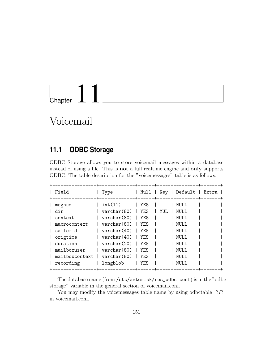

# Voicemail

# **11.1 ODBC Storage**

ODBC Storage allows you to store voicemail messages within a database instead of using a file. This is not a full realtime engine and only supports ODBC. The table description for the "voicemessages" table is as follows:

| Field                                                                                                                      | Type                                                                                                                                                                                                          | Null                                                                              | Key  | Default   Extra                                                                     |  |
|----------------------------------------------------------------------------------------------------------------------------|---------------------------------------------------------------------------------------------------------------------------------------------------------------------------------------------------------------|-----------------------------------------------------------------------------------|------|-------------------------------------------------------------------------------------|--|
| msgnum<br>dir<br>context<br>macrocontext<br>callerid<br>origtime<br>duration<br>mailboxuser<br>mailboxcontext<br>recording | int(11)<br>$\text{varchar}(80)$<br>$\text{varchar}(80)$<br>$\text{varchar}(80)$<br>$\text{varchar}(40)$  <br>$\text{varchar}(40)$<br>$\text{varchar}(20)$<br>$\text{varchar}(80)$<br>varchar (80)<br>longblob | YF.S<br>YES<br>YF.S<br>YF.S<br><b>YF.S</b><br>YF.S<br>YES<br>YF.S<br>YF.S<br>YF.S | MUT. | NULL.<br>NULL<br>NULL.<br>NULL.<br>NULL.<br>NULL<br>NULL<br>NULL.<br>NULL.<br>NULT. |  |

The database name (from /etc/asterisk/res\_odbc.conf) is in the "odbcstorage" variable in the general section of voicemail.conf.

You may modify the voicemessages table name by using odbctable=??? in voicemail.conf.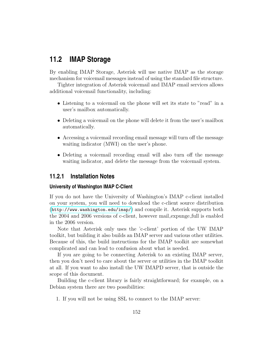# **11.2 IMAP Storage**

By enabling IMAP Storage, Asterisk will use native IMAP as the storage mechanism for voicemail messages instead of using the standard file structure.

Tighter integration of Asterisk voicemail and IMAP email services allows additional voicemail functionality, including:

- Listening to a voicemail on the phone will set its state to "read" in a user's mailbox automatically.
- Deleting a voicemail on the phone will delete it from the user's mailbox automatically.
- Accessing a voicemail recording email message will turn off the message waiting indicator (MWI) on the user's phone.
- Deleting a voicemail recording email will also turn off the message waiting indicator, and delete the message from the voicemail system.

### **11.2.1 Installation Notes**

#### **University of Washington IMAP C-Client**

If you do not have the University of Washington's IMAP c-client installed on your system, you will need to download the c-client source distribution (<http://www.washington.edu/imap/>) and compile it. Asterisk supports both the 2004 and 2006 versions of c-client, however mail expunge full is enabled in the 2006 version.

Note that Asterisk only uses the 'c-client' portion of the UW IMAP toolkit, but building it also builds an IMAP server and various other utilities. Because of this, the build instructions for the IMAP toolkit are somewhat complicated and can lead to confusion about what is needed.

If you are going to be connecting Asterisk to an existing IMAP server, then you don't need to care about the server or utilities in the IMAP toolkit at all. If you want to also install the UW IMAPD server, that is outside the scope of this document.

Building the c-client library is fairly straightforward; for example, on a Debian system there are two possibilities:

1. If you will not be using SSL to connect to the IMAP server: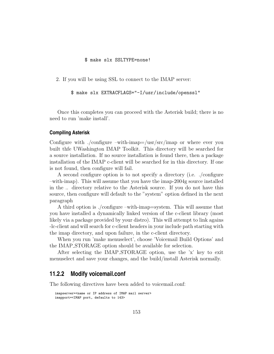#### \$ make slx SSLTYPE=none!

2. If you will be using SSL to connect to the IMAP server:

\$ make slx EXTRACFLAGS="-I/usr/include/openssl"

Once this completes you can proceed with the Asterisk build; there is no need to run 'make install'.

#### **Compiling Asterisk**

Configure with ./configure –with-imap=/usr/src/imap or where ever you built thfe UWashington IMAP Toolkit. This directory will be searched for a source installation. If no source installation is found there, then a package installation of the IMAP c-client will be searched for in this directory. If one is not found, then configure will fail.

A second configure option is to not specify a directory (i.e. ./configure –with-imap). This will assume that you have the imap-2004g source installed in the .. directory relative to the Asterisk source. If you do not have this source, then configure will default to the "system" option defined in the next paragraph

A third option is ./configure –with-imap=system. This will assume that you have installed a dynamically linked version of the c-client library (most likely via a package provided by your distro). This will attempt to link agains -lc-client and will search for c-client headers in your include path starting with the imap directory, and upon failure, in the c-client directory.

When you run 'make menuselect', choose 'Voicemail Build Options' and the IMAP STORAGE option should be available for selection.

After selecting the IMAP STORAGE option, use the 'x' key to exit menuselect and save your changes, and the build/install Asterisk normally.

### **11.2.2 Modify voicemail.conf**

The following directives have been added to voicemail.conf:

```
imapserver=<name or IP address of IMAP mail server>
imapport=<IMAP port, defaults to 143>
```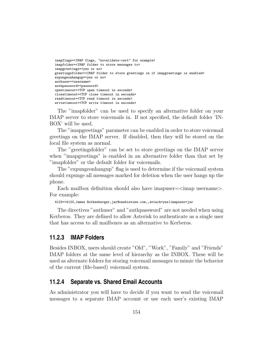```
imapflags=<IMAP flags, "novalidate-cert" for example>
imapfolder=<IMAP folder to store messages to>
imapgreetings=<yes or no>
greetingsfolder=<IMAP folder to store greetings in if imapgreetings is enabled>
expungeonhangup=<yes or no>
authuser=<username>
authpassword=<password>
opentimeout=<TCP open timeout in seconds>
closetimeout=<TCP close timeout in seconds>
readtimeout=<TCP read timeout in seconds>
writetimeout=<TCP write timeout in seconds>
```
The "imapfolder" can be used to specify an alternative folder on your IMAP server to store voicemails in. If not specified, the default folder 'IN-BOX' will be used.

The "imapgreetings" parameter can be enabled in order to store voicemail greetings on the IMAP server. If disabled, then they will be stored on the local file system as normal.

The "greetingsfolder" can be set to store greetings on the IMAP server when "imapgreetings" is enabled in an alternative folder than that set by "imapfolder" or the default folder for voicemails.

The "expungeonhangup" flag is used to determine if the voicemail system should expunge all messages marked for deletion when the user hangs up the phone.

Each mailbox definition should also have imapuser  $=\langle$  imap username $\rangle$ . For example:

4123=>4123,James Rothenberger,jar@onebiztone.com,,attach=yes|imapuser=jar

The directives "authuser" and "authpassword" are not needed when using Kerberos. They are defined to allow Asterisk to authenticate as a single user that has access to all mailboxes as an alternative to Kerberos.

#### **11.2.3 IMAP Folders**

Besides INBOX, users should create "Old", "Work", "Family" and "Friends" IMAP folders at the same level of hierarchy as the INBOX. These will be used as alternate folders for storing voicemail messages to mimic the behavior of the current (file-based) voicemail system.

### **11.2.4 Separate vs. Shared Email Accounts**

As administrator you will have to decide if you want to send the voicemail messages to a separate IMAP account or use each user's existing IMAP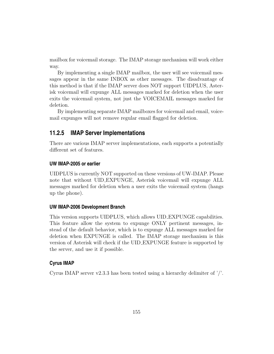mailbox for voicemail storage. The IMAP storage mechanism will work either way.

By implementing a single IMAP mailbox, the user will see voicemail messages appear in the same INBOX as other messages. The disadvantage of this method is that if the IMAP server does NOT support UIDPLUS, Asterisk voicemail will expunge ALL messages marked for deletion when the user exits the voicemail system, not just the VOICEMAIL messages marked for deletion.

By implementing separate IMAP mailboxes for voicemail and email, voicemail expunges will not remove regular email flagged for deletion.

### **11.2.5 IMAP Server Implementations**

There are various IMAP server implementations, each supports a potentially different set of features.

#### **UW IMAP-2005 or earlier**

UIDPLUS is currently NOT supported on these versions of UW-IMAP. Please note that without UID EXPUNGE, Asterisk voicemail will expunge ALL messages marked for deletion when a user exits the voicemail system (hangs up the phone).

#### **UW IMAP-2006 Development Branch**

This version supports UIDPLUS, which allows UID EXPUNGE capabilities. This feature allow the system to expunge ONLY pertinent messages, instead of the default behavior, which is to expunge ALL messages marked for deletion when EXPUNGE is called. The IMAP storage mechanism is this version of Asterisk will check if the UID EXPUNGE feature is supported by the server, and use it if possible.

#### **Cyrus IMAP**

Cyrus IMAP server v2.3.3 has been tested using a hierarchy delimiter of  $\frac{\gamma}{\gamma}$ .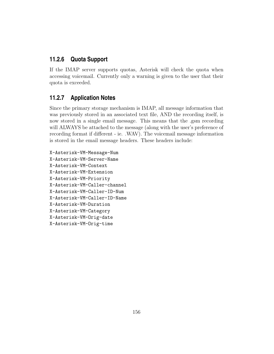### **11.2.6 Quota Support**

If the IMAP server supports quotas, Asterisk will check the quota when accessing voicemail. Currently only a warning is given to the user that their quota is exceeded.

### **11.2.7 Application Notes**

Since the primary storage mechanism is IMAP, all message information that was previously stored in an associated text file, AND the recording itself, is now stored in a single email message. This means that the .gsm recording will ALWAYS be attached to the message (along with the user's preference of recording format if different - ie. .WAV). The voicemail message information is stored in the email message headers. These headers include:

X-Asterisk-VM-Message-Num X-Asterisk-VM-Server-Name X-Asterisk-VM-Context X-Asterisk-VM-Extension X-Asterisk-VM-Priority X-Asterisk-VM-Caller-channel X-Asterisk-VM-Caller-ID-Num X-Asterisk-VM-Caller-ID-Name X-Asterisk-VM-Duration X-Asterisk-VM-Category X-Asterisk-VM-Orig-date X-Asterisk-VM-Orig-time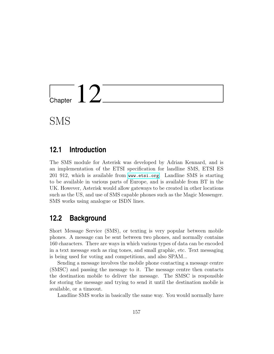

SMS

### **12.1 Introduction**

The SMS module for Asterisk was developed by Adrian Kennard, and is an implementation of the ETSI specification for landline SMS, ETSI ES 201 912, which is available from <www.etsi.org>. Landline SMS is starting to be available in various parts of Europe, and is available from BT in the UK. However, Asterisk would allow gateways to be created in other locations such as the US, and use of SMS capable phones such as the Magic Messenger. SMS works using analogue or ISDN lines.

## **12.2 Background**

Short Message Service (SMS), or texting is very popular between mobile phones. A message can be sent between two phones, and normally contains 160 characters. There are ways in which various types of data can be encoded in a text message such as ring tones, and small graphic, etc. Text messaging is being used for voting and competitions, and also SPAM...

Sending a message involves the mobile phone contacting a message centre (SMSC) and passing the message to it. The message centre then contacts the destination mobile to deliver the message. The SMSC is responsible for storing the message and trying to send it until the destination mobile is available, or a timeout.

Landline SMS works in basically the same way. You would normally have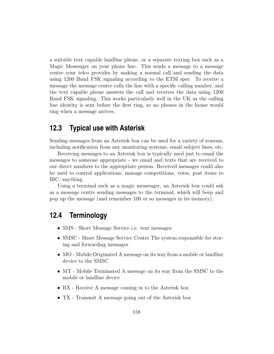a suitable text capable landline phone, or a separate texting box such as a Magic Messenger on your phone line. This sends a message to a message centre your telco provides by making a normal call and sending the data using 1200 Baud FSK signaling according to the ETSI spec. To receive a message the message centre calls the line with a specific calling number, and the text capable phone answers the call and receives the data using 1200 Baud FSK signaling. This works particularly well in the UK as the calling line identity is sent before the first ring, so no phones in the house would ring when a message arrives.

### **12.3 Typical use with Asterisk**

Sending messages from an Asterisk box can be used for a variety of reasons, including notification from any monitoring systems, email subject lines, etc.

Receiving messages to an Asterisk box is typically used just to email the messages to someone appropriate - we email and texts that are received to our direct numbers to the appropriate person. Received messages could also be used to control applications, manage competitions, votes, post items to IRC, anything.

Using a terminal such as a magic messenger, an Asterisk box could ask as a message centre sending messages to the terminal, which will beep and pop up the message (and remember 100 or so messages in its memory).

# **12.4 Terminology**

- SMS Short Message Service i.e. text messages
- SMSC Short Message Service Centre The system responsible for storing and forwarding messages
- MO Mobile Originated A message on its way from a mobile or landline device to the SMSC
- MT Mobile Terminated A message on its way from the SMSC to the mobile or landline device
- RX Receive A message coming in to the Asterisk box
- TX Transmit A message going out of the Asterisk box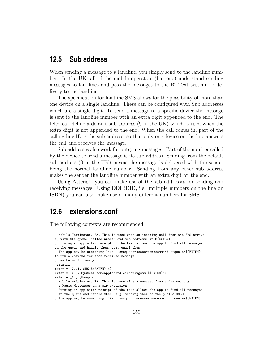### **12.5 Sub address**

When sending a message to a landline, you simply send to the landline number. In the UK, all of the mobile operators (bar one) understand sending messages to landlines and pass the messages to the BTText system for delivery to the landline.

The specification for landline SMS allows for the possibility of more than one device on a single landline. These can be configured with Sub addresses which are a single digit. To send a message to a specific device the message is sent to the landline number with an extra digit appended to the end. The telco can define a default sub address (9 in the UK) which is used when the extra digit is not appended to the end. When the call comes in, part of the calling line ID is the sub address, so that only one device on the line answers the call and receives the message.

Sub addresses also work for outgoing messages. Part of the number called by the device to send a message is its sub address. Sending from the default sub address (9 in the UK) means the message is delivered with the sender being the normal landline number. Sending from any other sub address makes the sender the landline number with an extra digit on the end.

Using Asterisk, you can make use of the sub addresses for sending and receiving messages. Using DDI (DID, i.e. multiple numbers on the line on ISDN) you can also make use of many different numbers for SMS.

### **12.6 extensions.conf**

The following contexts are recommended.

```
; Mobile Terminated, RX. This is used when an incoming call from the SMS arrive
s, with the queue (called number and sub address) in ${EXTEN}
; Running an app after receipt of the text allows the app to find all messages
in the queue and handle them, e.g. email them.
; The app may be something like smsq --process=somecommand --queue=${EXTEN}
to run a command for each received message
; See below for usage
[smsmtrx]
exten = X., 1, SMS($EXTEN], a)exten = _X.,2,System("someapptohandleincomingsms ${EXTEN}")
exten = X., 3, Hangup
; Mobile originated, RX. This is receiving a message from a device, e.g.
; a Magic Messenger on a sip extension
; Running an app after receipt of the text allows the app to find all messages
; in the queue and handle then, e.g. sending them to the public SMSC
; The app may be something like smsq --process=somecommand --queue=${EXTEN}
```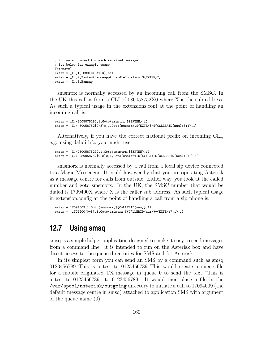```
; to run a command for each received message
; See below for example usage
[smsmorx]
exten = X., 1, SMS($EXTEN}, sa)exten = _X.,2,System("someapptohandlelocalsms ${EXTEN}")
exten = X., 3, Hangup
```
smsmtrx is normally accessed by an incoming call from the SMSC. In the UK this call is from a CLI of 080058752X0 where X is the sub address. As such a typical usage in the extensions.conf at the point of handling an incoming call is:

```
exten = X./8005875290, 1, Goto(Smsmtrx, ${EXTEN}, 1)exten = _X./_80058752[0-8]0,1,Goto(smsmtrx,${EXTEN}-${CALLERID(num):8:1},1)
```
Alternatively, if you have the correct national prefix on incoming CLI, e.g. using dahdi hfc, you might use:

```
exten = _X./08005875290,1,Goto(smsmtrx,${EXTEN},1)
exten = _X./_080058752[0-8]0,1,Goto(smsmtrx,${EXTEN}-${CALLERID(num):9:1},1)
```
smsmorx is normally accessed by a call from a local sip device connected to a Magic Messenger. It could however by that you are operating Asterisk as a message centre for calls from outside. Either way, you look at the called number and goto smsmorx. In the UK, the SMSC number that would be dialed is 1709400X where X is the caller sub address. As such typical usage in extension.config at the point of handling a call from a sip phone is:

```
exten = 17094009,1,Goto(smsmorx,${CALLERID(num)},1)
exten = _1709400[0-8],1,Goto(smsmorx,${CALLERID(num)}-{EXTEN:7:1},1)
```
# **12.7 Using smsq**

smsq is a simple helper application designed to make it easy to send messages from a command line. it is intended to run on the Asterisk box and have direct access to the queue directories for SMS and for Asterisk.

In its simplest form you can send an SMS by a command such as smsq 0123456789 This is a test to 0123456789 This would create a queue file for a mobile originated TX message in queue 0 to send the text "This is a test to 0123456789" to 0123456789. It would then place a file in the /var/spool/asterisk/outgoing directory to initiate a call to 17094009 (the default message centre in smsq) attached to application SMS with argument of the queue name (0).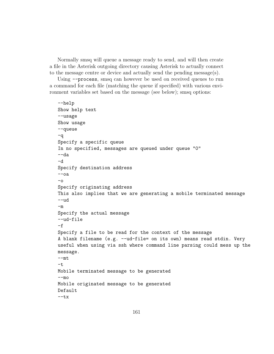Normally smsq will queue a message ready to send, and will then create a file in the Asterisk outgoing directory causing Asterisk to actually connect to the message centre or device and actually send the pending message $(s)$ .

Using --process, smsq can however be used on received queues to run a command for each file (matching the queue if specified) with various environment variables set based on the message (see below); smsq options:

```
--help
Show help text
--usage
Show usage
--queue
-q
Specify a specific queue
In no specified, messages are queued under queue "0"
--da
-d
Specify destination address
--oa-\circSpecify originating address
This also implies that we are generating a mobile terminated message
--<sub>ud</sub>-mSpecify the actual message
--ud-file
-fSpecify a file to be read for the context of the message
A blank filename (e.g. --ud-file= on its own) means read stdin. Very
useful when using via ssh where command line parsing could mess up the
message.
--mt
-tMobile terminated message to be generated
--<sub>mo</sub>Mobile originated message to be generated
Default
-<sub>tx</sub>
```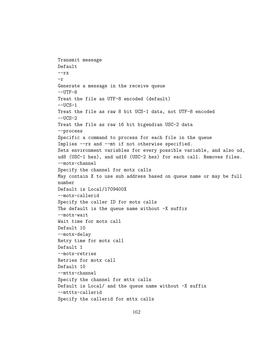Transmit message Default  $-rx$ -r Generate a message in the receive queue  $--$ UTF $-8$ Treat the file as UTF-8 encoded (default)  $--UCS-1$ Treat the file as raw 8 bit UCS-1 data, not UTF-8 encoded  $-$ UCS $-2$ Treat the file as raw 16 bit bigendian USC-2 data --process Specific a command to process for each file in the queue Implies --rx and --mt if not otherwise specified. Sets environment variables for every possible variable, and also ud, ud8 (USC-1 hex), and ud16 (USC-2 hex) for each call. Removes files. --motx-channel Specify the channel for motx calls May contain X to use sub address based on queue name or may be full number Default is Local/1709400X --motx-callerid Specify the caller ID for motx calls The default is the queue name without  $-X$  suffix --motx-wait Wait time for motx call Default 10 --motx-delay Retry time for motx call Default 1 --motx-retries Retries for motx call Default 10 --mttx-channel Specify the channel for mttx calls Default is Local/ and the queue name without -X suffix --mtttx-callerid Specify the callerid for mttx calls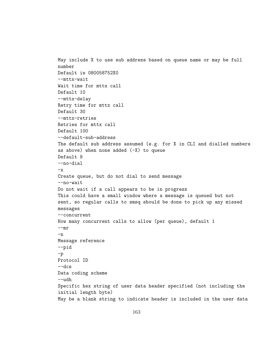```
May include X to use sub address based on queue name or may be full
number
Default is 080058752X0
--mttx-wait
Wait time for mttx call
Default 10
--mttx-delay
Retry time for mttx call
Default 30
--mttx-retries
Retries for mttx call
Default 100
--default-sub-address
The default sub address assumed (e.g. for X in CLI and dialled numbers
as above) when none added (-X) to queue
Default 9
--no-dial
-xCreate queue, but do not dial to send message
--no-wait
Do not wait if a call appears to be in progress
This could have a small window where a message is queued but not
sent, so regular calls to smsq should be done to pick up any missed
messages
--concurrent
How many concurrent calls to allow (per queue), default 1
--mr-nMessage reference
--pid
-p
Protocol ID
--dcs
Data coding scheme
--udh
Specific hex string of user data header specified (not including the
initial length byte)
May be a blank string to indicate header is included in the user data
```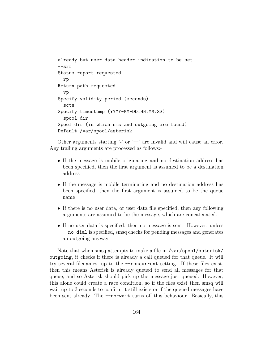```
already but user data header indication to be set.
--srr
Status report requested
--rp
Return path requested
-<sub>vp</sub>Specify validity period (seconds)
--scts
Specify timestamp (YYYY-MM-DDTHH:MM:SS)
--spool-dir
Spool dir (in which sms and outgoing are found)
Default /var/spool/asterisk
```
Other arguments starting  $\cdot$  or  $\cdot$  -- are invalid and will cause an error. Any trailing arguments are processed as follows:-

- If the message is mobile originating and no destination address has been specified, then the first argument is assumed to be a destination address
- If the message is mobile terminating and no destination address has been specified, then the first argument is assumed to be the queue name
- If there is no user data, or user data file specified, then any following arguments are assumed to be the message, which are concatenated.
- If no user data is specified, then no message is sent. However, unless --no-dial is specified, smsq checks for pending messages and generates an outgoing anyway

Note that when smsq attempts to make a file in /var/spool/asterisk/ outgoing, it checks if there is already a call queued for that queue. It will try several filenames, up to the --concurrent setting. If these files exist, then this means Asterisk is already queued to send all messages for that queue, and so Asterisk should pick up the message just queued. However, this alone could create a race condition, so if the files exist then smsq will wait up to 3 seconds to confirm it still exists or if the queued messages have been sent already. The --no-wait turns off this behaviour. Basically, this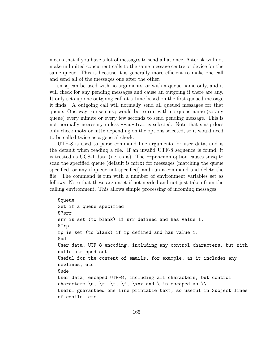means that if you have a lot of messages to send all at once, Asterisk will not make unlimited concurrent calls to the same message centre or device for the same queue. This is because it is generally more efficient to make one call and send all of the messages one after the other.

smsq can be used with no arguments, or with a queue name only, and it will check for any pending messages and cause an outgoing if there are any. It only sets up one outgoing call at a time based on the first queued message it finds. A outgoing call will normally send all queued messages for that queue. One way to use smsq would be to run with no queue name (so any queue) every minute or every few seconds to send pending message. This is not normally necessary unless  $\neg$ -no-dial is selected. Note that smsq does only check motx or mttx depending on the options selected, so it would need to be called twice as a general check.

UTF-8 is used to parse command line arguments for user data, and is the default when reading a file. If an invalid UTF-8 sequence is found, it is treated as UCS-1 data (i.e, as is). The --process option causes smsq to scan the specified queue (default is mtrx) for messages (matching the queue specified, or any if queue not specified) and run a command and delete the file. The command is run with a number of environment variables set as follows. Note that these are unset if not needed and not just taken from the calling environment. This allows simple processing of incoming messages

```
$queue
Set if a queue specified
$?srr
srr is set (to blank) if srr defined and has value 1.
$?rp
rp is set (to blank) if rp defined and has value 1.
$ud
User data, UTF-8 encoding, including any control characters, but with
nulls stripped out
Useful for the content of emails, for example, as it includes any
newlines, etc.
$ude
User data, escaped UTF-8, including all characters, but control
characters \n\times \r, \r, \t, \t, \tx, \x and \ts escaped as \tUseful guaranteed one line printable text, so useful in Subject lines
of emails, etc
```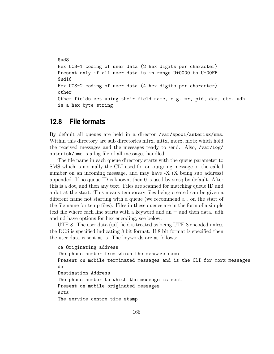```
$ud8
Hex UCS-1 coding of user data (2 hex digits per character)
Present only if all user data is in range U+0000 to U+00FF
$ud16
Hex UCS-2 coding of user data (4 hex digits per character)
other
Other fields set using their field name, e.g. mr, pid, dcs, etc. udh
is a hex byte string
```
# **12.8 File formats**

By default all queues are held in a director /var/spool/asterisk/sms. Within this directory are sub directories mtrx, mttx, morx, motx which hold the received messages and the messages ready to send. Also, /var/log/ asterisk/sms is a log file of all messages handled.

The file name in each queue directory starts with the queue parameter to SMS which is normally the CLI used for an outgoing message or the called number on an incoming message, and may have -X (X being sub address) appended. If no queue ID is known, then 0 is used by smsq by default. After this is a dot, and then any text. Files are scanned for matching queue ID and a dot at the start. This means temporary files being created can be given a different name not starting with a queue (we recommend a . on the start of the file name for temp files). Files in these queues are in the form of a simple text file where each line starts with a keyword and an = and then data. udh and ud have options for hex encoding, see below.

UTF-8. The user data (ud) field is treated as being UTF-8 encoded unless the DCS is specified indicating 8 bit format. If 8 bit format is specified then the user data is sent as is. The keywords are as follows:

```
oa Originating address
The phone number from which the message came
Present on mobile terminated messages and is the CLI for morx messages
da
Destination Address
The phone number to which the message is sent
Present on mobile originated messages
scts
The service centre time stamp
```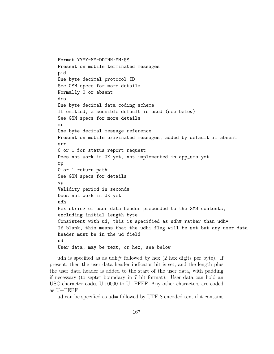Format YYYY-MM-DDTHH:MM:SS Present on mobile terminated messages pid One byte decimal protocol ID See GSM specs for more details Normally 0 or absent dcs One byte decimal data coding scheme If omitted, a sensible default is used (see below) See GSM specs for more details mr One byte decimal message reference Present on mobile originated messages, added by default if absent srr 0 or 1 for status report request Does not work in UK yet, not implemented in app\_sms yet rp 0 or 1 return path See GSM specs for details vp Validity period in seconds Does not work in UK yet udh Hex string of user data header prepended to the SMS contents, excluding initial length byte. Consistent with ud, this is specified as udh# rather than udh= If blank, this means that the udhi flag will be set but any user data header must be in the ud field ud User data, may be text, or hex, see below

udh is specified as as udh# followed by hex  $(2 \text{ hex digits per byte})$ . If present, then the user data header indicator bit is set, and the length plus the user data header is added to the start of the user data, with padding if necessary (to septet boundary in 7 bit format). User data can hold an USC character codes U+0000 to U+FFFF. Any other characters are coded as U+FEFF

ud can be specified as ud= followed by UTF-8 encoded text if it contains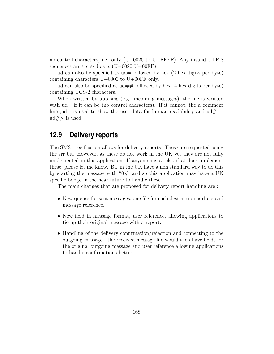no control characters, i.e. only  $(U+0020$  to  $U+$ FFFF). Any invalid UTF-8 sequences are treated as is  $(U+0080-U+00FF)$ .

ud can also be specified as  $ud\#$  followed by hex (2 hex digits per byte) containing characters U+0000 to U+00FF only.

ud can also be specified as  $ud##$  followed by hex (4 hex digits per byte) containing UCS-2 characters.

When written by app sms (e.g. incoming messages), the file is written with  $ud=$  if it can be (no control characters). If it cannot, the a comment line ; ud = is used to show the user data for human readability and  $ud\#$  or  $ud##$  is used.

### **12.9 Delivery reports**

The SMS specification allows for delivery reports. These are requested using the srr bit. However, as these do not work in the UK yet they are not fully implemented in this application. If anyone has a telco that does implement these, please let me know. BT in the UK have a non standard way to do this by starting the message with  $*0#$ , and so this application may have a UK specific bodge in the near future to handle these.

The main changes that are proposed for delivery report handling are :

- New queues for sent messages, one file for each destination address and message reference.
- New field in message format, user reference, allowing applications to tie up their original message with a report.
- Handling of the delivery confirmation/rejection and connecting to the outgoing message - the received message file would then have fields for the original outgoing message and user reference allowing applications to handle confirmations better.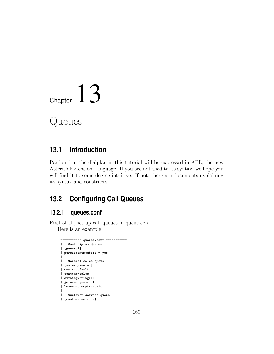

Queues

# **13.1 Introduction**

Pardon, but the dialplan in this tutorial will be expressed in AEL, the new Asterisk Extension Language. If you are not used to its syntax, we hope you will find it to some degree intuitive. If not, there are documents explaining its syntax and constructs.

# **13.2 Configuring Call Queues**

### **13.2.1 queues.conf**

First of all, set up call queues in queue.conf Here is an example:

| queues.conf ========<br>=========== |
|-------------------------------------|
| ; Cool Digium Queues                |
| [general]                           |
| persistentmembers = yes             |
|                                     |
| ; General sales queue               |
| [sales-general]                     |
| music=default                       |
| context=sales                       |
| strategy=ringall                    |
| joinempty=strict                    |
| leavewhenempty=strict               |
|                                     |
| ; Customer service queue            |
| [customerservice]                   |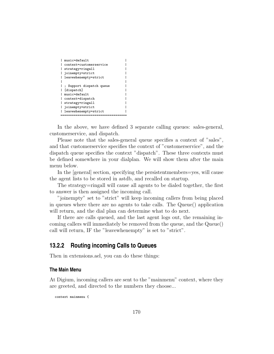| music=default            |  |
|--------------------------|--|
| context=customerservice  |  |
| strategy=ringall         |  |
| joinempty=strict         |  |
| leavewhenempty=strict    |  |
|                          |  |
| ; Support dispatch queue |  |
| [dispatch]               |  |
| music=default            |  |
| context=dispatch         |  |
| strategy=ringall         |  |
| joinempty=strict         |  |
| leavewhenempty=strict    |  |
|                          |  |

In the above, we have defined 3 separate calling queues: sales-general, customerservice, and dispatch.

Please note that the sales-general queue specifies a context of "sales", and that customerservice specifies the context of "customerservice", and the dispatch queue specifies the context "dispatch". These three contexts must be defined somewhere in your dialplan. We will show them after the main menu below.

In the [general] section, specifying the persistentmembers=yes, will cause the agent lists to be stored in astdb, and recalled on startup.

The strategy=ringall will cause all agents to be dialed together, the first to answer is then assigned the incoming call.

"joinempty" set to "strict" will keep incoming callers from being placed in queues where there are no agents to take calls. The Queue() application will return, and the dial plan can determine what to do next.

If there are calls queued, and the last agent logs out, the remaining incoming callers will immediately be removed from the queue, and the Queue() call will return, IF the "leavewhenempty" is set to "strict".

### **13.2.2 Routing incoming Calls to Queues**

Then in extensions.ael, you can do these things:

#### **The Main Menu**

At Digium, incoming callers are sent to the "mainmenu" context, where they are greeted, and directed to the numbers they choose...

context mainmenu {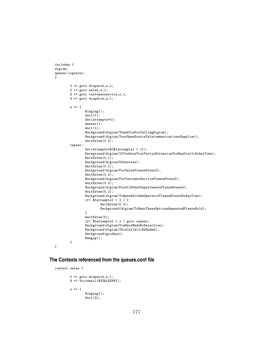```
includes {
digium;
queues-loginout;
}
        0 \Rightarrow goto dispatch, s, 1;
        2 => goto sales,s,1;
        3 => goto customerservice,s,1;
        4 \Rightarrow goto dispatch, s, 1;
        s \Rightarrow fRinging();
                 Wait(1);
                Set(attempts=0);
                Answer();
                Wait(1);
                Background(digium/ThankYouForCallingDigium);
                Background(digium/YourOpenSourceTelecommunicationsSupplier);
                WaitExten(0.3);
        repeat:
                Set(attempts=$[${attempts} + 1]);
                Background(digium/IfYouKnowYourPartysExtensionYouMayDialItAtAnyTime);
                WaitExten(0.1);
                Background(digium/Otherwise);
                WaitExten(0.1);
                Background(digium/ForSalesPleasePress2);
                 WaitExten(0.2);
                Background(digium/ForCustomerServicePleasePress3);
                WaitExten(0.2);
                Background(digium/ForAllOtherDepartmentsPleasePress4);
                WaitExten(0.2);
                Background(digium/ToSpeakWithAnOperatorPleasePress0AtAnyTime);
                if(${attempts} < 2 ) {
                         WaitExten(0.3);
                         Background(digium/ToHearTheseOptionsRepeatedPleaseHold);
                }
                 WaitExten(5);
                if( ${attempts} < 2 ) goto repeat;
                Background(digium/YouHaveMadeNoSelection);
                Background(digium/ThisCallWillBeEnded);
                Background(goodbye);
                Hangup();
        }
}
```
#### **The Contexts referenced from the queues.conf file**

```
context sales {
```

```
0 => goto dispatch,s,1;
8 => Voicemail(${SALESVM});
s \Rightarrow fRinging();
         Wait(2);
```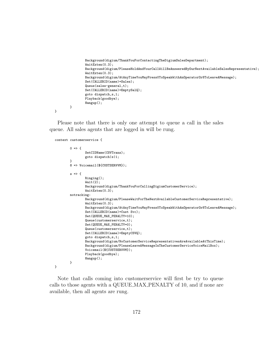```
Background(digium/ThankYouForContactingTheDigiumSalesDepartment);
                WaitExten(0.3);
                Background(digium/PleaseHoldAndYourCallWillBeAnsweredByOurNextAvailableSalesRepresentative);
                WaitExten(0.3);
                Background(digium/AtAnyTimeYouMayPress0ToSpeakWithAnOperatorOr8ToLeaveAMessage);
                Set(CALLERID(name)=Sales);
                Queue(sales-general,t);
                Set(CALLERID(name)=EmptySalQ);
                goto dispatch,s,1;
                Playback(goodbye);
                Hangup();
        }
}
```
Please note that there is only one attempt to queue a call in the sales queue. All sales agents that are logged in will be rung.

```
context customerservice {
```
}

```
0 \Rightarrow fSetCIDName(CSVTrans);
        goto dispatch|s|1;
}
8 => Voicemail(${CUSTSERVVM});
s \Rightarrow fRinging();
        Wait(2);
        Background(digium/ThankYouForCallingDigiumCustomerService);
        WaitExten(0.3);
notracking:
        Background(digium/PleaseWaitForTheNextAvailableCustomerServiceRepresentative);
        WaitExten(0.3);
        Background(digium/AtAnyTimeYouMayPress0ToSpeakWithAnOperatorOr8ToLeaveAMessage);
        Set(CALLERID(name)=Cust Svc);
        Set(QUEUE_MAX_PENALTY=10);
        Queue(customerservice,t);
        Set(QUEUE_MAX_PENALTY=0);
        Queue(customerservice,t);
        Set(CALLERID(name)=EmptyCSVQ);
        goto dispatch,s,1;
        Background(digium/NoCustomerServiceRepresentativesAreAvailableAtThisTime);
        Background(digium/PleaseLeaveAMessageInTheCustomerServiceVoiceMailBox);
        Voicemail(${CUSTSERVVM});
        Playback(goodbye);
        Hangup();
}
```
Note that calls coming into customerservice will first be try to queue calls to those agents with a QUEUE MAX PENALTY of 10, and if none are available, then all agents are rung.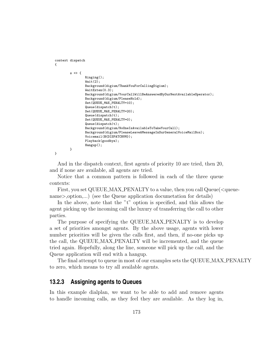```
context dispatch
{
        s \Rightarrow fRinging();
                Wait(2);Background(digium/ThankYouForCallingDigium);
                WaitExten(0.3):Background(digium/YourCallWillBeAnsweredByOurNextAvailableOperator);
                Background(digium/PleaseHold);
                Set(QUEUE_MAX_PENALTY=10);
                Queue(dispatch|t);
                Set(QUEUE_MAX_PENALTY=20);
                Queue(dispatch|t);
                Set(QUEUE_MAX_PENALTY=0);
                Queue(dispatch|t);
                Background(digium/NoOneIsAvailableToTakeYourCall);
                Background(digium/PleaseLeaveAMessageInOurGeneralVoiceMailBox);
                Voicemail(${DISPATCHVM});
                Playback(goodbye);
                Hangup();
        }
}
```
And in the dispatch context, first agents of priority 10 are tried, then 20, and if none are available, all agents are tried.

Notice that a common pattern is followed in each of the three queue contexts:

First, you set QUEUE\_MAX\_PENALTY to a value, then you call Queue( $\leq$ queuename>, option,...) (see the Queue application documetation for details)

In the above, note that the "t" option is specified, and this allows the agent picking up the incoming call the luxury of transferring the call to other parties.

The purpose of specifying the QUEUE MAX PENALTY is to develop a set of priorities amongst agents. By the above usage, agents with lower number priorities will be given the calls first, and then, if no-one picks up the call, the QUEUE MAX PENALTY will be incremented, and the queue tried again. Hopefully, along the line, someone will pick up the call, and the Queue application will end with a hangup.

The final attempt to queue in most of our examples sets the QUEUE MAX PENALTY to zero, which means to try all available agents.

#### **13.2.3 Assigning agents to Queues**

In this example dialplan, we want to be able to add and remove agents to handle incoming calls, as they feel they are available. As they log in,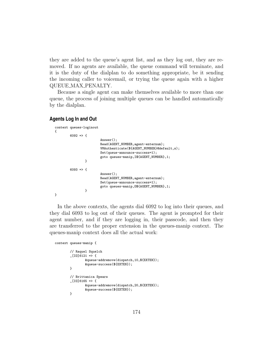they are added to the queue's agent list, and as they log out, they are removed. If no agents are available, the queue command will terminate, and it is the duty of the dialplan to do something appropriate, be it sending the incoming caller to voicemail, or trying the queue again with a higher QUEUE MAX PENALTY.

Because a single agent can make themselves available to more than one queue, the process of joining multiple queues can be handled automatically by the dialplan.

#### **Agents Log In and Out**

```
context queues-loginout
{
        6092 => {
                         Answer();
                         Read(AGENT_NUMBER,agent-enternum);
                         VMAuthenticate(${AGENT_NUMBER}@default,s);
                         Set(queue-announce-success=1);
                         goto queues-manip,I${AGENT_NUMBER},1;
                }
        6093 \Rightarrow {
                         Answer();
                         Read(AGENT_NUMBER,agent-enternum);
                         Set(queue-announce-success=1);
                         goto queues-manip,O${AGENT_NUMBER},1;
                }
}
```
In the above contexts, the agents dial 6092 to log into their queues, and they dial 6093 to log out of their queues. The agent is prompted for their agent number, and if they are logging in, their passcode, and then they are transferred to the proper extension in the queues-manip context. The queues-manip context does all the actual work:

```
context queues-manip {
        // Raquel Squelch
        [10]6121 => {
                &queue-addremove(dispatch,10,${EXTEN});
                &queue-success(${EXTEN});
        }
        // Brittanica Spears
        [10]6165 \Rightarrow {
                &queue-addremove(dispatch,20,${EXTEN});
                &queue-success(${EXTEN});
        }
```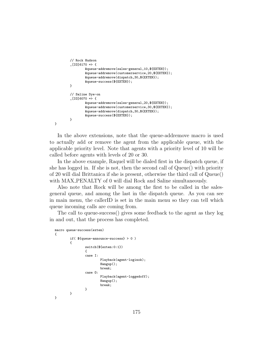```
// Rock Hudson
[10]6170 => {
        &queue-addremove(sales-general,10,${EXTEN});
        &queue-addremove(customerservice,20,${EXTEN});
        &queue-addremove(dispatch,30,${EXTEN});
        &queue-success(${EXTEN});
}
// Saline Dye-on
\_[IO]6070 => {
        &queue-addremove(sales-general,20,${EXTEN});
        &queue-addremove(customerservice,30,${EXTEN});
        &queue-addremove(dispatch,30,${EXTEN});
        &queue-success(${EXTEN});
}
```
}

In the above extensions, note that the queue-addremove macro is used to actually add or remove the agent from the applicable queue, with the applicable priority level. Note that agents with a priority level of 10 will be called before agents with levels of 20 or 30.

In the above example, Raquel will be dialed first in the dispatch queue, if she has logged in. If she is not, then the second call of Queue() with priority of 20 will dial Brittanica if she is present, otherwise the third call of Queue() with MAX\_PENALTY of 0 will dial Rock and Saline simultaneously.

Also note that Rock will be among the first to be called in the salesgeneral queue, and among the last in the dispatch queue. As you can see in main menu, the callerID is set in the main menu so they can tell which queue incoming calls are coming from.

The call to queue-success() gives some feedback to the agent as they log in and out, that the process has completed.

```
macro queue-success(exten)
{
        if( ${queue-announce-success} > 0 )
        {
                switch(${exten:0:1})
                {
                case I:
                         Playback(agent-loginok);
                         Hangup();
                         break;
                case O:
                         Playback(agent-loggedoff);
                         Hangup();
                         break;
                }
        }
}
```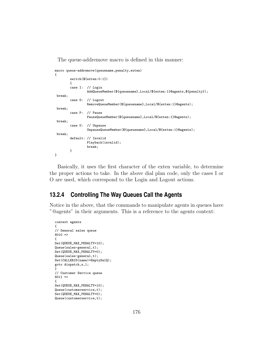The queue-addremove macro is defined in this manner:

```
macro queue-addremove(queuename,penalty,exten)
{
        switch(${exten:0:1})
        {
        case I: // Login
                 AddQueueMember(${queuename},Local/${exten:1}@agents,${penalty});
 break;
        case O: // Logout
                 RemoveQueueMember(${queuename},Local/${exten:1}@agents);
 break;
        case P: // Pause
                 PauseQueueMember(${queuename},Local/${exten:1}@agents);
 break;
        case U: // Unpause
                 UnpauseQueueMember(${queuename},Local/${exten:1}@agents);
 break;
        default: // Invalid
                 Playback(invalid);
                 break;
        }
}
```
Basically, it uses the first character of the exten variable, to determine the proper actions to take. In the above dial plan code, only the cases I or O are used, which correspond to the Login and Logout actions.

### **13.2.4 Controlling The Way Queues Call the Agents**

Notice in the above, that the commands to manipulate agents in queues have "@agents" in their arguments. This is a reference to the agents context:

```
context agents
{
// General sales queue
8010 ={
Set(QUEUE_MAX_PENALTY=10);
Queue(sales-general,t);
Set(QUEUE_MAX_PENALTY=0);
Queue(sales-general,t);
Set(CALLERID(name)=EmptySalQ);
goto dispatch,s,1;
}
// Customer Service queue
8011 =>
{
Set(QUEUE_MAX_PENALTY=10);
Queue(customerservice,t);
Set(QUEUE_MAX_PENALTY=0);
Queue(customerservice,t);
```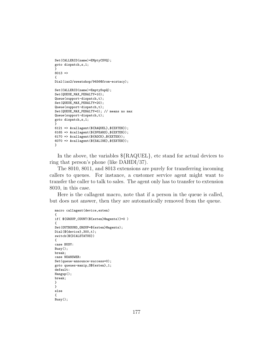```
Set(CALLERID(name)=EMptyCSVQ);
goto dispatch,s,1;
}
8013 =>
{
Dial(iax2/sweatshop/9456@from-ecstacy);
Set(CALLERID(name)=EmptySupQ);
Set(QUEUE_MAX_PENALTY=10);
Queue(support-dispatch,t);
Set(QUEUE_MAX_PENALTY=20);
Queue(support-dispatch,t);
Set(QUEUE_MAX_PENALTY=0); // means no max
Queue(support-dispatch,t);
goto dispatch,s,1;
}
6121 => &callagent(${RAQUEL},${EXTEN});
6165 => &callagent(${SPEARS},${EXTEN});
6170 => &callagent(${ROCK},${EXTEN});
6070 => &callagent(${SALINE},${EXTEN});
}
```
In the above, the variables  $\{\text{RAQUEL}\}\$ , etc stand for actual devices to ring that person's phone (like DAHDI/37).

The 8010, 8011, and 8013 extensions are purely for transferring incoming callers to queues. For instance, a customer service agent might want to transfer the caller to talk to sales. The agent only has to transfer to extension 8010, in this case.

Here is the callagent macro, note that if a person in the queue is called, but does not answer, then they are automatically removed from the queue.

```
macro callagent(device,exten)
{
if( ${GROUP_COUNT(${exten}@agents)}=0 )
{
Set(OUTBOUND_GROUP=${exten}@agents);
Dial(${device},300,t);
switch(${DIALSTATUS})
{
case BUSY:
Busy();
break;
case NOANSWER:
Set(queue-announce-success=0);
goto queues-manip,O${exten},1;
default:
Hangup();
break;
}
}
else
\mathfrak{t}Busy();
```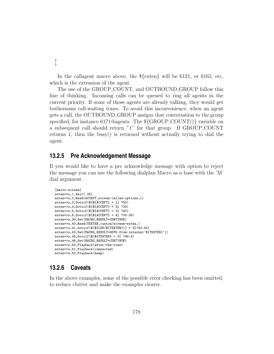In the callagent macro above, the \${exten} will be 6121, or 6165, etc, which is the extension of the agent.

The use of the GROUP COUNT, and OUTBOUND GROUP follow this line of thinking. Incoming calls can be queued to ring all agents in the current priority. If some of those agents are already talking, they would get bothersome call-waiting tones. To avoid this inconvenience, when an agent gets a call, the OUTBOUND GROUP assigns that conversation to the group specified, for instance 6171@agents. The  $\{GROUP\$ *COUNT()*} variable on a subsequent call should return "1" for that group. If GROUP COUNT returns 1, then the busy() is returned without actually trying to dial the agent.

### **13.2.5 Pre Acknowledgement Message**

If you would like to have a pre acknowledge message with option to reject the message you can use the following dialplan Macro as a base with the 'M' dial argument.

```
[macro-screen]
exten=>s,1,Wait(.25)
exten=>s,2,Read(ACCEPT,screen-callee-options,1)
exten=>s,3,Gotoif($[${ACCEPT} = 1] ?50)
exten=>s,4,Gotoif($[${ACCEPT} = 2] ?30)
exten=>s,5,Gotoif($[${ACCEPT} = 3] ?40)
exten=>s,6,Gotoif($[${ACCEPT} = 4] ?30:30)
exten=>s,30,Set(MACRO_RESULT=CONTINUE)
exten=>s,40,Read(TEXTEN,custom/screen-exten,)
exten=>s,41,Gotoif($[${LEN(${TEXTEN})} = 3]?42:45)
exten=>s,42,Set(MACRO_RESULT=GOTO:from-internal^${TEXTEN}^1)
exten=>s,45,Gotoif($[${TEXTEN} = 0] ?46:4)
exten=>s,46,Set(MACRO_RESULT=CONTINUE)
exten=>s,50,Playback(after-the-tone)
exten=>s,51,Playback(connected)
exten=>s,52,Playback(beep)
```
### **13.2.6 Caveats**

In the above examples, some of the possible error checking has been omitted, to reduce clutter and make the examples clearer.

} }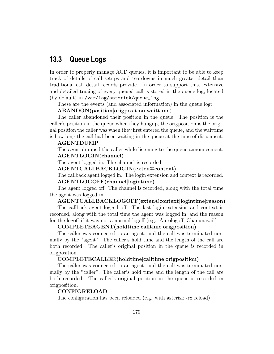# **13.3 Queue Logs**

In order to properly manage ACD queues, it is important to be able to keep track of details of call setups and teardowns in much greater detail than traditional call detail records provide. In order to support this, extensive and detailed tracing of every queued call is stored in the queue log, located (by default) in /var/log/asterisk/queue\_log.

These are the events (and associated information) in the queue log:

#### ABANDON(position|origposition|waittime)

The caller abandoned their position in the queue. The position is the caller's position in the queue when they hungup, the origposition is the original position the caller was when they first entered the queue, and the waittime is how long the call had been waiting in the queue at the time of disconnect.

#### AGENTDUMP

The agent dumped the caller while listening to the queue announcement. AGENTLOGIN(channel)

The agent logged in. The channel is recorded.

#### AGENTCALLBACKLOGIN(exten@context)

The callback agent logged in. The login extension and context is recorded. AGENTLOGOFF(channel|logintime)

The agent logged off. The channel is recorded, along with the total time the agent was logged in.

#### AGENTCALLBACKLOGOFF(exten@context|logintime|reason)

The callback agent logged off. The last login extension and context is recorded, along with the total time the agent was logged in, and the reason for the logoff if it was not a normal logoff (e.g., Autologoff, Chanunavail)

#### COMPLETEAGENT(holdtime|calltime|origposition)

The caller was connected to an agent, and the call was terminated normally by the \*agent\*. The caller's hold time and the length of the call are both recorded. The caller's original position in the queue is recorded in origposition.

#### COMPLETECALLER(holdtime|calltime|origposition)

The caller was connected to an agent, and the call was terminated normally by the \*caller\*. The caller's hold time and the length of the call are both recorded. The caller's original position in the queue is recorded in origposition.

#### CONFIGRELOAD

The configuration has been reloaded (e.g. with asterisk -rx reload)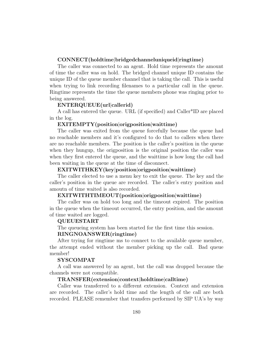#### CONNECT(holdtime|bridgedchanneluniqueid|ringtime)

The caller was connected to an agent. Hold time represents the amount of time the caller was on hold. The bridged channel unique ID contains the unique ID of the queue member channel that is taking the call. This is useful when trying to link recording filenames to a particular call in the queue. Ringtime represents the time the queue members phone was ringing prior to being answered.

#### ENTERQUEUE(url|callerid)

A call has entered the queue. URL (if specified) and Caller\*ID are placed in the log.

#### EXITEMPTY(position|origposition|waittime)

The caller was exited from the queue forcefully because the queue had no reachable members and it's configured to do that to callers when there are no reachable members. The position is the caller's position in the queue when they hungup, the origposition is the original position the caller was when they first entered the queue, and the waittime is how long the call had been waiting in the queue at the time of disconnect.

#### EXITWITHKEY(key|position|origposition|waittime)

The caller elected to use a menu key to exit the queue. The key and the caller's position in the queue are recorded. The caller's entry position and amoutn of time waited is also recorded.

#### EXITWITHTIMEOUT(position|origposition|waittime)

The caller was on hold too long and the timeout expired. The position in the queue when the timeout occurred, the entry position, and the amount of time waited are logged.

#### QUEUESTART

The queueing system has been started for the first time this session.

### RINGNOANSWER(ringtime)

After trying for ringtime ms to connect to the available queue member, the attempt ended without the member picking up the call. Bad queue member!

#### SYSCOMPAT

A call was answered by an agent, but the call was dropped because the channels were not compatible.

#### TRANSFER(extension|context|holdtime|calltime)

Caller was transferred to a different extension. Context and extension are recorded. The caller's hold time and the length of the call are both recorded. PLEASE remember that transfers performed by SIP UA's by way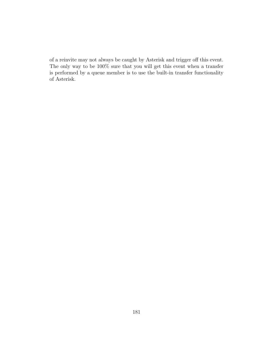of a reinvite may not always be caught by Asterisk and trigger off this event. The only way to be 100% sure that you will get this event when a transfer is performed by a queue member is to use the built-in transfer functionality of Asterisk.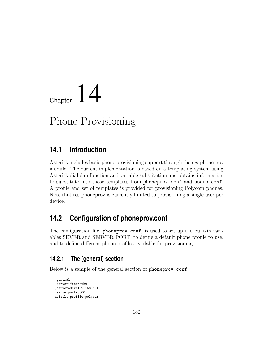

# Phone Provisioning

## **14.1 Introduction**

Asterisk includes basic phone provisioning support through the res phoneprov module. The current implementation is based on a templating system using Asterisk dialplan function and variable substitution and obtains information to substitute into those templates from phoneprov.conf and users.conf. A profile and set of templates is provided for provisioning Polycom phones. Note that res phoneprov is currently limited to provisioning a single user per device.

## **14.2 Configuration of phoneprov.conf**

The configuration file, phoneprov.conf, is used to set up the built-in variables SEVER and SERVER PORT, to define a default phone profile to use, and to define different phone profiles available for provisioning.

## **14.2.1 The [general] section**

Below is a sample of the general section of phoneprov.conf:

```
[general]
;serveriface=eth0
;serveraddr=192.168.1.1
;serverport=5060
default_profile=polycom
```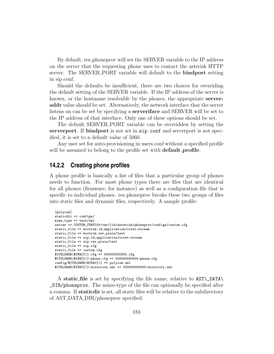By default, res phoneprov will set the SERVER variable to the IP address on the server that the requesting phone uses to contact the asterisk HTTP server. The SERVER\_PORT variable will default to the **bindport** setting in sip.conf.

Should the defaults be insufficient, there are two choices for overriding the default setting of the SERVER variable. If the IP address of the server is known, or the hostname resolvable by the phones, the appropriate serveraddr value should be set. Alternatively, the network interface that the server listens on can be set by specifying a serveriface and SERVER will be set to the IP address of that interface. Only one of these options should be set.

The default SERVER PORT variable can be overridden by setting the serverport. If bindport is not set in sip.conf and serverport is not specified, it is set to a default value of 5060.

Any user set for auto-provisioning in users.conf without a specified profile will be assumed to belong to the profile set with **default**\_profile.

## **14.2.2 Creating phone profiles**

A phone profile is basically a list of files that a particular group of phones needs to function. For most phone types there are files that are identical for all phones (firmware, for instance) as well as a configuration file that is specific to individual phones. res phoneprov breaks these two groups of files into static files and dynamic files, respectively. A sample profile:

```
[polycom]
staticdir => configs/
mime_type => text/xml
setvar => CUSTOM_CONFIG=/var/lib/asterisk/phoneprov/configs/custom.cfg
static_file => bootrom.ld,application/octet-stream
static_file => bootrom.ver,plain/text
static_file => sip.ld,application/octet-stream
static_file => sip.ver,plain/text
static_file => sip.cfg
static_file => custom.cfg
${TOLOWER(${MAC})}.cfg => 000000000000.cfg
${TOLOWER(${MAC})}-phone.cfg => 000000000000-phone.cfg
config/${TOLOWER(${MAC})} => polycom.xml
${TOLOWER(${MAC})}-directory.xml => 000000000000-directory.xml
```
A static file is set by specifying the file name, relative to AST\\_DATA\ \_DIR/phoneprov. The mime-type of the file can optionally be specified after a comma. If staticdir is set, all static files will be relative to the subdirectory of AST DATA DIR/phoneprov specified.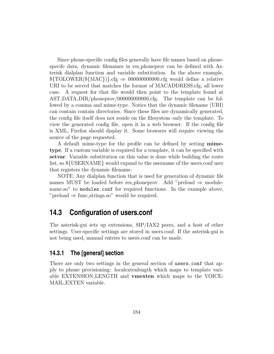Since phone-specific config files generally have file names based on phonespecifc data, dynamic filenames in res phoneprov can be defined with Asterisk dialplan function and variable substitution. In the above example,  ${\rm \$TOLOWER(\${MAC}\})$ .cfg  $\Rightarrow$  00000000000.cfg would define a relative URI to be served that matches the format of MACADDRESS.cfg, all lower case. A request for that file would then point to the template found at AST DATA DIR/phoneprov/000000000000.cfg. The template can be followed by a comma and mime-type. Notice that the dynamic filename (URI) can contain contain directories. Since these files are dynamically generated, the config file itself does not reside on the filesystem–only the template. To view the generated config file, open it in a web browser. If the config file is XML, Firefox should display it. Some browsers will require viewing the source of the page requested.

A default mime-type for the profile can be defined by setting mimetype. If a custom variable is required for a template, it can be specified with setvar. Variable substitution on this value is done while building the route list, so \${USERNAME} would expand to the username of the users.conf user that registers the dynamic filename.

NOTE: Any dialplan function that is used for generation of dynamic file names MUST be loaded before res\_phoneprov. Add "preload  $\Rightarrow$  modulename.so" to modules.conf for required functions. In the example above, "preload  $\Rightarrow$  func\_strings.so" would be required.

## **14.3 Configuration of users.conf**

The asterisk-gui sets up extensions, SIP/IAX2 peers, and a host of other settings. User-specific settings are stored in users.conf. If the asterisk-gui is not being used, manual entries to users.conf can be made.

## **14.3.1 The [general] section**

There are only two settings in the general section of users.conf that apply to phone provisioning: localextenlength which maps to template variable EXTENSION LENGTH and vmexten which maps to the VOICE-MAIL EXTEN variable.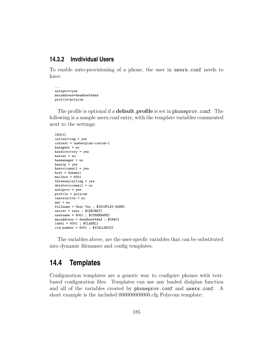## **14.3.2 Invdividual Users**

To enable auto-provisioning of a phone, the user in users.conf needs to have:

... autoprov=yes macaddress=deadbeef4dad profile=polycom

The profile is optional if a **default**-**profile** is set in phoneprov.conf. The following is a sample users.conf entry, with the template variables commented next to the settings:

```
[6001]
callwaiting = yes
context = numberplan-custom-1
hasagent = no
hasdirectory = yes
hasiax = no
hasmanager = no
hassip = yeshasvoicemail = yes
host = dynamicmailbox = 6001threewaycalling = yes
deletevoicemail = no
autoprov = yes
profile = polycom
canreinvite = no
nat = nofullname = User Two ; ${DISPLAY_NAME}
secret = test ; ${SECRET}
username = 6001; ${USERNAME}
macaddress = deadbeef4dad ; ${MAC}
label = 6001 ; ${LABEL}
cid_number = 6001; CALLERID}
```
The variables above, are the user-specfic variables that can be substituted into dynamic filenames and config templates.

## **14.4 Templates**

Configuration templates are a generic way to configure phones with textbased configuration files. Templates can use any loaded dialplan function and all of the variables created by phoneprov.conf and users.conf. A short example is the included 000000000000.cfg Polycom template: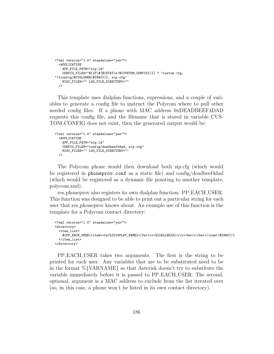```
<?xml version="1.0" standalone="yes"?>
 <APPLICATION
   APP_FILE_PATH="sip.ld"
   CONFIG_FILES="${IF($[${STAT(e|${CUSTOM_CONFIG})}] ? "custom.cfg,
")}config/${TOLOWER(${MAC})}, sip.cfg"
  MISC_FILES="" LOG_FILE_DIRECTORY=""
 />
```
This template uses dialplan functions, expressions, and a couple of variables to generate a config file to instruct the Polycom where to pull other needed config files. If a phone with MAC address 0xDEADBEEF4DAD requests this config file, and the filename that is stored in variable CUS-TOM CONFIG does not exist, then the generated output would be:

```
<?xml version="1.0" standalone="yes"?>
 <APPLICATION
   APP_FILE_PATH="sip.ld"
   CONFIG_FILES="config/deadbeef4dad, sip.cfg"
   MISC_FILES="" LOG_FILE_DIRECTORY=""
 />
```
The Polycom phone would then download both sip.cfg (which would be registered in phoneprov.conf as a static file) and config/deadbeef4dad (which would be registered as a dynamic file pointing to another template, polycom.xml).

res phoneprov also registers its own dialplan function: PP EACH USER. This function was designed to be able to print out a particular string for each user that res phoneprov knows about. An example use of this function is the template for a Polycom contact directory:

```
<?xml version="1.0" standalone="yes"?>
<directory>
 <item_list>
   ${PP_EACH_USER(<item><fn>%{DISPLAY_NAME}</fn><ct>%{CALLERID}</ct><bw>1</bw></item>|${MAC})}
 </item_list>
</directory>
```
PP EACH USER takes two arguments. The first is the string to be printed for each user. Any variables that are to be substituted need to be in the format %{VARNAME} so that Asterisk doesn't try to substitute the variable immediately before it is passed to PP EACH USER. The second, optional, argument is a MAC address to exclude from the list iterated over (so, in this case, a phone won't be listed in its own contact directory).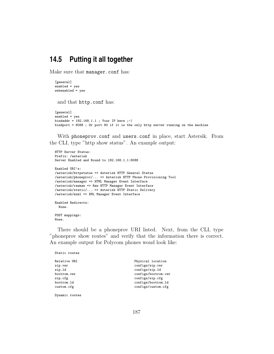## **14.5 Putting it all together**

Make sure that manager.conf has:

```
[general]
enabled = yes
webenabled = yes
```
and that http.conf has:

```
[general]
enabled = yes
bindaddr = 192.168.1.1 ; Your IP here ;-)
bindport = 8088 ; Or port 80 if it is the only http server running on the machine
```
With phoneprov.conf and users.conf in place, start Astersik. From the CLI, type "http show status". An example output:

```
HTTP Server Status:
Prefix: /asterisk
Server Enabled and Bound to 192.168.1.1:8088
Enabled URI's:
/asterisk/httpstatus => Asterisk HTTP General Status
/asterisk/phoneprov/... => Asterisk HTTP Phone Provisioning Tool
/asterisk/manager => HTML Manager Event Interface
/asterisk/rawman => Raw HTTP Manager Event Interface
/asterisk/static/... => Asterisk HTTP Static Delivery
/asterisk/mxml => XML Manager Event Interface
Enabled Redirects:
 None.
POST mappings:
```
None.

There should be a phoneprov URI listed. Next, from the CLI, type "phoneprov show routes" and verify that the information there is correct. An example output for Polycom phones woud look like:

```
Relative URI Physical location<br>sip.ver configs/sip.ver
sip.ver configs/sip.ver configs/sip.ver configs/sip.ld
                                                        configs/sip.ld
bootrom.ver configs/bootrom.ver
sip.cfg configs/sip.cfg configs/sip.cfg configs/sip.cfg configs/sip.cfg configs/sip.cfg configs/sip.cfg configs/sip.cfg configs/sip.cfg configs/sip.cfg configs/sip.cfg configs/sip.cfg configs/sip.cfg configs/sip.cfg config
                                                        bootrom.ld configs/bootrom.ld
custom.cfg configs/custom.cfg
```
Dynamic routes

Static routes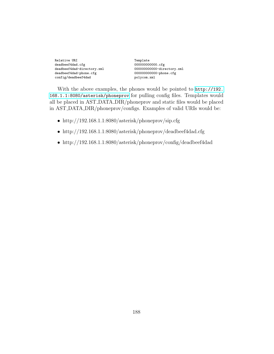| Relative URI               | Template |
|----------------------------|----------|
| deadbeef4dad.cfg           | 00000000 |
| deadbeef4dad-directory.xml | 00000000 |
| deadbeef4dad-phone.cfg     | 00000000 |
| config/deadbeef4dad        | polycom. |

000000000000.cfg  $00000000000000$ -directory.xml 000000000000-phone.cfg polycom.xml

With the above examples, the phones would be pointed to [http://192.](http://192.168.1.1:8080/asterisk/phoneprov) [168.1.1:8080/asterisk/phoneprov](http://192.168.1.1:8080/asterisk/phoneprov) for pulling config files. Templates would all be placed in AST DATA DIR/phoneprov and static files would be placed in AST DATA DIR/phoneprov/configs. Examples of valid URIs would be:

- http://192.168.1.1:8080/asterisk/phoneprov/sip.cfg
- http://192.168.1.1:8080/asterisk/phoneprov/deadbeef4dad.cfg
- http://192.168.1.1:8080/asterisk/phoneprov/config/deadbeef4dad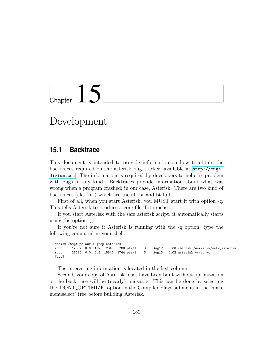# Chapter  $15$

## Development

## **15.1 Backtrace**

This document is intended to provide information on how to obtain the backtraces required on the asterisk bug tracker, available at [http://bugs.](http://bugs.digium.com) [digium.com](http://bugs.digium.com). The information is required by developers to help fix problem with bugs of any kind. Backtraces provide information about what was wrong when a program crashed; in our case, Asterisk. There are two kind of backtraces (aka 'bt') which are useful: bt and bt full.

First of all, when you start Asterisk, you MUST start it with option -g. This tells Asterisk to produce a core file if it crashes.

If you start Asterisk with the safe asterisk script, it automatically starts using the option -g.

If you're not sure if Asterisk is running with the -g option, type the following command in your shell:

debian:/tmp# ps aux | grep asterisk<br>root 17832 0.0 1.2 2348 788 pts/1 root 17832 0.0 1.2 2348 788 pts/1 S Aug12 0:00 /bin/sh /usr/sbin/safe\_asterisk root 26686 0.0 2.8 15544 1744 pts/1 S Aug13 0:02 asterisk -vvvg -c [...]

The interesting information is located in the last column.

Second, your copy of Asterisk must have been built without optimization or the backtrace will be (nearly) unusable. This can be done by selecting the 'DONT OPTIMIZE' option in the Compiler Flags submenu in the 'make menuselect' tree before building Asterisk.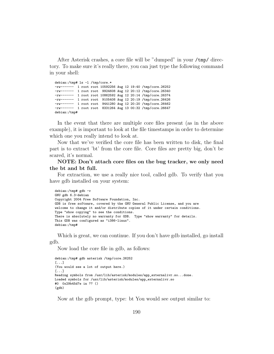After Asterisk crashes, a core file will be "dumped" in your /tmp/ directory. To make sure it's really there, you can just type the following command in your shell:

debian:/tmp# ls -l /tmp/core.\* -rw------- 1 root root 10592256 Aug 12 19:40 /tmp/core.26252 -rw------- 1 root root 9924608 Aug 12 20:12 /tmp/core.26340 -rw------- 1 root root 10862592 Aug 12 20:14 /tmp/core.26374 -rw------- 1 root root 9105408 Aug 12 20:19 /tmp/core.26426 -rw------- 1 root root 9441280 Aug 12 20:20 /tmp/core.26462 -rw------- 1 root root 8331264 Aug 13 00:32 /tmp/core.26647 debian:/tmp#

In the event that there are multiple core files present (as in the above example), it is important to look at the file timestamps in order to determine which one you really intend to look at.

Now that we've verified the core file has been written to disk, the final part is to extract 'bt' from the core file. Core files are pretty big, don't be scared, it's normal.

NOTE: Don't attach core files on the bug tracker, we only need the bt and bt full.

For extraction, we use a really nice tool, called gdb. To verify that you have gdb installed on your system:

```
debian:/tmp# gdb -v
GNU gdb 6.3-debian
Copyright 2004 Free Software Foundation, Inc.
GDB is free software, covered by the GNU General Public License, and you are
welcome to change it and/or distribute copies of it under certain conditions.
Type "show copying" to see the conditions.
There is absolutely no warranty for GDB. Type "show warranty" for details.
This GDB was configured as "i386-linux".
debian:/tmp#
```
Which is great, we can continue. If you don't have gdb installed, go install gdb.

Now load the core file in gdb, as follows:

```
debian:/tmp# gdb asterisk /tmp/core.26252
[...]
(You would see a lot of output here.)
[...]
Reading symbols from /usr/lib/asterisk/modules/app_externalivr.so...done.
Loaded symbols for /usr/lib/asterisk/modules/app_externalivr.so
#0 0x29b45d7e in ?? ()
(gdb)
```
Now at the gdb prompt, type: bt You would see output similar to: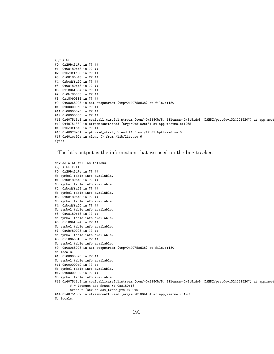```
(gdb) bt
#0 0x29b45d7e in ?? ()
#1 0x08180bf8 in ?? ()
#2 0xbcdffa58 in ?? ()
#3 0x08180bf8 in ?? ()
#4 0xbcdffa60 in ?? ()
#5 0x08180bf8 in ?? ()
#6 0x180bf894 in ?? ()
#7 0x0bf80008 in ?? ()
#8 0x180b0818 in ?? ()
#9 0x08068008 in ast_stopstream (tmp=0x40758d38) at file.c:180
#10 0x000000a0 in ?? ()
#11 0x000000a0 in ?? ()
#12 0x00000000 in ?? ()
#13 0x407513c3 in confcall_careful_stream (conf=0x8180bf8, filename=0x8181de8 "DAHDI/pseudo-1324221520") at app_meet
#14 0x40751332 in streamconfthread (args=0x8180bf8) at app_meetme.c:1965
#15 0xbcdffbe0 in ?? ()
#16 0x40028e51 in pthread_start_thread () from /lib/libpthread.so.0
#17 0x401ec92a in clone () from /lib/libc.so.6
(gdb)
```
The bt's output is the information that we need on the bug tracker.

```
Now do a bt full as follows:
(gdb) bt full
#0 0x29b45d7e in ?? ()
No symbol table info available.
#1 0x08180bf8 in ?? ()
No symbol table info available.
#2 0xbcdffa58 in ?? ()
No symbol table info available.
#3 0x08180bf8 in ?? ()
No symbol table info available.
#4 0xbcdffa60 in ?? ()
No symbol table info available.
#5 0x08180bf8 in ?? ()
No symbol table info available.
#6 0x180bf894 in ?? ()
No symbol table info available.
#7 0x0bf80008 in ?? ()
No symbol table info available.
#8 0x180b0818 in ?? ()
No symbol table info available.
#9 0x08068008 in ast_stopstream (tmp=0x40758d38) at file.c:180
No locals.
#10 0x000000a0 in ?? ()
No symbol table info available.
#11 0x000000a0 in ?? ()
No symbol table info available.
#12 0x00000000 in ?? ()
No symbol table info available.
#13 0x407513c3 in confcall_careful_stream (conf=0x8180bf8, filename=0x8181de8 "DAHDI/pseudo-1324221520") at app_meet
        f = (struct ast_frame *) 0x8180bf8
        trans = (struct ast_trans_pvt *) 0x0
#14 0x40751332 in streamconfthread (args=0x8180bf8) at app_meetme.c:1965
No locals.
```